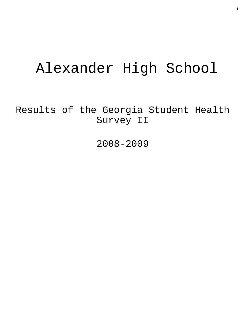# Alexander High School

Results of the Georgia Student Health Survey II

2008-2009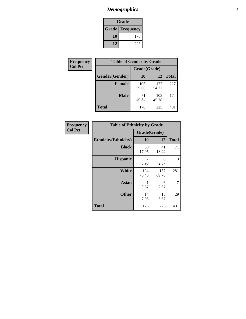# *Demographics* **2**

| Grade                    |     |  |  |  |
|--------------------------|-----|--|--|--|
| <b>Grade   Frequency</b> |     |  |  |  |
| 10                       | 176 |  |  |  |
| 12                       | 225 |  |  |  |

| <b>Frequency</b> |                | <b>Table of Gender by Grade</b> |              |              |  |
|------------------|----------------|---------------------------------|--------------|--------------|--|
| <b>Col Pct</b>   |                | Grade(Grade)                    |              |              |  |
|                  | Gender(Gender) | 10                              | 12           | <b>Total</b> |  |
|                  | <b>Female</b>  | 105<br>59.66                    | 122<br>54.22 | 227          |  |
|                  | <b>Male</b>    | 71<br>40.34                     | 103<br>45.78 | 174          |  |
|                  | <b>Total</b>   | 176                             | 225          | 401          |  |

| Frequency<br>Col Pct |
|----------------------|
|                      |

| <b>Table of Ethnicity by Grade</b> |              |              |              |  |  |  |
|------------------------------------|--------------|--------------|--------------|--|--|--|
|                                    | Grade(Grade) |              |              |  |  |  |
| <b>Ethnicity</b> (Ethnicity)       | 10           | 12           | <b>Total</b> |  |  |  |
| <b>Black</b>                       | 30<br>17.05  | 41<br>18.22  | 71           |  |  |  |
| <b>Hispanic</b>                    | 7<br>3.98    | 6<br>2.67    | 13           |  |  |  |
| <b>White</b>                       | 124<br>70.45 | 157<br>69.78 | 281          |  |  |  |
| <b>Asian</b>                       | 1<br>0.57    | 6<br>2.67    | 7            |  |  |  |
| <b>Other</b>                       | 14<br>7.95   | 15<br>6.67   | 29           |  |  |  |
| <b>Total</b>                       | 176          | 225          | 401          |  |  |  |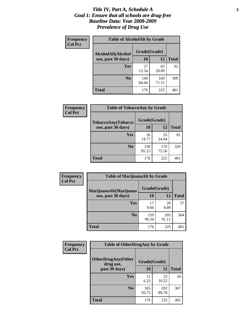#### *Title IV, Part A, Schedule A* **3** *Goal 1: Ensure that all schools are drug-free Baseline Data: Year 2008-2009 Prevalence of Drug Use*

| Frequency<br><b>Col Pct</b> | <b>Table of AlcoholAlt by Grade</b> |              |              |              |  |  |
|-----------------------------|-------------------------------------|--------------|--------------|--------------|--|--|
|                             | AlcoholAlt(Alcohol                  | Grade(Grade) |              |              |  |  |
|                             | use, past 30 days)                  | <b>10</b>    | 12           | <b>Total</b> |  |  |
|                             | Yes                                 | 27<br>15.34  | 65<br>28.89  | 92           |  |  |
|                             | N <sub>0</sub>                      | 149<br>84.66 | 160<br>71.11 | 309          |  |  |
|                             | Total                               | 176          | 225          | 401          |  |  |

| Frequency      | <b>Table of TobaccoAny by Grade</b> |              |              |              |
|----------------|-------------------------------------|--------------|--------------|--------------|
| <b>Col Pct</b> | TobaccoAny(Tobacco                  | Grade(Grade) |              |              |
|                | use, past 30 days)                  | 10           | 12           | <b>Total</b> |
|                | Yes                                 | 26<br>14.77  | 55<br>24.44  | 81           |
|                | N <sub>0</sub>                      | 150<br>85.23 | 170<br>75.56 | 320          |
|                | <b>Total</b>                        | 176          | 225          | 401          |

| Frequency<br><b>Col Pct</b> | <b>Table of MarijuanaAlt by Grade</b> |              |              |              |  |
|-----------------------------|---------------------------------------|--------------|--------------|--------------|--|
|                             | MarijuanaAlt(Marijuana                | Grade(Grade) |              |              |  |
|                             | use, past 30 days)                    | <b>10</b>    | 12           | <b>Total</b> |  |
|                             | <b>Yes</b>                            | 17<br>9.66   | 20<br>8.89   | 37           |  |
|                             | N <sub>0</sub>                        | 159<br>90.34 | 205<br>91.11 | 364          |  |
|                             | <b>Total</b>                          | 176          | 225          | 401          |  |

| <b>Frequency</b> | <b>Table of OtherDrugAny by Grade</b>  |              |              |              |  |  |
|------------------|----------------------------------------|--------------|--------------|--------------|--|--|
| <b>Col Pct</b>   | <b>OtherDrugAny(Other</b><br>drug use, | Grade(Grade) |              |              |  |  |
|                  | past 30 days)                          | 10           | 12           | <b>Total</b> |  |  |
|                  | Yes                                    | 11<br>6.25   | 23<br>10.22  | 34           |  |  |
|                  | N <sub>0</sub>                         | 165<br>93.75 | 202<br>89.78 | 367          |  |  |
|                  | <b>Total</b>                           | 176          | 225          | 401          |  |  |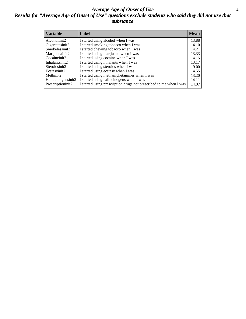#### *Average Age of Onset of Use* **4** *Results for "Average Age of Onset of Use" questions exclude students who said they did not use that substance*

| <b>Variable</b>    | Label                                                              | <b>Mean</b> |
|--------------------|--------------------------------------------------------------------|-------------|
| Alcoholinit2       | I started using alcohol when I was                                 | 13.88       |
| Cigarettesinit2    | I started smoking tobacco when I was                               | 14.10       |
| Smokelessinit2     | I started chewing tobacco when I was                               | 14.21       |
| Marijuanainit2     | I started using marijuana when I was                               | 13.33       |
| Cocaineinit2       | I started using cocaine when I was                                 | 14.15       |
| Inhalantsinit2     | I started using inhalants when I was                               | 13.17       |
| Steroidsinit2      | I started using steroids when I was                                | 9.00        |
| Ecstasyinit2       | I started using ecstasy when I was                                 | 14.55       |
| Methinit2          | I started using methamphetamines when I was                        | 13.20       |
| Hallucinogensinit2 | I started using hallucinogens when I was                           | 14.11       |
| Prescriptioninit2  | I started using prescription drugs not prescribed to me when I was | 14.07       |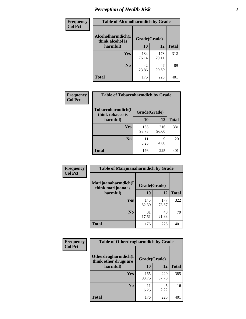# *Perception of Health Risk* **5**

| <b>Frequency</b> | <b>Table of Alcoholharmdich by Grade</b> |              |              |              |  |
|------------------|------------------------------------------|--------------|--------------|--------------|--|
| <b>Col Pct</b>   | Alcoholharmdich(I<br>think alcohol is    | Grade(Grade) |              |              |  |
|                  | harmful)                                 | 10           | 12           | <b>Total</b> |  |
|                  | <b>Yes</b>                               | 134<br>76.14 | 178<br>79.11 | 312          |  |
|                  | N <sub>0</sub>                           | 42<br>23.86  | 47<br>20.89  | 89           |  |
|                  | <b>Total</b>                             | 176          | 225          | 401          |  |

| Frequency<br><b>Col Pct</b> | <b>Table of Tobaccoharmdich by Grade</b> |              |              |              |  |
|-----------------------------|------------------------------------------|--------------|--------------|--------------|--|
|                             | Tobaccoharmdich(I<br>think tobacco is    | Grade(Grade) |              |              |  |
|                             | harmful)                                 | 10           | 12           | <b>Total</b> |  |
|                             | <b>Yes</b>                               | 165<br>93.75 | 216<br>96.00 | 381          |  |
|                             | N <sub>0</sub>                           | 11<br>6.25   | 9<br>4.00    | 20           |  |
|                             | <b>Total</b>                             | 176          | 225          | 401          |  |

| <b>Frequency</b> | <b>Table of Marijuanaharmdich by Grade</b> |              |              |              |  |  |
|------------------|--------------------------------------------|--------------|--------------|--------------|--|--|
| <b>Col Pct</b>   | Marijuanaharmdich(I<br>think marijuana is  | Grade(Grade) |              |              |  |  |
|                  | harmful)                                   | 10           | 12           | <b>Total</b> |  |  |
|                  | Yes                                        | 145<br>82.39 | 177<br>78.67 | 322          |  |  |
|                  | N <sub>0</sub>                             | 31<br>17.61  | 48<br>21.33  | 79           |  |  |
|                  | <b>Total</b>                               | 176          | 225          | 401          |  |  |

| Frequency      | <b>Table of Otherdrugharmdich by Grade</b>   |              |              |              |  |  |  |  |
|----------------|----------------------------------------------|--------------|--------------|--------------|--|--|--|--|
| <b>Col Pct</b> | Otherdrugharmdich(I<br>think other drugs are | Grade(Grade) |              |              |  |  |  |  |
|                | harmful)                                     | 10           | 12           | <b>Total</b> |  |  |  |  |
|                | Yes                                          | 165<br>93.75 | 220<br>97.78 | 385          |  |  |  |  |
|                | N <sub>0</sub>                               | 11<br>6.25   | 5<br>2.22    | 16           |  |  |  |  |
|                | <b>Total</b>                                 | 176          | 225          | 401          |  |  |  |  |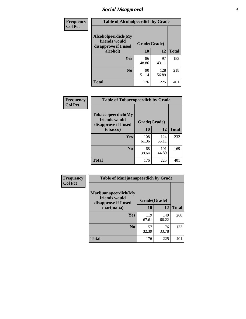# *Social Disapproval* **6**

| Frequency      | <b>Table of Alcoholpeerdich by Grade</b>                    |              |              |              |  |  |  |  |
|----------------|-------------------------------------------------------------|--------------|--------------|--------------|--|--|--|--|
| <b>Col Pct</b> | Alcoholpeerdich(My<br>friends would<br>disapprove if I used | Grade(Grade) |              |              |  |  |  |  |
|                | alcohol)                                                    | 10           | 12           | <b>Total</b> |  |  |  |  |
|                | <b>Yes</b>                                                  | 86<br>48.86  | 97<br>43.11  | 183          |  |  |  |  |
|                | N <sub>0</sub>                                              | 90<br>51.14  | 128<br>56.89 | 218          |  |  |  |  |
|                | <b>Total</b>                                                | 176          | 225          | 401          |  |  |  |  |

| <b>Frequency</b> |
|------------------|
| <b>Col Pct</b>   |

| <b>Table of Tobaccopeerdich by Grade</b>                            |              |              |              |  |  |  |  |
|---------------------------------------------------------------------|--------------|--------------|--------------|--|--|--|--|
| <b>Tobaccopeerdich</b> (My<br>friends would<br>disapprove if I used | Grade(Grade) |              |              |  |  |  |  |
| tobacco)                                                            | 10           | 12           | <b>Total</b> |  |  |  |  |
| Yes                                                                 | 108<br>61.36 | 124<br>55.11 | 232          |  |  |  |  |
| N <sub>0</sub>                                                      | 68<br>38.64  | 101<br>44.89 | 169          |  |  |  |  |
| <b>Total</b>                                                        | 176          | 225          | 40           |  |  |  |  |

| Frequency      | <b>Table of Marijuanapeerdich by Grade</b>                    |              |              |              |  |  |  |  |
|----------------|---------------------------------------------------------------|--------------|--------------|--------------|--|--|--|--|
| <b>Col Pct</b> | Marijuanapeerdich(My<br>friends would<br>disapprove if I used | Grade(Grade) |              |              |  |  |  |  |
|                | marijuana)                                                    | 10           | 12           | <b>Total</b> |  |  |  |  |
|                | <b>Yes</b>                                                    | 119<br>67.61 | 149<br>66.22 | 268          |  |  |  |  |
|                | N <sub>0</sub>                                                | 57<br>32.39  | 76<br>33.78  | 133          |  |  |  |  |
|                | <b>Total</b>                                                  | 176          | 225          | 401          |  |  |  |  |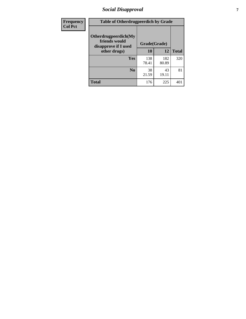# *Social Disapproval* **7**

| Frequency      | <b>Table of Otherdrugpeerdich by Grade</b>                    |              |              |              |  |  |  |  |
|----------------|---------------------------------------------------------------|--------------|--------------|--------------|--|--|--|--|
| <b>Col Pct</b> | Otherdrugpeerdich(My<br>friends would<br>disapprove if I used | Grade(Grade) |              |              |  |  |  |  |
|                | other drugs)                                                  | 10           | 12           | <b>Total</b> |  |  |  |  |
|                | Yes                                                           | 138<br>78.41 | 182<br>80.89 | 320          |  |  |  |  |
|                | N <sub>0</sub>                                                | 38<br>21.59  | 43<br>19.11  | 81           |  |  |  |  |
|                | <b>Total</b>                                                  | 176          | 225          | 401          |  |  |  |  |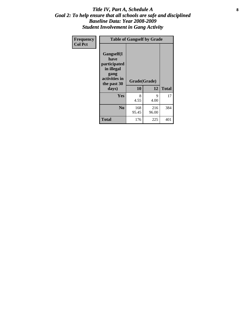#### Title IV, Part A, Schedule A **8** *Goal 2: To help ensure that all schools are safe and disciplined Baseline Data: Year 2008-2009 Student Involvement in Gang Activity*

| Frequency      | <b>Table of Gangself by Grade</b>                                                                 |                    |              |              |
|----------------|---------------------------------------------------------------------------------------------------|--------------------|--------------|--------------|
| <b>Col Pct</b> | Gangself(I<br>have<br>participated<br>in illegal<br>gang<br>activities in<br>the past 30<br>days) | Grade(Grade)<br>10 | 12           | <b>Total</b> |
|                | Yes                                                                                               | 8<br>4.55          | 9<br>4.00    | 17           |
|                | N <sub>0</sub>                                                                                    | 168<br>95.45       | 216<br>96.00 | 384          |
|                | <b>Total</b>                                                                                      | 176                | 225          | 401          |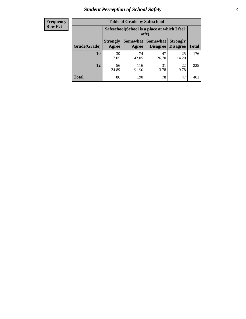# *Student Perception of School Safety* **9**

| <b>Frequency</b><br>Row Pct |
|-----------------------------|
|                             |

| <b>Table of Grade by Safeschool</b> |                                                                                                            |                                                        |             |             |     |  |  |  |
|-------------------------------------|------------------------------------------------------------------------------------------------------------|--------------------------------------------------------|-------------|-------------|-----|--|--|--|
|                                     |                                                                                                            | Safeschool (School is a place at which I feel<br>safe) |             |             |     |  |  |  |
| Grade(Grade)                        | Somewhat   Somewhat<br><b>Strongly</b><br><b>Strongly</b><br><b>Disagree</b><br>Agree<br>Disagree<br>Agree |                                                        |             |             |     |  |  |  |
| 10                                  | 30<br>17.05                                                                                                | 74<br>42.05                                            | 47<br>26.70 | 25<br>14.20 | 176 |  |  |  |
| 12                                  | 56<br>24.89                                                                                                | 116<br>51.56                                           | 31<br>13.78 | 22<br>9.78  | 225 |  |  |  |
| <b>Total</b>                        | 86                                                                                                         | 190                                                    | 78          | 47          | 401 |  |  |  |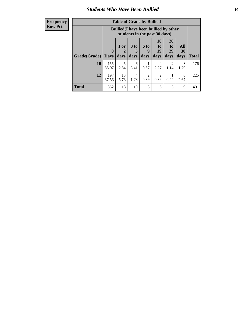#### *Students Who Have Been Bullied* **10**

| <b>Frequency</b> |
|------------------|
| Row Pct          |

| <b>Table of Grade by Bullied</b> |                            |                                                                               |                              |                   |                               |                               |                          |              |
|----------------------------------|----------------------------|-------------------------------------------------------------------------------|------------------------------|-------------------|-------------------------------|-------------------------------|--------------------------|--------------|
|                                  |                            | <b>Bullied</b> (I have been bullied by other<br>students in the past 30 days) |                              |                   |                               |                               |                          |              |
| Grade(Grade)                     | $\mathbf 0$<br><b>Days</b> | 1 or<br>2<br>days                                                             | 3 <sub>to</sub><br>5<br>days | 6 to<br>9<br>days | <b>10</b><br>to<br>19<br>days | <b>20</b><br>to<br>29<br>days | <b>All</b><br>30<br>days | <b>Total</b> |
| 10                               | 155<br>88.07               | 5<br>2.84                                                                     | 6<br>3.41                    | 0.57              | 4<br>2.27                     | 2<br>1.14                     | 3<br>1.70                | 176          |
| 12                               | 197<br>87.56               | 13<br>5.78                                                                    | 4<br>1.78                    | 2<br>0.89         | 2<br>0.89                     | 0.44                          | 6<br>2.67                | 225          |
| <b>Total</b>                     | 352                        | 18                                                                            | 10                           | 3                 | 6                             | 3                             | 9                        | 401          |

 $\blacksquare$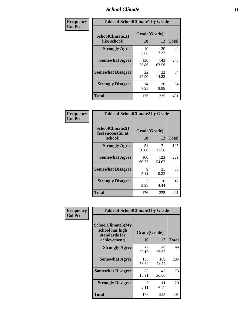#### *School Climate* **11**

| Frequency      | <b>Table of SchoolClimate1 by Grade</b> |                    |              |              |  |  |  |
|----------------|-----------------------------------------|--------------------|--------------|--------------|--|--|--|
| <b>Col Pct</b> | SchoolClimate1(I<br>like school)        | Grade(Grade)<br>10 | 12           | <b>Total</b> |  |  |  |
|                | <b>Strongly Agree</b>                   | 10<br>5.68         | 30<br>13.33  | 40           |  |  |  |
|                | <b>Somewhat Agree</b>                   | 130<br>73.86       | 143<br>63.56 | 273          |  |  |  |
|                | <b>Somewhat Disagree</b>                | 22<br>12.50        | 32<br>14.22  | 54           |  |  |  |
|                | <b>Strongly Disagree</b>                | 14<br>7.95         | 20<br>8.89   | 34           |  |  |  |
|                | Total                                   | 176                | 225          | 401          |  |  |  |

| Frequency      | <b>Table of SchoolClimate2 by Grade</b>           |                    |              |              |
|----------------|---------------------------------------------------|--------------------|--------------|--------------|
| <b>Col Pct</b> | SchoolClimate2(I<br>feel successful at<br>school) | Grade(Grade)<br>10 | 12           | <b>Total</b> |
|                | <b>Strongly Agree</b>                             | 54<br>30.68        | 71<br>31.56  | 125          |
|                | <b>Somewhat Agree</b>                             | 106<br>60.23       | 123<br>54.67 | 229          |
|                | <b>Somewhat Disagree</b>                          | 9<br>5.11          | 21<br>9.33   | 30           |
|                | <b>Strongly Disagree</b>                          | 7<br>3.98          | 10<br>4.44   | 17           |
|                | <b>Total</b>                                      | 176                | 225          | 401          |

| Frequency | <b>Table of SchoolClimate3 by Grade</b>               |              |              |              |  |
|-----------|-------------------------------------------------------|--------------|--------------|--------------|--|
| Col Pct   | SchoolClimate3(My<br>school has high<br>standards for | Grade(Grade) |              |              |  |
|           | achievement)                                          | 10           | 12           | <b>Total</b> |  |
|           | <b>Strongly Agree</b>                                 | 39<br>22.16  | 60<br>26.67  | 99           |  |
|           | <b>Somewhat Agree</b>                                 | 100<br>56.82 | 109<br>48.44 | 209          |  |
|           | <b>Somewhat Disagree</b>                              | 28<br>15.91  | 45<br>20.00  | 73           |  |
|           | <b>Strongly Disagree</b>                              | 9<br>5.11    | 11<br>4.89   | 20           |  |
|           | Total                                                 | 176          | 225          | 401          |  |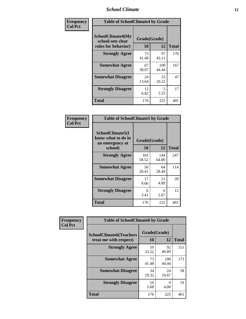#### *School Climate* **12**

| Frequency      | <b>Table of SchoolClimate4 by Grade</b>                              |                    |              |              |
|----------------|----------------------------------------------------------------------|--------------------|--------------|--------------|
| <b>Col Pct</b> | <b>SchoolClimate4(My</b><br>school sets clear<br>rules for behavior) | Grade(Grade)<br>10 | 12           | <b>Total</b> |
|                | <b>Strongly Agree</b>                                                | 73<br>41.48        | 97<br>43.11  | 170          |
|                | <b>Somewhat Agree</b>                                                | 67<br>38.07        | 100<br>44.44 | 167          |
|                | <b>Somewhat Disagree</b>                                             | 24<br>13.64        | 23<br>10.22  | 47           |
|                | <b>Strongly Disagree</b>                                             | 12<br>6.82         | 5<br>2.22    | 17           |
|                | <b>Total</b>                                                         | 176                | 225          | 401          |

| <b>Table of SchoolClimate5 by Grade</b>                   |              |              |              |  |  |  |
|-----------------------------------------------------------|--------------|--------------|--------------|--|--|--|
| SchoolClimate5(I<br>know what to do in<br>an emergency at | Grade(Grade) |              |              |  |  |  |
| school)                                                   | 10           | 12           | <b>Total</b> |  |  |  |
| <b>Strongly Agree</b>                                     | 103<br>58.52 | 144<br>64.00 | 247          |  |  |  |
| <b>Somewhat Agree</b>                                     | 50<br>28.41  | 64<br>28.44  | 114          |  |  |  |
| <b>Somewhat Disagree</b>                                  | 17<br>9.66   | 11<br>4.89   | 28           |  |  |  |
| <b>Strongly Disagree</b>                                  | 6<br>3.41    | 6<br>2.67    | 12           |  |  |  |
| <b>Total</b>                                              | 176          | 225          | 401          |  |  |  |

| <b>Frequency</b> | <b>Table of SchoolClimate6 by Grade</b>                  |                    |              |              |  |
|------------------|----------------------------------------------------------|--------------------|--------------|--------------|--|
| <b>Col Pct</b>   | <b>SchoolClimate6(Teachers</b><br>treat me with respect) | Grade(Grade)<br>10 | 12           | <b>Total</b> |  |
|                  | <b>Strongly Agree</b>                                    | 59<br>33.52        | 92<br>40.89  | 151          |  |
|                  | <b>Somewhat Agree</b>                                    | 73<br>41.48        | 100<br>44.44 | 173          |  |
|                  | <b>Somewhat Disagree</b>                                 | 34<br>19.32        | 24<br>10.67  | 58           |  |
|                  | <b>Strongly Disagree</b>                                 | 10<br>5.68         | 9<br>4.00    | 19           |  |
|                  | <b>Total</b>                                             | 176                | 225          | 401          |  |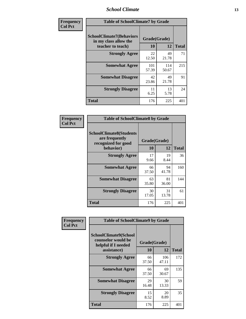#### *School Climate* **13**

| Frequency      | <b>Table of SchoolClimate7 by Grade</b>                                       |                    |              |              |
|----------------|-------------------------------------------------------------------------------|--------------------|--------------|--------------|
| <b>Col Pct</b> | <b>SchoolClimate7(Behaviors</b><br>in my class allow the<br>teacher to teach) | Grade(Grade)<br>10 | 12           | <b>Total</b> |
|                | <b>Strongly Agree</b>                                                         | 22<br>12.50        | 49<br>21.78  | 71           |
|                | <b>Somewhat Agree</b>                                                         | 101<br>57.39       | 114<br>50.67 | 215          |
|                | <b>Somewhat Disagree</b>                                                      | 42<br>23.86        | 49<br>21.78  | 91           |
|                | <b>Strongly Disagree</b>                                                      | 11<br>6.25         | 13<br>5.78   | 24           |
|                | <b>Total</b>                                                                  | 176                | 225          | 401          |

| Frequency      | <b>Table of SchoolClimate8 by Grade</b>                                              |                    |             |              |
|----------------|--------------------------------------------------------------------------------------|--------------------|-------------|--------------|
| <b>Col Pct</b> | <b>SchoolClimate8(Students</b><br>are frequently<br>recognized for good<br>behavior) | Grade(Grade)<br>10 | 12          | <b>Total</b> |
|                | <b>Strongly Agree</b>                                                                | 17<br>9.66         | 19<br>8.44  | 36           |
|                | <b>Somewhat Agree</b>                                                                | 66<br>37.50        | 94<br>41.78 | 160          |
|                | <b>Somewhat Disagree</b>                                                             | 63<br>35.80        | 81<br>36.00 | 144          |
|                | <b>Strongly Disagree</b>                                                             | 30<br>17.05        | 31<br>13.78 | 61           |
|                | <b>Total</b>                                                                         | 176                | 225         | 401          |

| Frequency      | <b>Table of SchoolClimate9 by Grade</b>                                           |                    |              |              |
|----------------|-----------------------------------------------------------------------------------|--------------------|--------------|--------------|
| <b>Col Pct</b> | SchoolClimate9(School<br>counselor would be<br>helpful if I needed<br>assistance) | Grade(Grade)<br>10 | 12           | <b>Total</b> |
|                | <b>Strongly Agree</b>                                                             | 66<br>37.50        | 106<br>47.11 | 172          |
|                | <b>Somewhat Agree</b>                                                             | 66<br>37.50        | 69<br>30.67  | 135          |
|                | <b>Somewhat Disagree</b>                                                          | 29<br>16.48        | 30<br>13.33  | 59           |
|                | <b>Strongly Disagree</b>                                                          | 15<br>8.52         | 20<br>8.89   | 35           |
|                | Total                                                                             | 176                | 225          | 401          |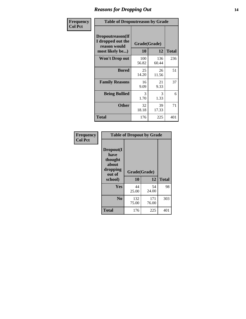### *Reasons for Dropping Out* **14**

| Frequency      | <b>Table of Dropoutreason by Grade</b>                                   |                    |              |              |
|----------------|--------------------------------------------------------------------------|--------------------|--------------|--------------|
| <b>Col Pct</b> | Dropoutreason(If<br>I dropped out the<br>reason would<br>most likely be) | Grade(Grade)<br>10 | 12           | <b>Total</b> |
|                | <b>Won't Drop out</b>                                                    | 100<br>56.82       | 136<br>60.44 | 236          |
|                | <b>Bored</b>                                                             | 25<br>14.20        | 26<br>11.56  | 51           |
|                | <b>Family Reasons</b>                                                    | 16<br>9.09         | 21<br>9.33   | 37           |
|                | <b>Being Bullied</b>                                                     | 3<br>1.70          | 3<br>1.33    | 6            |
|                | <b>Other</b>                                                             | 32<br>18.18        | 39<br>17.33  | 71           |
|                | <b>Total</b>                                                             | 176                | 225          | 401          |

| Frequency<br><b>Col Pct</b> | <b>Table of Dropout by Grade</b>                            |                    |              |     |  |
|-----------------------------|-------------------------------------------------------------|--------------------|--------------|-----|--|
|                             | Dropout(I<br>have<br>thought<br>about<br>dropping<br>out of | Grade(Grade)<br>10 | <b>Total</b> |     |  |
|                             | school)                                                     |                    | 12           |     |  |
|                             | <b>Yes</b>                                                  | 44<br>25.00        | 54<br>24.00  | 98  |  |
|                             | N <sub>0</sub>                                              | 132<br>75.00       | 171<br>76.00 | 303 |  |
|                             | <b>Total</b>                                                | 176                | 225          | 401 |  |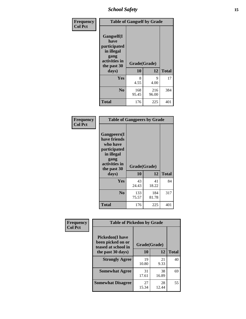*School Safety* **15**

| Frequency      | <b>Table of Gangself by Grade</b>                                                                 |                          |              |              |
|----------------|---------------------------------------------------------------------------------------------------|--------------------------|--------------|--------------|
| <b>Col Pct</b> | Gangself(I<br>have<br>participated<br>in illegal<br>gang<br>activities in<br>the past 30<br>days) | Grade(Grade)<br>10<br>12 |              | <b>Total</b> |
|                |                                                                                                   |                          |              |              |
|                | Yes                                                                                               | 8<br>4.55                | 9<br>4.00    | 17           |
|                | N <sub>o</sub>                                                                                    | 168<br>95.45             | 216<br>96.00 | 384          |
|                | Total                                                                                             | 176                      | 225          | 401          |

| Frequency      | <b>Table of Gangpeers by Grade</b>                                                                                     |                    |              |              |  |
|----------------|------------------------------------------------------------------------------------------------------------------------|--------------------|--------------|--------------|--|
| <b>Col Pct</b> | Gangpeers(I<br>have friends<br>who have<br>participated<br>in illegal<br>gang<br>activities in<br>the past 30<br>days) | Grade(Grade)<br>10 | 12           | <b>Total</b> |  |
|                | Yes                                                                                                                    | 43<br>24.43        | 41<br>18.22  | 84           |  |
|                | N <sub>0</sub>                                                                                                         | 133<br>75.57       | 184<br>81.78 | 317          |  |
|                | Total                                                                                                                  | 176                | 225          | 401          |  |

| Frequency      |                                                                    | <b>Table of Pickedon by Grade</b> |             |              |  |  |  |  |  |  |
|----------------|--------------------------------------------------------------------|-----------------------------------|-------------|--------------|--|--|--|--|--|--|
| <b>Col Pct</b> | <b>Pickedon(I have</b><br>been picked on or<br>teased at school in | Grade(Grade)                      |             |              |  |  |  |  |  |  |
|                | the past 30 days)                                                  | 10                                | 12          | <b>Total</b> |  |  |  |  |  |  |
|                | <b>Strongly Agree</b>                                              | 19<br>10.80                       | 21<br>9.33  | 40           |  |  |  |  |  |  |
|                | <b>Somewhat Agree</b>                                              | 31<br>17.61                       | 38<br>16.89 | 69           |  |  |  |  |  |  |
|                | <b>Somewhat Disagree</b>                                           | 27<br>15.34                       | 28<br>12.44 | 55           |  |  |  |  |  |  |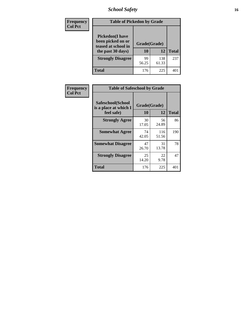# *School Safety* **16**

| Frequency      | <b>Table of Pickedon by Grade</b>                                                        |                    |              |              |
|----------------|------------------------------------------------------------------------------------------|--------------------|--------------|--------------|
| <b>Col Pct</b> | <b>Pickedon</b> (I have<br>been picked on or<br>teased at school in<br>the past 30 days) | Grade(Grade)<br>10 | 12           | <b>Total</b> |
|                | <b>Strongly Disagree</b>                                                                 | 99<br>56.25        | 138<br>61.33 | 237          |
|                | Total                                                                                    | 176                | 225          | 40           |

| Frequency      |                                                          | <b>Table of Safeschool by Grade</b> |              |              |  |  |  |  |  |  |  |  |
|----------------|----------------------------------------------------------|-------------------------------------|--------------|--------------|--|--|--|--|--|--|--|--|
| <b>Col Pct</b> | Safeschool(School<br>is a place at which I<br>feel safe) | Grade(Grade)<br><b>10</b>           | 12           | <b>Total</b> |  |  |  |  |  |  |  |  |
|                | <b>Strongly Agree</b>                                    | 30<br>17.05                         | 56<br>24.89  | 86           |  |  |  |  |  |  |  |  |
|                | <b>Somewhat Agree</b>                                    | 74<br>42.05                         | 116<br>51.56 | 190          |  |  |  |  |  |  |  |  |
|                | <b>Somewhat Disagree</b>                                 | 47<br>26.70                         | 31<br>13.78  | 78           |  |  |  |  |  |  |  |  |
|                | <b>Strongly Disagree</b>                                 | 25<br>14.20                         | 22<br>9.78   | 47           |  |  |  |  |  |  |  |  |
|                | <b>Total</b>                                             | 176                                 | 225          | 401          |  |  |  |  |  |  |  |  |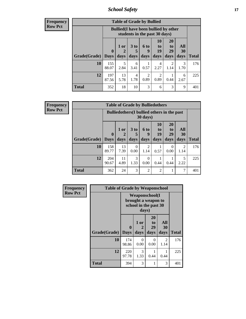*School Safety* **17**

**Frequency Row Pct**

| <b>Table of Grade by Bullied</b> |              |                                                                               |                              |                        |                        |                               |                          |              |  |  |  |
|----------------------------------|--------------|-------------------------------------------------------------------------------|------------------------------|------------------------|------------------------|-------------------------------|--------------------------|--------------|--|--|--|
|                                  |              | <b>Bullied</b> (I have been bullied by other<br>students in the past 30 days) |                              |                        |                        |                               |                          |              |  |  |  |
| <b>Grade</b> (Grade)   Days      | $\mathbf 0$  | 1 or<br>2<br>days                                                             | 3 <sub>to</sub><br>5<br>days | 6 to<br>9<br>days      | 10<br>to<br>19<br>days | <b>20</b><br>to<br>29<br>days | All<br><b>30</b><br>days | <b>Total</b> |  |  |  |
| 10                               | 155<br>88.07 | 5<br>2.84                                                                     | 6<br>3.41                    | 0.57                   | 4<br>2.27              | 2<br>1.14                     | 3<br>1.70                | 176          |  |  |  |
| 12                               | 197<br>87.56 | 13<br>5.78                                                                    | 4<br>1.78                    | $\mathfrak{D}$<br>0.89 | 2<br>0.89              | 0.44                          | 6<br>2.67                | 225          |  |  |  |
| <b>Total</b>                     | 352          | 18                                                                            | 10                           | 3                      | 6                      | 3                             | 9                        | 401          |  |  |  |

| <b>Table of Grade by Bulliedothers</b> |              |                                                                         |                      |                        |                |                  |           |              |  |  |  |  |
|----------------------------------------|--------------|-------------------------------------------------------------------------|----------------------|------------------------|----------------|------------------|-----------|--------------|--|--|--|--|
|                                        |              | <b>Bulliedothers</b> (I bullied others in the past<br>$30 \text{ days}$ |                      |                        |                |                  |           |              |  |  |  |  |
|                                        | $\mathbf{0}$ | 1 or                                                                    | 3 <sub>to</sub><br>5 | 6 to<br>q              | 10<br>to<br>19 | 20<br>to<br>29   | All<br>30 |              |  |  |  |  |
| Grade(Grade)                           | <b>Days</b>  | days                                                                    | days                 | days                   | days           | days             | days      | <b>Total</b> |  |  |  |  |
| 10                                     | 158<br>89.77 | 13<br>7.39                                                              | $\Omega$<br>0.00     | $\overline{c}$<br>1.14 | 0.57           | $\Omega$<br>0.00 | 2<br>1.14 | 176          |  |  |  |  |
| 12                                     | 204<br>90.67 | 11<br>4.89                                                              | 3<br>1.33            | 0<br>0.00              | 0.44           | 0.44             | 5<br>2.22 | 225          |  |  |  |  |
| <b>Total</b>                           | 362          | 24                                                                      | 3                    | $\mathfrak{D}$         | $\overline{2}$ |                  | 7         | 401          |  |  |  |  |

| <b>Frequency</b> | <b>Table of Grade by Weaponschool</b> |              |                   |                                                                        |                   |              |  |  |  |
|------------------|---------------------------------------|--------------|-------------------|------------------------------------------------------------------------|-------------------|--------------|--|--|--|
| <b>Row Pct</b>   |                                       |              | days)             | <b>Weaponschool</b> (I<br>brought a weapon to<br>school in the past 30 |                   |              |  |  |  |
|                  | Grade(Grade)   Days                   | $\bf{0}$     | 1 or<br>2<br>days | 20<br>to<br>29<br>days                                                 | All<br>30<br>days | <b>Total</b> |  |  |  |
|                  | 10                                    | 174<br>98.86 | 0<br>0.00         | 0<br>0.00                                                              | 2<br>1.14         | 176          |  |  |  |
|                  | 12                                    | 220<br>97.78 | 3<br>1.33         | 0.44                                                                   | 0.44              | 225          |  |  |  |
|                  | <b>Total</b>                          | 394          | 3                 |                                                                        | 3                 | 401          |  |  |  |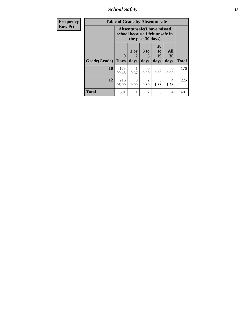*School Safety* **18**

| <b>Frequency</b> |              | <b>Table of Grade by Absentunsafe</b>                                |                   |                                     |                               |                   |              |
|------------------|--------------|----------------------------------------------------------------------|-------------------|-------------------------------------|-------------------------------|-------------------|--------------|
| <b>Row Pct</b>   |              | <b>Absentunsafe(I have missed</b><br>school because I felt unsafe in |                   |                                     |                               |                   |              |
|                  | Grade(Grade) | $\bf{0}$<br><b>Days</b>                                              | 1 or<br>2<br>days | 3 to<br>5<br>days                   | <b>10</b><br>to<br>19<br>days | All<br>30<br>days | <b>Total</b> |
|                  | 10           | 175<br>99.43                                                         | 0.57              | 0<br>0.00                           | $\mathcal{O}$<br>0.00         | $\theta$<br>0.00  | 176          |
|                  | 12           | 216<br>96.00                                                         | $\Omega$<br>0.00  | $\mathcal{D}_{\mathcal{A}}$<br>0.89 | 3<br>1.33                     | 4<br>1.78         | 225          |
|                  | <b>Total</b> | 391                                                                  |                   | $\mathfrak{D}$                      | 3                             | 4                 | 401          |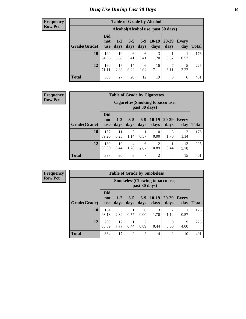# *Drug Use During Last 30 Days* **19**

#### **Frequency Row Pct**

| <b>Table of Grade by Alcohol</b> |                                 |                                    |                 |               |                 |                        |              |              |  |  |  |  |
|----------------------------------|---------------------------------|------------------------------------|-----------------|---------------|-----------------|------------------------|--------------|--------------|--|--|--|--|
|                                  |                                 | Alcohol(Alcohol use, past 30 days) |                 |               |                 |                        |              |              |  |  |  |  |
| Grade(Grade)                     | <b>Did</b><br>not<br><b>use</b> | $1 - 2$<br>days                    | $3 - 5$<br>days | $6-9$<br>days | $10-19$<br>days | 20-29<br>days          | Every<br>day | <b>Total</b> |  |  |  |  |
| 10                               | 149<br>84.66                    | 10<br>5.68                         | 6<br>3.41       | 6<br>3.41     | 3<br>1.70       | 0.57                   | 0.57         | 176          |  |  |  |  |
| 12                               | 160<br>71.11                    | 17<br>7.56                         | 14<br>6.22      | 6<br>2.67     | 16<br>7.11      | $\overline{7}$<br>3.11 | 5<br>2.22    | 225          |  |  |  |  |
| <b>Total</b>                     | 309                             | 27                                 | 20              | 12            | 19              | 8                      | 6            | 401          |  |  |  |  |

#### **Frequency Row Pct**

| <b>Table of Grade by Cigarettes</b> |                                 |                                                   |                        |               |                 |               |                     |              |  |  |  |  |
|-------------------------------------|---------------------------------|---------------------------------------------------|------------------------|---------------|-----------------|---------------|---------------------|--------------|--|--|--|--|
|                                     |                                 | Cigarettes (Smoking tobacco use,<br>past 30 days) |                        |               |                 |               |                     |              |  |  |  |  |
| Grade(Grade)                        | <b>Did</b><br>not<br><b>use</b> | $1 - 2$<br>days                                   | $3 - 5$<br>days        | $6-9$<br>days | $10-19$<br>days | 20-29<br>days | <b>Every</b><br>day | <b>Total</b> |  |  |  |  |
| 10                                  | 157<br>89.20                    | 11<br>6.25                                        | $\overline{2}$<br>1.14 | 0.57          | 0<br>0.00       | 3<br>1.70     | 2<br>1.14           | 176          |  |  |  |  |
| 12                                  | 180<br>80.00                    | 19<br>8.44                                        | 4<br>1.78              | 6<br>2.67     | 2<br>0.89       | 0.44          | 13<br>5.78          | 225          |  |  |  |  |
| <b>Total</b>                        | 337                             | 30                                                | 6                      | 7             | $\overline{2}$  | 4             | 15                  | 401          |  |  |  |  |

| <b>Table of Grade by Smokeless</b> |                                 |                                                         |                 |                        |                 |                                     |                     |              |  |  |  |
|------------------------------------|---------------------------------|---------------------------------------------------------|-----------------|------------------------|-----------------|-------------------------------------|---------------------|--------------|--|--|--|
|                                    |                                 | <b>Smokeless</b> (Chewing tobacco use,<br>past 30 days) |                 |                        |                 |                                     |                     |              |  |  |  |
| Grade(Grade)                       | <b>Did</b><br>not<br><b>use</b> | $1 - 2$<br>days                                         | $3 - 5$<br>days | $6-9$<br>days          | $10-19$<br>days | $20 - 29$<br>days                   | <b>Every</b><br>day | <b>Total</b> |  |  |  |
| 10                                 | 164<br>93.18                    | 5<br>2.84                                               | 0.57            | $\Omega$<br>0.00       | 3<br>1.70       | $\mathcal{D}_{\mathcal{L}}$<br>1.14 | 0.57                | 176          |  |  |  |
| 12                                 | 200<br>88.89                    | 12<br>5.33                                              | 0.44            | $\overline{2}$<br>0.89 | 0.44            | 0<br>0.00                           | 9<br>4.00           | 225          |  |  |  |
| <b>Total</b>                       | 364                             | 17                                                      | $\overline{2}$  | $\overline{2}$         | 4               | 2                                   | 10                  | 401          |  |  |  |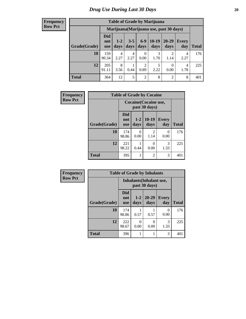| <b>Table of Grade by Marijuana</b> |                          |                                         |                 |                        |                   |                        |              |       |  |  |  |  |
|------------------------------------|--------------------------|-----------------------------------------|-----------------|------------------------|-------------------|------------------------|--------------|-------|--|--|--|--|
|                                    |                          | Marijuana (Marijuana use, past 30 days) |                 |                        |                   |                        |              |       |  |  |  |  |
| Grade(Grade)                       | Did<br>not<br><b>use</b> | $1 - 2$<br>days                         | $3 - 5$<br>days | $6-9$<br>days          | $10 - 19$<br>days | $20 - 29$<br>days      | Every<br>day | Total |  |  |  |  |
| 10                                 | 159<br>90.34             | 4<br>2.27                               | 4<br>2.27       | $\theta$<br>0.00       | 3<br>1.70         | $\mathfrak{D}$<br>1.14 | 4<br>2.27    | 176   |  |  |  |  |
| 12                                 | 205<br>91.11             | 8<br>3.56                               | 0.44            | $\overline{2}$<br>0.89 | 5<br>2.22         | 0<br>0.00              | 4<br>1.78    | 225   |  |  |  |  |
| <b>Total</b>                       | 364                      | 12                                      | 5               | $\overline{2}$         | 8                 | 2                      | 8            | 401   |  |  |  |  |

| Frequency      |              |                          | <b>Table of Grade by Cocaine</b> |                        |              |              |  |  |  |
|----------------|--------------|--------------------------|----------------------------------|------------------------|--------------|--------------|--|--|--|
| <b>Row Pct</b> |              | Cocaine (Cocaine use,    |                                  |                        |              |              |  |  |  |
|                | Grade(Grade) | <b>Did</b><br>not<br>use | $1 - 2$<br>days                  | $10-19$<br>days        | Every<br>day | <b>Total</b> |  |  |  |
|                | 10           | 174<br>98.86             | ∩<br>0.00                        | $\mathfrak{D}$<br>1.14 | 0<br>0.00    | 176          |  |  |  |
|                | 12           | 221<br>98.22             | 0.44                             | 0<br>0.00              | 3<br>1.33    | 225          |  |  |  |
|                | <b>Total</b> | 395                      |                                  | 2                      | 3            | 401          |  |  |  |

| Frequency      | <b>Table of Grade by Inhalants</b> |                                 |                 |                   |                     |              |  |  |
|----------------|------------------------------------|---------------------------------|-----------------|-------------------|---------------------|--------------|--|--|
| <b>Row Pct</b> |                                    | <b>Inhalants</b> (Inhalant use, |                 |                   |                     |              |  |  |
|                | Grade(Grade)                       | <b>Did</b><br>not<br><b>use</b> | $1 - 2$<br>days | $20 - 29$<br>days | <b>Every</b><br>day | <b>Total</b> |  |  |
|                | 10                                 | 174<br>98.86                    | 0.57            | 0.57              | $\Omega$<br>0.00    | 176          |  |  |
|                | 12                                 | 222<br>98.67                    | 0<br>0.00       | 0<br>0.00         | 3<br>1.33           | 225          |  |  |
|                | <b>Total</b>                       | 396                             |                 |                   | 3                   | 401          |  |  |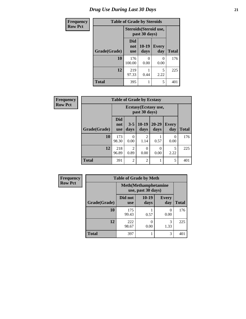# *Drug Use During Last 30 Days* **21**

| <b>Frequency</b> | <b>Table of Grade by Steroids</b> |                          |               |                        |              |
|------------------|-----------------------------------|--------------------------|---------------|------------------------|--------------|
| <b>Row Pct</b>   |                                   |                          | past 30 days) | Steroids (Steroid use, |              |
|                  | Grade(Grade)                      | Did<br>not<br><b>use</b> | 10-19<br>days | <b>Every</b><br>day    | <b>Total</b> |
|                  | 10                                | 176<br>100.00            | ∩<br>0.00     | 0.00                   | 176          |
|                  | 12                                | 219<br>97.33             | 0.44          | 5<br>2.22              | 225          |
|                  | <b>Total</b>                      | 395                      |               | 5                      | 401          |

| Frequency      | <b>Table of Grade by Ecstasy</b> |                                 |                  |                 |                   |              |              |  |
|----------------|----------------------------------|---------------------------------|------------------|-----------------|-------------------|--------------|--------------|--|
| <b>Row Pct</b> |                                  |                                 |                  |                 |                   |              |              |  |
|                | Grade(Grade)                     | <b>Did</b><br>not<br><b>use</b> | $3 - 5$<br>days  | $10-19$<br>days | $20 - 29$<br>days | Every<br>day | <b>Total</b> |  |
|                | 10                               | 173<br>98.30                    | $\Omega$<br>0.00 | 2<br>1.14       | 0.57              | 0<br>0.00    | 176          |  |
|                | 12                               | 218<br>96.89                    | 2<br>0.89        | 0<br>0.00       | $\theta$<br>0.00  | 5<br>2.22    | 225          |  |
|                | <b>Total</b>                     | 391                             | $\overline{2}$   | $\overline{2}$  |                   | 5            | 401          |  |

| <b>Frequency</b> |                                                    | <b>Table of Grade by Meth</b> |                 |                     |              |
|------------------|----------------------------------------------------|-------------------------------|-----------------|---------------------|--------------|
| <b>Row Pct</b>   | <b>Meth</b> (Methamphetamine<br>use, past 30 days) |                               |                 |                     |              |
|                  | Grade(Grade)                                       | Did not<br><b>use</b>         | $10-19$<br>days | <b>Every</b><br>day | <b>Total</b> |
|                  | 10                                                 | 175<br>99.43                  | 0.57            | 0<br>0.00           | 176          |
|                  | 12                                                 | 222<br>98.67                  | 0.00            | 3<br>1.33           | 225          |
|                  | <b>Total</b>                                       | 397                           |                 | 3                   | 401          |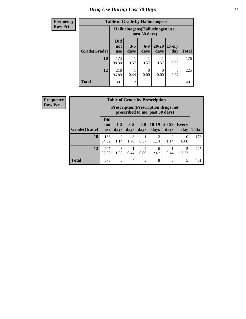# *Drug Use During Last 30 Days* **22**

| <b>Frequency</b> | <b>Table of Grade by Hallucinogens</b><br>Hallucinogens (Hallucinogen use,<br>past 30 days) |                                 |                 |                  |                   |                     |              |
|------------------|---------------------------------------------------------------------------------------------|---------------------------------|-----------------|------------------|-------------------|---------------------|--------------|
| <b>Row Pct</b>   |                                                                                             |                                 |                 |                  |                   |                     |              |
|                  | Grade(Grade)                                                                                | <b>Did</b><br>not<br><b>use</b> | $3 - 5$<br>days | $6 - 9$<br>days  | $20 - 29$<br>days | <b>Every</b><br>day | <b>Total</b> |
|                  | 10                                                                                          | 173<br>98.30                    | 0.57            | 0.57             | 0.57              | 0<br>0.00           | 176          |
|                  | 12                                                                                          | 218<br>96.89                    | 0.44            | $\Omega$<br>0.00 | $\theta$<br>0.00  | 6<br>2.67           | 225          |
|                  | <b>Total</b>                                                                                | 391                             | $\mathfrak{D}$  |                  | 1                 | 6                   | 401          |

| <b>Frequency</b> |
|------------------|
| <b>Row Pct</b>   |

| <b>Table of Grade by Prescription</b> |                                 |                                                                                |                 |                        |                 |                        |              |              |  |
|---------------------------------------|---------------------------------|--------------------------------------------------------------------------------|-----------------|------------------------|-----------------|------------------------|--------------|--------------|--|
|                                       |                                 | <b>Prescription</b> (Prescription drugs not<br>prescribed to me, past 30 days) |                 |                        |                 |                        |              |              |  |
| Grade(Grade)                          | <b>Did</b><br>not<br><b>use</b> | $1 - 2$<br>days                                                                | $3 - 5$<br>days | $6-9$<br>days          | $10-19$<br>days | $20 - 29$<br>days      | Every<br>day | <b>Total</b> |  |
| 10                                    | 166<br>94.32                    | $\mathfrak{D}$<br>1.14                                                         | 3<br>1.70       | 0.57                   | 2<br>1.14       | $\mathfrak{D}$<br>1.14 | 0<br>0.00    | 176          |  |
| 12                                    | 207<br>92.00                    | $\mathcal{R}$<br>1.33                                                          | 0.44            | $\overline{2}$<br>0.89 | 6<br>2.67       | 0.44                   | 5<br>2.22    | 225          |  |
| <b>Total</b>                          | 373                             | 5                                                                              | 4               | 3                      | 8               | 3                      | 5            | 401          |  |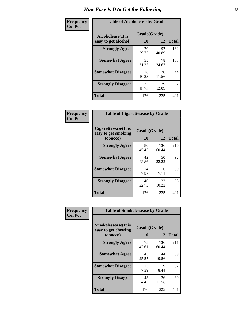| Frequency      | <b>Table of Alcoholease by Grade</b>              |             |                    |     |  |  |
|----------------|---------------------------------------------------|-------------|--------------------|-----|--|--|
| <b>Col Pct</b> | <b>Alcoholease</b> (It is<br>easy to get alcohol) | 10          | Grade(Grade)<br>12 |     |  |  |
|                | <b>Strongly Agree</b>                             | 70<br>39.77 | 92<br>40.89        | 162 |  |  |
|                | <b>Somewhat Agree</b>                             | 55<br>31.25 | 78<br>34.67        | 133 |  |  |
|                | <b>Somewhat Disagree</b>                          | 18<br>10.23 | 26<br>11.56        | 44  |  |  |
|                | <b>Strongly Disagree</b>                          | 33<br>18.75 | 29<br>12.89        | 62  |  |  |
|                | <b>Total</b>                                      | 176         | 225                | 401 |  |  |

| Frequency      | <b>Table of Cigarettesease by Grade</b>                  |                    |              |              |  |
|----------------|----------------------------------------------------------|--------------------|--------------|--------------|--|
| <b>Col Pct</b> | Cigarettesease (It is<br>easy to get smoking<br>tobacco) | Grade(Grade)<br>10 | 12           | <b>Total</b> |  |
|                | <b>Strongly Agree</b>                                    | 80<br>45.45        | 136<br>60.44 | 216          |  |
|                | <b>Somewhat Agree</b>                                    | 42<br>23.86        | 50<br>22.22  | 92           |  |
|                | <b>Somewhat Disagree</b>                                 | 14<br>7.95         | 16<br>7.11   | 30           |  |
|                | <b>Strongly Disagree</b>                                 | 40<br>22.73        | 23<br>10.22  | 63           |  |
|                | Total                                                    | 176                | 225          | 401          |  |

| Frequency      | <b>Table of Smokelessease by Grade</b>             |              |              |              |  |  |  |
|----------------|----------------------------------------------------|--------------|--------------|--------------|--|--|--|
| <b>Col Pct</b> | <b>Smokelessease</b> (It is<br>easy to get chewing | Grade(Grade) |              |              |  |  |  |
|                | tobacco)                                           | 10           | 12           | <b>Total</b> |  |  |  |
|                | <b>Strongly Agree</b>                              | 75<br>42.61  | 136<br>60.44 | 211          |  |  |  |
|                | <b>Somewhat Agree</b>                              | 45<br>25.57  | 44<br>19.56  | 89           |  |  |  |
|                | <b>Somewhat Disagree</b>                           | 13<br>7.39   | 19<br>8.44   | 32           |  |  |  |
|                | <b>Strongly Disagree</b>                           | 43<br>24.43  | 26<br>11.56  | 69           |  |  |  |
|                | Total                                              | 176          | 225          | 401          |  |  |  |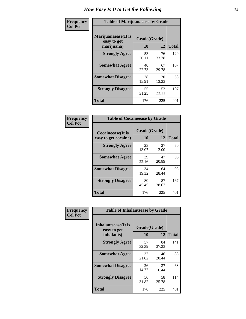| Frequency      | <b>Table of Marijuanaease by Grade</b>           |                    |             |              |  |
|----------------|--------------------------------------------------|--------------------|-------------|--------------|--|
| <b>Col Pct</b> | Marijuanaease(It is<br>easy to get<br>marijuana) | Grade(Grade)<br>10 | 12          | <b>Total</b> |  |
|                | <b>Strongly Agree</b>                            | 53<br>30.11        | 76<br>33.78 | 129          |  |
|                | <b>Somewhat Agree</b>                            | 40<br>22.73        | 67<br>29.78 | 107          |  |
|                | <b>Somewhat Disagree</b>                         | 28<br>15.91        | 30<br>13.33 | 58           |  |
|                | <b>Strongly Disagree</b>                         | 55<br>31.25        | 52<br>23.11 | 107          |  |
|                | <b>Total</b>                                     | 176                | 225         | 401          |  |

| <b>Table of Cocaineease by Grade</b>      |                    |                   |     |  |  |  |  |
|-------------------------------------------|--------------------|-------------------|-----|--|--|--|--|
| Cocaineease(It is<br>easy to get cocaine) | Grade(Grade)<br>10 | <b>Total</b>      |     |  |  |  |  |
| <b>Strongly Agree</b>                     | 23<br>13.07        | 12<br>27<br>12.00 | 50  |  |  |  |  |
| <b>Somewhat Agree</b>                     | 39<br>22.16        | 47<br>20.89       | 86  |  |  |  |  |
| <b>Somewhat Disagree</b>                  | 34<br>19.32        | 64<br>28.44       | 98  |  |  |  |  |
| <b>Strongly Disagree</b>                  | 80<br>45.45        | 87<br>38.67       | 167 |  |  |  |  |
| <b>Total</b>                              | 176                | 225               | 401 |  |  |  |  |

| Frequency      | <b>Table of Inhalantsease by Grade</b> |              |             |              |
|----------------|----------------------------------------|--------------|-------------|--------------|
| <b>Col Pct</b> | Inhalantsease(It is<br>easy to get     | Grade(Grade) |             |              |
|                | inhalants)                             | 10           | 12          | <b>Total</b> |
|                | <b>Strongly Agree</b>                  | 57<br>32.39  | 84<br>37.33 | 141          |
|                | <b>Somewhat Agree</b>                  | 37<br>21.02  | 46<br>20.44 | 83           |
|                | <b>Somewhat Disagree</b>               | 26<br>14.77  | 37<br>16.44 | 63           |
|                | <b>Strongly Disagree</b>               | 56<br>31.82  | 58<br>25.78 | 114          |
|                | <b>Total</b>                           | 176          | 225         | 401          |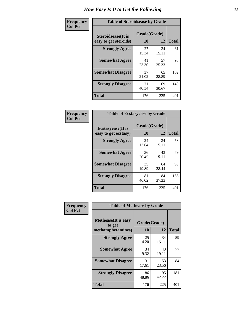| Frequency      | <b>Table of Steroidsease by Grade</b>               |                    |             |              |  |  |  |  |  |  |  |  |
|----------------|-----------------------------------------------------|--------------------|-------------|--------------|--|--|--|--|--|--|--|--|
| <b>Col Pct</b> | <b>Steroidsease</b> (It is<br>easy to get steroids) | Grade(Grade)<br>10 | 12          | <b>Total</b> |  |  |  |  |  |  |  |  |
|                | <b>Strongly Agree</b>                               | 27<br>15.34        | 34<br>15.11 | 61           |  |  |  |  |  |  |  |  |
|                | <b>Somewhat Agree</b>                               | 41<br>23.30        | 57<br>25.33 | 98           |  |  |  |  |  |  |  |  |
|                | <b>Somewhat Disagree</b>                            | 37<br>21.02        | 65<br>28.89 | 102          |  |  |  |  |  |  |  |  |
|                | <b>Strongly Disagree</b>                            | 71<br>40.34        | 69<br>30.67 | 140          |  |  |  |  |  |  |  |  |
|                | <b>Total</b>                                        | 176                | 225         | 401          |  |  |  |  |  |  |  |  |

| Frequency      | <b>Table of Ecstasyease by Grade</b>              |                    |             |              |
|----------------|---------------------------------------------------|--------------------|-------------|--------------|
| <b>Col Pct</b> | <b>Ecstasyease</b> (It is<br>easy to get ecstasy) | Grade(Grade)<br>10 | 12          | <b>Total</b> |
|                | <b>Strongly Agree</b>                             | 24<br>13.64        | 34<br>15.11 | 58           |
|                | <b>Somewhat Agree</b>                             | 36<br>20.45        | 43<br>19.11 | 79           |
|                | <b>Somewhat Disagree</b>                          | 35<br>19.89        | 64<br>28.44 | 99           |
|                | <b>Strongly Disagree</b>                          | 81<br>46.02        | 84<br>37.33 | 165          |
|                | Total                                             | 176                | 225         | 401          |

| Frequency      | <b>Table of Methease by Grade</b>                          |                    |             |              |
|----------------|------------------------------------------------------------|--------------------|-------------|--------------|
| <b>Col Pct</b> | <b>Methease</b> (It is easy<br>to get<br>methamphetamines) | Grade(Grade)<br>10 | 12          | <b>Total</b> |
|                | <b>Strongly Agree</b>                                      | 25<br>14.20        | 34<br>15.11 | 59           |
|                | <b>Somewhat Agree</b>                                      | 34<br>19.32        | 43<br>19.11 | 77           |
|                | <b>Somewhat Disagree</b>                                   | 31<br>17.61        | 53<br>23.56 | 84           |
|                | <b>Strongly Disagree</b>                                   | 86<br>48.86        | 95<br>42.22 | 181          |
|                | <b>Total</b>                                               | 176                | 225         | 401          |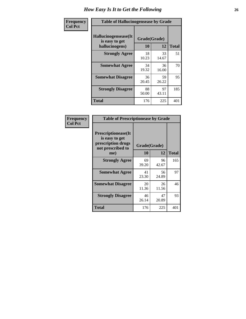| <b>Frequency</b> | <b>Table of Hallucinogensease by Grade</b>               |                    |             |              |
|------------------|----------------------------------------------------------|--------------------|-------------|--------------|
| <b>Col Pct</b>   | Hallucinogensease(It<br>is easy to get<br>hallucinogens) | Grade(Grade)<br>10 | 12          | <b>Total</b> |
|                  | <b>Strongly Agree</b>                                    | 18<br>10.23        | 33<br>14.67 | 51           |
|                  | <b>Somewhat Agree</b>                                    | 34<br>19.32        | 36<br>16.00 | 70           |
|                  | <b>Somewhat Disagree</b>                                 | 36<br>20.45        | 59<br>26.22 | 95           |
|                  | <b>Strongly Disagree</b>                                 | 88<br>50.00        | 97<br>43.11 | 185          |
|                  | <b>Total</b>                                             | 176                | 225         | 401          |

| Frequency<br>  Col Pct |
|------------------------|
|                        |

| <b>Table of Prescriptionease by Grade</b>                                                |             |              |              |  |  |  |  |  |  |  |
|------------------------------------------------------------------------------------------|-------------|--------------|--------------|--|--|--|--|--|--|--|
| <b>Prescriptionease</b> (It<br>is easy to get<br>prescription drugs<br>not prescribed to |             | Grade(Grade) |              |  |  |  |  |  |  |  |
| me)                                                                                      | 10          | 12           | <b>Total</b> |  |  |  |  |  |  |  |
| <b>Strongly Agree</b>                                                                    | 69<br>39.20 | 96<br>42.67  | 165          |  |  |  |  |  |  |  |
| <b>Somewhat Agree</b>                                                                    | 41<br>23.30 | 56<br>24.89  | 97           |  |  |  |  |  |  |  |
| <b>Somewhat Disagree</b>                                                                 | 20<br>11.36 | 26<br>11.56  | 46           |  |  |  |  |  |  |  |
| <b>Strongly Disagree</b>                                                                 | 46<br>26.14 | 47<br>20.89  | 93           |  |  |  |  |  |  |  |
| Total                                                                                    | 176         | 225          | 401          |  |  |  |  |  |  |  |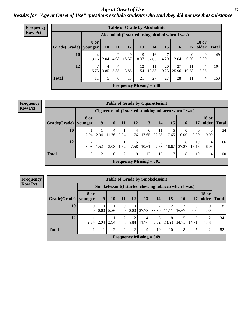*Age at Onset of Use* **27** *Results for "Age at Onset of Use" questions exclude students who said they did not use that substance*

| <b>Frequency</b> |                        |             |           |                        |            |             | <b>Table of Grade by Alcoholinit</b> |             |                                                  |                  |                       |              |
|------------------|------------------------|-------------|-----------|------------------------|------------|-------------|--------------------------------------|-------------|--------------------------------------------------|------------------|-----------------------|--------------|
| <b>Row Pct</b>   |                        |             |           |                        |            |             |                                      |             | Alcoholinit (I started using alcohol when I was) |                  |                       |              |
|                  | Grade(Grade)   younger | <b>8 or</b> | <b>10</b> | 11                     | 12         | 13          | 14                                   | 15          | <b>16</b>                                        | 17               | <b>18 or</b><br>older | <b>Total</b> |
|                  | 10                     | 4<br>8.16   | 2.04      | ↑<br>4.08              | 9<br>18.37 | 9<br>18.37  | 16<br>32.65                          | 7<br>14.29  | 2.04                                             | $\Omega$<br>0.00 | 0<br>0.00             | 49           |
|                  | 12                     | ┑<br>6.73   | 4<br>3.85 | $\overline{4}$<br>3.85 | 4<br>3.85  | 12<br>11.54 | 11<br>10.58                          | 20<br>19.23 | 27<br>25.96                                      | 11<br>10.58      | 4<br>3.85             | 104          |
|                  | <b>Total</b>           | 11          | 5         | 6                      | 13         | 21          | 27                                   | 27          | 28                                               | 11               | 4                     | 153          |
|                  |                        |             |           |                        |            |             | Frequency Missing $= 248$            |             |                                                  |                  |                       |              |

| <b>Frequency</b> | <b>Table of Grade by Cigarettesinit</b> |                               |                                                       |       |      |                           |            |             |             |             |                  |                       |              |
|------------------|-----------------------------------------|-------------------------------|-------------------------------------------------------|-------|------|---------------------------|------------|-------------|-------------|-------------|------------------|-----------------------|--------------|
| <b>Row Pct</b>   |                                         |                               | Cigarettesinit (I started smoking tobacco when I was) |       |      |                           |            |             |             |             |                  |                       |              |
|                  | Grade(Grade)                            | <b>8 or</b><br><b>younger</b> | 9                                                     | 10    | 11   | 12                        | 13         | 14          | 15          | 16          | 17               | <b>18 or</b><br>older | <b>Total</b> |
|                  | 10                                      | 2.94                          | $2.94 \perp$                                          | 11.76 |      | 4<br>$2.94$   11.76       | 6<br>17.65 | 11<br>32.35 | 6<br>17.65  | 0.00        | $\theta$<br>0.00 | 0<br>0.00             | 34           |
|                  | 12                                      | 3.03                          | 1.52                                                  | 3.03  | 1.52 | 7.58                      | 7<br>10.61 | 7.58        | 11<br>16.67 | 18<br>27.27 | 10<br>15.15      | 4<br>6.06             | 66           |
|                  | <b>Total</b>                            | 3                             | $\overline{2}$                                        | 6     | 2    | 9                         | 13         | 16          | 17          | 18          | 10               | 4                     | 100          |
|                  |                                         |                               |                                                       |       |      | Frequency Missing $= 301$ |            |             |             |             |                  |                       |              |

| <b>Table of Grade by Smokelessinit</b> |                        |                                                      |                |                  |                  |                           |            |            |            |                  |                       |              |  |
|----------------------------------------|------------------------|------------------------------------------------------|----------------|------------------|------------------|---------------------------|------------|------------|------------|------------------|-----------------------|--------------|--|
|                                        |                        | Smokelessinit (I started chewing tobacco when I was) |                |                  |                  |                           |            |            |            |                  |                       |              |  |
| Grade(Grade)                           | <b>8 or</b><br>younger | 9                                                    | 10             | 11               | 12               | 13                        | 14         | 15         | 16         | <b>17</b>        | <b>18 or</b><br>older | <b>Total</b> |  |
| 10                                     | $\theta$<br>0.00       | $\mathbf{0}$<br>0.00                                 | 5.56           | $\theta$<br>0.00 | $\Omega$<br>0.00 | 5<br>27.78                | 7<br>38.89 | 2<br>11.11 | 3<br>16.67 | $\Omega$<br>0.00 | 0<br>0.00             | 18           |  |
| 12                                     | 2.94                   | 2.94                                                 | 2.94           | 2<br>5.88        | 2<br>5.88        | $\overline{4}$<br>11.76   | 3<br>8.82  | 8<br>23.53 | 14.71      | 14.71            | 2<br>5.88             | 34           |  |
| <b>Total</b>                           |                        | 1                                                    | $\overline{2}$ | 2                | 2                | 9                         | 10         | 10         | 8          | 5                | $\overline{2}$        | 52           |  |
|                                        |                        |                                                      |                |                  |                  | Frequency Missing $=$ 349 |            |            |            |                  |                       |              |  |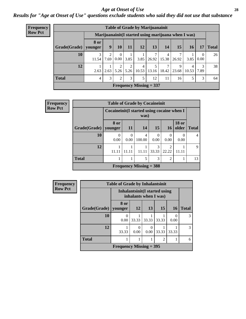#### *Age at Onset of Use* **28**

*Results for "Age at Onset of Use" questions exclude students who said they did not use that substance*

| Frequency      |              |                        |           |                  |      |                   | <b>Table of Grade by Marijuanainit</b>               |            |            |            |                        |              |
|----------------|--------------|------------------------|-----------|------------------|------|-------------------|------------------------------------------------------|------------|------------|------------|------------------------|--------------|
| <b>Row Pct</b> |              |                        |           |                  |      |                   | Marijuanainit (I started using marijuana when I was) |            |            |            |                        |              |
|                | Grade(Grade) | <b>8 or</b><br>younger | 9         | <b>10</b>        | 11   | 12                | 13                                                   | <b>14</b>  | 15         | 16         | 17                     | <b>Total</b> |
|                | 10           | 3<br>11.54             | 2<br>7.69 | $\Omega$<br>0.00 | 3.85 | 3.85              | 26.92                                                | 4<br>15.38 | 26.92      | 3.85       | $\overline{0}$<br>0.00 | 26           |
|                | 12           | 2.63                   | 2.63      | 2<br>5.26        | 2    | 4<br>$5.26$ 10.53 | 13.16                                                | 18.42      | Q<br>23.68 | 4<br>10.53 | 3<br>7.89              | 38           |
|                | <b>Total</b> | $\overline{4}$         | 3         | 2                | 3    | 5                 | 12                                                   | 11         | 16         | 5          | 3                      | 64           |
|                |              |                        |           |                  |      |                   | Frequency Missing $= 337$                            |            |            |            |                        |              |

| <b>Frequency</b> |                        | <b>Table of Grade by Cocaineinit</b>        |           |                           |                  |                         |                       |              |
|------------------|------------------------|---------------------------------------------|-----------|---------------------------|------------------|-------------------------|-----------------------|--------------|
| <b>Row Pct</b>   |                        | Cocaineinit (I started using cocaine when I |           | was)                      |                  |                         |                       |              |
|                  | Grade(Grade)   younger | 8 or                                        | <b>11</b> | 14                        | <b>15</b>        | 16                      | <b>18 or</b><br>older | <b>Total</b> |
|                  | 10                     | $\Omega$<br>0.00                            | ∩<br>0.00 | 4<br>100.00               | $\Omega$<br>0.00 | $\Omega$<br>0.00        | 0.00                  | 4            |
|                  | 12                     | 11.11                                       | 11.11     | 11.11                     | 3<br>33.33       | $\overline{2}$<br>22.22 | 11.11                 | 9            |
|                  | <b>Total</b>           |                                             | 1         | 5                         | 3                | $\overline{2}$          |                       | 13           |
|                  |                        |                                             |           | Frequency Missing $=$ 388 |                  |                         |                       |              |

| <b>Frequency</b> | <b>Table of Grade by Inhalantsinit</b> |                           |                  |                                                         |       |                  |               |  |
|------------------|----------------------------------------|---------------------------|------------------|---------------------------------------------------------|-------|------------------|---------------|--|
| <b>Row Pct</b>   |                                        |                           |                  | Inhalantsinit (I started using<br>inhalants when I was) |       |                  |               |  |
|                  | <b>Grade</b> (Grade)                   | 8 or<br>  younger         | 12               | 13                                                      | 15    | <b>16</b>        | <b>Total</b>  |  |
|                  | 10                                     | 0.00                      | 33.33            | 33.33                                                   | 33.33 | $\Omega$<br>0.00 | 3             |  |
|                  | 12                                     | 33.33                     | $\theta$<br>0.00 | $\theta$<br>0.00                                        | 33.33 | 33.33            | $\mathcal{R}$ |  |
|                  | <b>Total</b>                           |                           |                  |                                                         | 2     |                  | 6             |  |
|                  |                                        | Frequency Missing $=$ 395 |                  |                                                         |       |                  |               |  |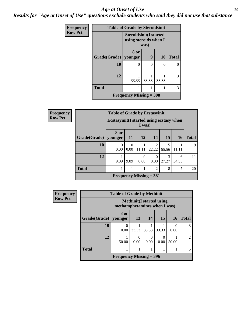#### *Age at Onset of Use* **29**

*Results for "Age at Onset of Use" questions exclude students who said they did not use that substance*

| <b>Frequency</b> | <b>Table of Grade by Steroidsinit</b> |                                                        |       |           |              |  |  |  |
|------------------|---------------------------------------|--------------------------------------------------------|-------|-----------|--------------|--|--|--|
| <b>Row Pct</b>   |                                       | <b>Steroidsinit(I started</b><br>using steroids when I | was)  |           |              |  |  |  |
|                  | Grade(Grade)                          | 8 or<br>younger                                        | 9     | <b>10</b> | <b>Total</b> |  |  |  |
|                  | 10                                    | ∩                                                      | 0     | 0         | 0            |  |  |  |
|                  | 12                                    | 33.33                                                  | 33.33 | 33.33     | 3            |  |  |  |
|                  | <b>Total</b>                          |                                                        |       |           | 3            |  |  |  |
|                  |                                       | Frequency Missing $=$ 398                              |       |           |              |  |  |  |

| <b>Frequency</b> |              | <b>Table of Grade by Ecstasyinit</b>                |                  |       |                                      |            |                 |              |  |  |
|------------------|--------------|-----------------------------------------------------|------------------|-------|--------------------------------------|------------|-----------------|--------------|--|--|
| <b>Row Pct</b>   |              | Ecstasyinit (I started using ecstasy when<br>I was) |                  |       |                                      |            |                 |              |  |  |
|                  | Grade(Grade) | 8 or<br>younger                                     | <b>11</b>        | 12    | 14                                   | 15         | 16 <sup>1</sup> | <b>Total</b> |  |  |
|                  | 10           | $\theta$<br>0.00                                    | $\Omega$<br>0.00 | 11.11 | $\mathcal{D}_{\mathcal{L}}$<br>22.22 | 5<br>55.56 | 11.11           | 9            |  |  |
|                  | 12           | 9.09                                                | 9.09             | 0.00  | 0<br>0.00                            | 3<br>27.27 | 6<br>54.55      | 11           |  |  |
|                  | <b>Total</b> | 1                                                   |                  |       | 2                                    | 8          | 7               | 20           |  |  |
|                  |              |                                                     |                  |       | Frequency Missing $= 381$            |            |                 |              |  |  |

| <b>Frequency</b> | <b>Table of Grade by Methinit</b> |                              |       |                                  |       |           |                |  |
|------------------|-----------------------------------|------------------------------|-------|----------------------------------|-------|-----------|----------------|--|
| <b>Row Pct</b>   |                                   | methamphetamines when I was) |       | <b>Methinit</b> (I started using |       |           |                |  |
|                  | Grade(Grade)                      | 8 or<br>vounger              | 13    | 14                               | 15    | <b>16</b> | <b>Total</b>   |  |
|                  | 10                                | $\theta$<br>0.00             | 33.33 | 33.33                            | 33.33 | 0.00      | 3              |  |
|                  | 12                                | 50.00                        | 0.00  | 0.00                             | 0.00  | 50.00     | $\overline{2}$ |  |
|                  | <b>Total</b>                      |                              |       |                                  |       |           | 5              |  |
|                  |                                   | Frequency Missing $=$ 396    |       |                                  |       |           |                |  |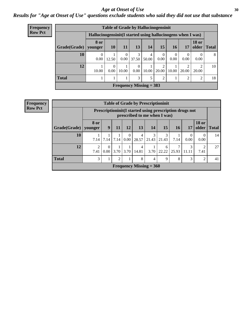#### Age at Onset of Use **30**

### *Results for "Age at Onset of Use" questions exclude students who said they did not use that substance*

| <b>Frequency</b> | <b>Table of Grade by Hallucinogensinit</b> |                                                              |           |                        |                  |                           |                |                  |                  |                         |              |
|------------------|--------------------------------------------|--------------------------------------------------------------|-----------|------------------------|------------------|---------------------------|----------------|------------------|------------------|-------------------------|--------------|
| <b>Row Pct</b>   |                                            | Hallucinogensinit (I started using hallucinogens when I was) |           |                        |                  |                           |                |                  |                  |                         |              |
|                  | Grade(Grade)                               | 8 or<br>younger                                              | 10        | 11                     | 13               | 14                        | 15             | 16               | 17               | <b>18 or</b><br>older   | <b>Total</b> |
|                  | 10                                         | $\Omega$<br>0.00                                             | 12.50     | $\overline{0}$<br>0.00 | 3<br>37.50       | 4<br>50.00                | 0<br>0.00      | $\Omega$<br>0.00 | $\Omega$<br>0.00 | $\theta$<br>0.00        | 8            |
|                  | 12                                         | 10.00                                                        | 0<br>0.00 | 10.00                  | $\Omega$<br>0.00 | 10.00                     | ↑<br>20.00     | 10.00            | 20.00            | $\mathfrak{D}$<br>20.00 | 10           |
|                  | <b>Total</b>                               |                                                              |           |                        | 3                | 5                         | $\overline{2}$ |                  | ∍                | $\overline{2}$          | 18           |
|                  |                                            |                                                              |           |                        |                  | Frequency Missing $=$ 383 |                |                  |                  |                         |              |

| <b>Table of Grade by Prescriptioninit</b> |                                     |                                                                                          |      |                        |                           |            |            |            |            |                  |              |
|-------------------------------------------|-------------------------------------|------------------------------------------------------------------------------------------|------|------------------------|---------------------------|------------|------------|------------|------------|------------------|--------------|
|                                           |                                     | Prescriptioninit (I started using prescription drugs not<br>prescribed to me when I was) |      |                        |                           |            |            |            |            |                  |              |
| Grade(Grade)                              | 8 or<br>vounger                     | <b>18 or</b><br><b>15</b><br>9<br>13<br>12<br>14<br>older<br><b>16</b><br>11<br>17       |      |                        |                           |            |            |            |            |                  | <b>Total</b> |
| 10                                        | 7.14                                | 7.14                                                                                     | 7.14 | $\overline{0}$<br>0.00 | 4<br>28.57                | 3<br>21.43 | 3<br>21.43 | 7.14       | 0.00       | $\theta$<br>0.00 | 14           |
| 12                                        | $\mathcal{D}_{\mathcal{L}}$<br>7.41 | 0<br>0.00                                                                                | 3.70 | 3.70                   | 4<br>14.81                | 3.70       | 6<br>22.22 | 7<br>25.93 | 3<br>11.11 | ി<br>7.41        | 27           |
| <b>Total</b>                              | 3                                   | 8<br>2<br>8<br>3<br>9<br>2<br>4                                                          |      |                        |                           |            |            |            |            | 41               |              |
|                                           |                                     |                                                                                          |      |                        | Frequency Missing $= 360$ |            |            |            |            |                  |              |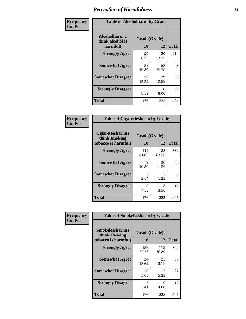| Frequency      | <b>Table of Alcoholharm by Grade</b>          |                    |              |              |  |  |  |
|----------------|-----------------------------------------------|--------------------|--------------|--------------|--|--|--|
| <b>Col Pct</b> | Alcoholharm(I<br>think alcohol is<br>harmful) | Grade(Grade)<br>10 | 12           | <b>Total</b> |  |  |  |
|                | <b>Strongly Agree</b>                         | 99<br>56.25        | 120<br>53.33 | 219          |  |  |  |
|                | <b>Somewhat Agree</b>                         | 35<br>19.89        | 58<br>25.78  | 93           |  |  |  |
|                | <b>Somewhat Disagree</b>                      | 27<br>15.34        | 29<br>12.89  | 56           |  |  |  |
|                | <b>Strongly Disagree</b>                      | 15<br>8.52         | 18<br>8.00   | 33           |  |  |  |
|                | <b>Total</b>                                  | 176                | 225          | 401          |  |  |  |

| <b>Table of Cigarettesharm by Grade</b>                  |                    |              |              |  |  |  |  |  |  |
|----------------------------------------------------------|--------------------|--------------|--------------|--|--|--|--|--|--|
| Cigarettesharm(I<br>think smoking<br>tobacco is harmful) | Grade(Grade)<br>10 | 12           | <b>Total</b> |  |  |  |  |  |  |
| <b>Strongly Agree</b>                                    | 144<br>81.82       | 188<br>83.56 | 332          |  |  |  |  |  |  |
| <b>Somewhat Agree</b>                                    | 19<br>10.80        | 26<br>11.56  | 45           |  |  |  |  |  |  |
| <b>Somewhat Disagree</b>                                 | 5<br>2.84          | 3<br>1.33    | 8            |  |  |  |  |  |  |
| <b>Strongly Disagree</b>                                 | 8<br>4.55          | 8<br>3.56    | 16           |  |  |  |  |  |  |
| <b>Total</b>                                             | 176                | 225          | 401          |  |  |  |  |  |  |

| Frequency      | <b>Table of Smokelessharm by Grade</b>                  |                    |              |              |
|----------------|---------------------------------------------------------|--------------------|--------------|--------------|
| <b>Col Pct</b> | Smokelessharm(I<br>think chewing<br>tobacco is harmful) | Grade(Grade)<br>10 | 12           | <b>Total</b> |
|                | <b>Strongly Agree</b>                                   | 136<br>77.27       | 173<br>76.89 | 309          |
|                | <b>Somewhat Agree</b>                                   | 24<br>13.64        | 31<br>13.78  | 55           |
|                | <b>Somewhat Disagree</b>                                | 10<br>5.68         | 12<br>5.33   | 22           |
|                | <b>Strongly Disagree</b>                                | 6<br>3.41          | 9<br>4.00    | 15           |
|                | <b>Total</b>                                            | 176                | 225          | 401          |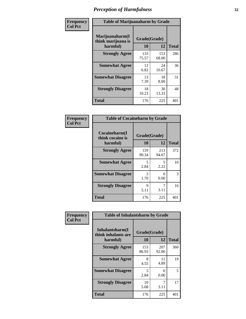| Frequency      |                                                   | <b>Table of Marijuanaharm by Grade</b> |              |              |  |  |  |  |
|----------------|---------------------------------------------------|----------------------------------------|--------------|--------------|--|--|--|--|
| <b>Col Pct</b> | Marijuanaharm(I<br>think marijuana is<br>harmful) | Grade(Grade)<br>10                     | 12           | <b>Total</b> |  |  |  |  |
|                | <b>Strongly Agree</b>                             | 133<br>75.57                           | 153<br>68.00 | 286          |  |  |  |  |
|                | <b>Somewhat Agree</b>                             | 12<br>6.82                             | 24<br>10.67  | 36           |  |  |  |  |
|                | <b>Somewhat Disagree</b>                          | 13<br>7.39                             | 18<br>8.00   | 31           |  |  |  |  |
|                | <b>Strongly Disagree</b>                          | 18<br>10.23                            | 30<br>13.33  | 48           |  |  |  |  |
|                | <b>Total</b>                                      | 176                                    | 225          | 401          |  |  |  |  |

| <b>Table of Cocaineharm by Grade</b>          |                    |              |     |  |  |  |  |  |  |
|-----------------------------------------------|--------------------|--------------|-----|--|--|--|--|--|--|
| Cocaineharm(I<br>think cocaine is<br>harmful) | Grade(Grade)<br>10 | <b>Total</b> |     |  |  |  |  |  |  |
| <b>Strongly Agree</b>                         | 159<br>90.34       | 213<br>94.67 | 372 |  |  |  |  |  |  |
| <b>Somewhat Agree</b>                         | 5<br>2.84          | 5<br>2.22    | 10  |  |  |  |  |  |  |
| <b>Somewhat Disagree</b>                      | 3<br>1.70          | 0<br>0.00    | 3   |  |  |  |  |  |  |
| <b>Strongly Disagree</b>                      | 9<br>5.11          | 7<br>3.11    | 16  |  |  |  |  |  |  |
| <b>Total</b>                                  | 176                | 225          | 401 |  |  |  |  |  |  |

| Frequency      | <b>Table of Inhalantsharm by Grade</b>             |                    |              |              |
|----------------|----------------------------------------------------|--------------------|--------------|--------------|
| <b>Col Pct</b> | Inhalantsharm(I<br>think inhalants are<br>harmful) | Grade(Grade)<br>10 | 12           | <b>Total</b> |
|                | <b>Strongly Agree</b>                              | 153<br>86.93       | 207<br>92.00 | 360          |
|                | <b>Somewhat Agree</b>                              | 8<br>4.55          | 11<br>4.89   | 19           |
|                | <b>Somewhat Disagree</b>                           | 5<br>2.84          | 0<br>0.00    | 5            |
|                | <b>Strongly Disagree</b>                           | 10<br>5.68         | 7<br>3.11    | 17           |
|                | <b>Total</b>                                       | 176                | 225          | 401          |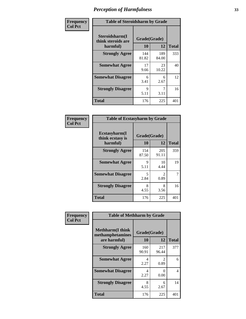| Frequency      | <b>Table of Steroidsharm by Grade</b>            |                    |              |              |
|----------------|--------------------------------------------------|--------------------|--------------|--------------|
| <b>Col Pct</b> | Steroidsharm(I<br>think steroids are<br>harmful) | Grade(Grade)<br>10 | 12           | <b>Total</b> |
|                | <b>Strongly Agree</b>                            | 144<br>81.82       | 189<br>84.00 | 333          |
|                | <b>Somewhat Agree</b>                            | 17<br>9.66         | 23<br>10.22  | 40           |
|                | <b>Somewhat Disagree</b>                         | 6<br>3.41          | 6<br>2.67    | 12           |
|                | <b>Strongly Disagree</b>                         | 9<br>5.11          | 7<br>3.11    | 16           |
|                | <b>Total</b>                                     | 176                | 225          | 401          |

| <b>Table of Ecstasyharm by Grade</b>          |                    |                                     |              |  |
|-----------------------------------------------|--------------------|-------------------------------------|--------------|--|
| Ecstasyharm(I<br>think ecstasy is<br>harmful) | Grade(Grade)<br>10 | 12                                  | <b>Total</b> |  |
| <b>Strongly Agree</b>                         | 154<br>87.50       | 205<br>91.11                        | 359          |  |
| <b>Somewhat Agree</b>                         | 9<br>5.11          | 10<br>4.44                          | 19           |  |
| <b>Somewhat Disagree</b>                      | 5<br>2.84          | $\mathcal{D}_{\mathcal{L}}$<br>0.89 | 7            |  |
| <b>Strongly Disagree</b>                      | 8<br>4.55          | 8<br>3.56                           | 16           |  |
| Total                                         | 176                | 225                                 | 401          |  |

| Frequency      | <b>Table of Methharm by Grade</b>                            |                    |              |              |
|----------------|--------------------------------------------------------------|--------------------|--------------|--------------|
| <b>Col Pct</b> | <b>Methharm</b> (I think<br>methamphetamines<br>are harmful) | Grade(Grade)<br>10 | 12           | <b>Total</b> |
|                | <b>Strongly Agree</b>                                        | 160<br>90.91       | 217<br>96.44 | 377          |
|                | <b>Somewhat Agree</b>                                        | 4<br>2.27          | 2<br>0.89    | 6            |
|                | <b>Somewhat Disagree</b>                                     | 4<br>2.27          | 0<br>0.00    | 4            |
|                | <b>Strongly Disagree</b>                                     | 8<br>4.55          | 6<br>2.67    | 14           |
|                | <b>Total</b>                                                 | 176                | 225          | 401          |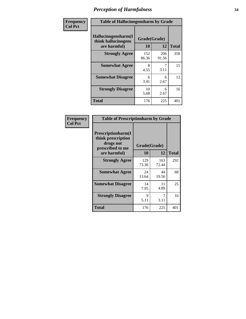| Frequency      | <b>Table of Hallucinogensharm by Grade</b>                 |                    |              |              |
|----------------|------------------------------------------------------------|--------------------|--------------|--------------|
| <b>Col Pct</b> | Hallucinogensharm(I<br>think hallucinogens<br>are harmful) | Grade(Grade)<br>10 | 12           | <b>Total</b> |
|                | <b>Strongly Agree</b>                                      | 152<br>86.36       | 206<br>91.56 | 358          |
|                | <b>Somewhat Agree</b>                                      | 8<br>4.55          | 7<br>3.11    | 15           |
|                | <b>Somewhat Disagree</b>                                   | 6<br>3.41          | 6<br>2.67    | 12           |
|                | <b>Strongly Disagree</b>                                   | 10<br>5.68         | 6<br>2.67    | 16           |
|                | <b>Total</b>                                               | 176                | 225          | 401          |

| <b>Table of Prescriptionharm by Grade</b>                                         |              |              |              |  |
|-----------------------------------------------------------------------------------|--------------|--------------|--------------|--|
| <b>Prescriptionharm</b> (I<br>think prescription<br>drugs not<br>prescribed to me | Grade(Grade) |              |              |  |
| are harmful)                                                                      | 10           | 12           | <b>Total</b> |  |
| <b>Strongly Agree</b>                                                             | 129<br>73.30 | 163<br>72.44 | 292          |  |
| <b>Somewhat Agree</b>                                                             | 24<br>13.64  | 44<br>19.56  | 68           |  |
| <b>Somewhat Disagree</b>                                                          | 14<br>7.95   | 11<br>4.89   | 25           |  |
| <b>Strongly Disagree</b>                                                          | 9<br>5.11    | 7<br>3.11    | 16           |  |
| <b>Total</b>                                                                      | 176          | 225          | 401          |  |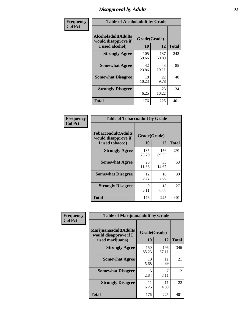# *Disapproval by Adults* **35**

| Frequency      | <b>Table of Alcoholadult by Grade</b>                                 |                    |              |              |
|----------------|-----------------------------------------------------------------------|--------------------|--------------|--------------|
| <b>Col Pct</b> | <b>Alcoholadult</b> (Adults<br>would disapprove if<br>I used alcohol) | Grade(Grade)<br>10 | 12           | <b>Total</b> |
|                | <b>Strongly Agree</b>                                                 | 105<br>59.66       | 137<br>60.89 | 242          |
|                | <b>Somewhat Agree</b>                                                 | 42<br>23.86        | 43<br>19.11  | 85           |
|                | <b>Somewhat Disagree</b>                                              | 18<br>10.23        | 22<br>9.78   | 40           |
|                | <b>Strongly Disagree</b>                                              | 11<br>6.25         | 23<br>10.22  | 34           |
|                | <b>Total</b>                                                          | 176                | 225          | 401          |

| <b>Table of Tobaccoadult by Grade</b>                                                             |              |              |     |  |
|---------------------------------------------------------------------------------------------------|--------------|--------------|-----|--|
| <b>Tobaccoadult</b> (Adults<br>Grade(Grade)<br>would disapprove if<br>10<br>12<br>I used tobacco) |              |              |     |  |
| <b>Strongly Agree</b>                                                                             | 135<br>76.70 | 156<br>69.33 | 291 |  |
| <b>Somewhat Agree</b>                                                                             | 20<br>11.36  | 33<br>14.67  | 53  |  |
| <b>Somewhat Disagree</b>                                                                          | 12<br>6.82   | 18<br>8.00   | 30  |  |
| <b>Strongly Disagree</b>                                                                          | 9<br>5.11    | 18<br>8.00   | 27  |  |
| <b>Total</b>                                                                                      | 176          | 225          | 401 |  |

| Frequency      | <b>Table of Marijuanaadult by Grade</b>                           |                    |              |              |
|----------------|-------------------------------------------------------------------|--------------------|--------------|--------------|
| <b>Col Pct</b> | Marijuanaadult(Adults<br>would disapprove if I<br>used marijuana) | Grade(Grade)<br>10 | 12           | <b>Total</b> |
|                | <b>Strongly Agree</b>                                             | 150<br>85.23       | 196<br>87.11 | 346          |
|                | <b>Somewhat Agree</b>                                             | 10<br>5.68         | 11<br>4.89   | 21           |
|                | <b>Somewhat Disagree</b>                                          | 5<br>2.84          | 7<br>3.11    | 12           |
|                | <b>Strongly Disagree</b>                                          | 11<br>6.25         | 11<br>4.89   | 22           |
|                | <b>Total</b>                                                      | 176                | 225          | 401          |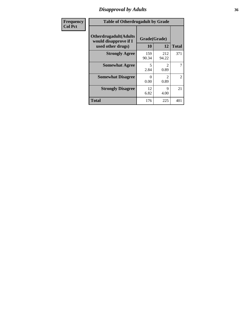### *Disapproval by Adults* **36**

| <b>Frequency</b> | <b>Table of Otherdrugadult by Grade</b>                                     |                    |                               |                |
|------------------|-----------------------------------------------------------------------------|--------------------|-------------------------------|----------------|
| <b>Col Pct</b>   | <b>Otherdrugadult</b> (Adults<br>would disapprove if I<br>used other drugs) | Grade(Grade)<br>10 | 12                            | <b>Total</b>   |
|                  | <b>Strongly Agree</b>                                                       | 159<br>90.34       | 212<br>94.22                  | 371            |
|                  | <b>Somewhat Agree</b>                                                       | 5<br>2.84          | $\mathcal{D}_{\cdot}$<br>0.89 | 7              |
|                  | <b>Somewhat Disagree</b>                                                    | ∩<br>0.00          | 0.89                          | $\overline{2}$ |
|                  | <b>Strongly Disagree</b>                                                    | 12<br>6.82         | 9<br>4.00                     | 21             |
|                  | <b>Total</b>                                                                | 176                | 225                           | 401            |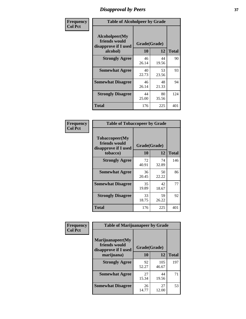# *Disapproval by Peers* **37**

| Frequency      | <b>Table of Alcoholpeer by Grade</b>                    |              |             |              |  |
|----------------|---------------------------------------------------------|--------------|-------------|--------------|--|
| <b>Col Pct</b> | Alcoholpeer(My<br>friends would<br>disapprove if I used | Grade(Grade) |             |              |  |
|                | alcohol)                                                | 10           | 12          | <b>Total</b> |  |
|                | <b>Strongly Agree</b>                                   | 46<br>26.14  | 44<br>19.56 | 90           |  |
|                | <b>Somewhat Agree</b>                                   | 40<br>22.73  | 53<br>23.56 | 93           |  |
|                | <b>Somewhat Disagree</b>                                | 46<br>26.14  | 48<br>21.33 | 94           |  |
|                | <b>Strongly Disagree</b>                                | 44<br>25.00  | 80<br>35.56 | 124          |  |
|                | Total                                                   | 176          | 225         | 401          |  |

| Frequency      | <b>Table of Tobaccopeer by Grade</b>                                |                    |             |              |  |
|----------------|---------------------------------------------------------------------|--------------------|-------------|--------------|--|
| <b>Col Pct</b> | Tobaccopeer(My<br>friends would<br>disapprove if I used<br>tobacco) | Grade(Grade)<br>10 | 12          | <b>Total</b> |  |
|                | <b>Strongly Agree</b>                                               | 72<br>40.91        | 74<br>32.89 | 146          |  |
|                | <b>Somewhat Agree</b>                                               | 36<br>20.45        | 50<br>22.22 | 86           |  |
|                | <b>Somewhat Disagree</b>                                            | 35<br>19.89        | 42<br>18.67 | 77           |  |
|                | <b>Strongly Disagree</b>                                            | 33<br>18.75        | 59<br>26.22 | 92           |  |
|                | Total                                                               | 176                | 225         | 401          |  |

| Frequency      | <b>Table of Marijuanapeer by Grade</b>                    |              |              |              |
|----------------|-----------------------------------------------------------|--------------|--------------|--------------|
| <b>Col Pct</b> | Marijuanapeer(My<br>friends would<br>disapprove if I used | Grade(Grade) |              |              |
|                | marijuana)                                                | <b>10</b>    | 12           | <b>Total</b> |
|                | <b>Strongly Agree</b>                                     | 92<br>52.27  | 105<br>46.67 | 197          |
|                | <b>Somewhat Agree</b>                                     | 27<br>15.34  | 44<br>19.56  | 71           |
|                | <b>Somewhat Disagree</b>                                  | 26<br>14.77  | 27<br>12.00  | 53           |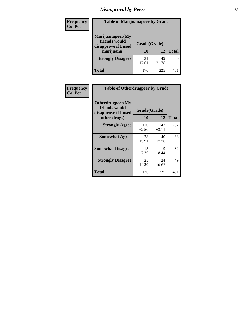# *Disapproval by Peers* **38**

| <b>Frequency</b> | <b>Table of Marijuanapeer by Grade</b>                                  |                    |             |              |  |
|------------------|-------------------------------------------------------------------------|--------------------|-------------|--------------|--|
| <b>Col Pct</b>   | Marijuanapeer(My<br>friends would<br>disapprove if I used<br>marijuana) | Grade(Grade)<br>10 | 12          | <b>Total</b> |  |
|                  | <b>Strongly Disagree</b>                                                | 31<br>17.61        | 49<br>21.78 | 80           |  |
|                  | <b>Total</b>                                                            | 176                | 225         | 40           |  |

| <b>Frequency</b> | <b>Table of Otherdrugpeer by Grade</b>                                    |                           |              |              |
|------------------|---------------------------------------------------------------------------|---------------------------|--------------|--------------|
| <b>Col Pct</b>   | Otherdrugpeer(My<br>friends would<br>disapprove if I used<br>other drugs) | Grade(Grade)<br><b>10</b> | 12           | <b>Total</b> |
|                  | <b>Strongly Agree</b>                                                     | 110<br>62.50              | 142<br>63.11 | 252          |
|                  | <b>Somewhat Agree</b>                                                     | 28<br>15.91               | 40<br>17.78  | 68           |
|                  | <b>Somewhat Disagree</b>                                                  | 13<br>7.39                | 19<br>8.44   | 32           |
|                  | <b>Strongly Disagree</b>                                                  | 25<br>14.20               | 24<br>10.67  | 49           |
|                  | <b>Total</b>                                                              | 176                       | 225          | 401          |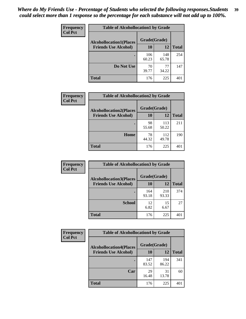| Frequency<br><b>Col Pct</b> | <b>Table of Alcohollocation1 by Grade</b> |              |              |              |
|-----------------------------|-------------------------------------------|--------------|--------------|--------------|
|                             | <b>Alcohollocation1(Places</b>            | Grade(Grade) |              |              |
|                             | <b>Friends Use Alcohol)</b>               | 10           | 12           | <b>Total</b> |
|                             |                                           | 106<br>60.23 | 148<br>65.78 | 254          |
|                             | Do Not Use                                | 70<br>39.77  | 77<br>34.22  | 147          |
|                             | <b>Total</b>                              | 176          | 225          | 401          |

| Frequency      | <b>Table of Alcohollocation2 by Grade</b>                     |                    |              |              |
|----------------|---------------------------------------------------------------|--------------------|--------------|--------------|
| <b>Col Pct</b> | <b>Alcohollocation2(Places</b><br><b>Friends Use Alcohol)</b> | Grade(Grade)<br>10 | 12           | <b>Total</b> |
|                |                                                               | 98<br>55.68        | 113<br>50.22 | 211          |
|                | Home                                                          | 78<br>44.32        | 112<br>49.78 | 190          |
|                | <b>Total</b>                                                  | 176                | 225          | 401          |

| Frequency<br><b>Col Pct</b> | <b>Table of Alcohollocation3 by Grade</b> |              |              |              |
|-----------------------------|-------------------------------------------|--------------|--------------|--------------|
|                             | <b>Alcohollocation3(Places</b>            | Grade(Grade) |              |              |
|                             | <b>Friends Use Alcohol)</b>               | 10           | 12           | <b>Total</b> |
|                             |                                           | 164<br>93.18 | 210<br>93.33 | 374          |
|                             | <b>School</b>                             | 12<br>6.82   | 15<br>6.67   | 27           |
|                             | <b>Total</b>                              | 176          | 225          | 401          |

| Frequency      | <b>Table of Alcohollocation4 by Grade</b> |              |              |              |  |
|----------------|-------------------------------------------|--------------|--------------|--------------|--|
| <b>Col Pct</b> | <b>Alcohollocation4(Places</b>            | Grade(Grade) |              |              |  |
|                | <b>Friends Use Alcohol)</b>               | 10           | 12           | <b>Total</b> |  |
|                |                                           | 147<br>83.52 | 194<br>86.22 | 341          |  |
|                | Car                                       | 29<br>16.48  | 31<br>13.78  | 60           |  |
|                | <b>Total</b>                              | 176          | 225          | 401          |  |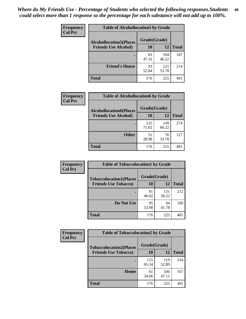| Frequency<br><b>Col Pct</b> | <b>Table of Alcohollocation5 by Grade</b>      |             |              |              |  |
|-----------------------------|------------------------------------------------|-------------|--------------|--------------|--|
|                             | Grade(Grade)<br><b>Alcohollocation5(Places</b> |             |              |              |  |
|                             | <b>Friends Use Alcohol)</b>                    | 10          | 12           | <b>Total</b> |  |
|                             |                                                | 83<br>47.16 | 104<br>46.22 | 187          |  |
|                             | <b>Friend's House</b>                          | 93<br>52.84 | 121<br>53.78 | 214          |  |
|                             | <b>Total</b>                                   | 176         | 225          | 401          |  |

| <b>Frequency</b> | <b>Table of Alcohollocation6 by Grade</b> |              |              |              |
|------------------|-------------------------------------------|--------------|--------------|--------------|
| <b>Col Pct</b>   | <b>Alcohollocation6(Places</b>            | Grade(Grade) |              |              |
|                  | <b>Friends Use Alcohol)</b>               | 10           | 12           | <b>Total</b> |
|                  |                                           | 125<br>71.02 | 149<br>66.22 | 274          |
|                  | <b>Other</b>                              | 51<br>28.98  | 76<br>33.78  | 127          |
|                  | <b>Total</b>                              | 176          | 225          | 401          |

| Frequency      | <b>Table of Tobaccolocation1 by Grade</b> |              |              |              |
|----------------|-------------------------------------------|--------------|--------------|--------------|
| <b>Col Pct</b> | <b>Tobaccolocation1(Places</b>            | Grade(Grade) |              |              |
|                | <b>Friends Use Tobacco)</b>               | 10           | 12           | <b>Total</b> |
|                |                                           | 81<br>46.02  | 131<br>58.22 | 212          |
|                | Do Not Use                                | 95<br>53.98  | 94<br>41.78  | 189          |
|                | <b>Total</b>                              | 176          | 225          | 401          |

| Frequency      | <b>Table of Tobaccolocation2 by Grade</b> |              |              |              |  |
|----------------|-------------------------------------------|--------------|--------------|--------------|--|
| <b>Col Pct</b> | <b>Tobaccolocation2(Places</b>            | Grade(Grade) |              |              |  |
|                | <b>Friends Use Tobacco)</b>               | 10           | 12           | <b>Total</b> |  |
|                |                                           | 115<br>65.34 | 119<br>52.89 | 234          |  |
|                | Home                                      | 61<br>34.66  | 106<br>47.11 | 167          |  |
|                | <b>Total</b>                              | 176          | 225          | 401          |  |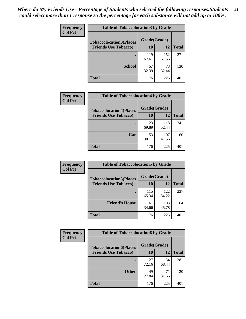| Frequency      | <b>Table of Tobaccolocation 3 by Grade</b> |              |              |              |  |
|----------------|--------------------------------------------|--------------|--------------|--------------|--|
| <b>Col Pct</b> | <b>Tobaccolocation3(Places</b>             | Grade(Grade) |              |              |  |
|                | <b>Friends Use Tobacco)</b>                | 10           | 12           | <b>Total</b> |  |
|                |                                            | 119<br>67.61 | 152<br>67.56 | 271          |  |
|                | <b>School</b>                              | 57<br>32.39  | 73<br>32.44  | 130          |  |
|                | <b>Total</b>                               | 176          | 225          | 401          |  |

| Frequency      | <b>Table of Tobaccolocation4 by Grade</b> |              |              |              |
|----------------|-------------------------------------------|--------------|--------------|--------------|
| <b>Col Pct</b> | <b>Tobaccolocation4(Places</b>            | Grade(Grade) |              |              |
|                | <b>Friends Use Tobacco)</b>               | 10           | 12           | <b>Total</b> |
|                |                                           | 123<br>69.89 | 118<br>52.44 | 241          |
|                | Car                                       | 53<br>30.11  | 107<br>47.56 | 160          |
|                | <b>Total</b>                              | 176          | 225          | 401          |

| Frequency<br><b>Col Pct</b> | <b>Table of Tobaccolocation5 by Grade</b> |              |              |              |
|-----------------------------|-------------------------------------------|--------------|--------------|--------------|
|                             | <b>Tobaccolocation5(Places</b>            | Grade(Grade) |              |              |
|                             | <b>Friends Use Tobacco)</b>               | 10           | 12           | <b>Total</b> |
|                             |                                           | 115<br>65.34 | 122<br>54.22 | 237          |
|                             | <b>Friend's House</b>                     | 61<br>34.66  | 103<br>45.78 | 164          |
|                             | <b>Total</b>                              | 176          | 225          | 401          |

| <b>Frequency</b> | <b>Table of Tobaccolocation6 by Grade</b> |              |              |              |  |
|------------------|-------------------------------------------|--------------|--------------|--------------|--|
| <b>Col Pct</b>   | <b>Tobaccolocation6(Places</b>            | Grade(Grade) |              |              |  |
|                  | <b>Friends Use Tobacco)</b>               | 10           | 12           | <b>Total</b> |  |
|                  |                                           | 127<br>72.16 | 154<br>68.44 | 281          |  |
|                  | <b>Other</b>                              | 49<br>27.84  | 71<br>31.56  | 120          |  |
|                  | <b>Total</b>                              | 176          | 225          | 401          |  |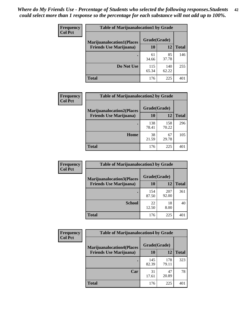| <b>Frequency</b> | <b>Table of Marijuanalocation1 by Grade</b> |              |              |              |
|------------------|---------------------------------------------|--------------|--------------|--------------|
| <b>Col Pct</b>   | <b>Marijuanalocation1(Places</b>            | Grade(Grade) |              |              |
|                  | <b>Friends Use Marijuana</b> )              | 10           | 12           | <b>Total</b> |
|                  |                                             | 61<br>34.66  | 85<br>37.78  | 146          |
|                  | Do Not Use                                  | 115<br>65.34 | 140<br>62.22 | 255          |
|                  | <b>Total</b>                                | 176          | 225          | 40.          |

| <b>Frequency</b> | <b>Table of Marijuanalocation2 by Grade</b>                        |                    |              |              |
|------------------|--------------------------------------------------------------------|--------------------|--------------|--------------|
| <b>Col Pct</b>   | <b>Marijuanalocation2(Places</b><br><b>Friends Use Marijuana</b> ) | Grade(Grade)<br>10 | 12           | <b>Total</b> |
|                  |                                                                    | 138<br>78.41       | 158<br>70.22 | 296          |
|                  | Home                                                               | 38<br>21.59        | 67<br>29.78  | 105          |
|                  | <b>Total</b>                                                       | 176                | 225          | 401          |

| Frequency<br><b>Col Pct</b> | <b>Table of Marijuanalocation3 by Grade</b> |              |              |       |
|-----------------------------|---------------------------------------------|--------------|--------------|-------|
|                             | <b>Marijuanalocation3</b> (Places           | Grade(Grade) |              |       |
|                             | <b>Friends Use Marijuana</b> )              | 10           | 12           | Total |
|                             |                                             | 154<br>87.50 | 207<br>92.00 | 361   |
|                             | <b>School</b>                               | 22<br>12.50  | 18<br>8.00   | 40    |
|                             | <b>Total</b>                                | 176          | 225          | 401   |

| <b>Frequency</b> | <b>Table of Marijuanalocation4 by Grade</b> |              |              |              |  |  |
|------------------|---------------------------------------------|--------------|--------------|--------------|--|--|
| <b>Col Pct</b>   | <b>Marijuanalocation4(Places</b>            | Grade(Grade) |              |              |  |  |
|                  | <b>Friends Use Marijuana</b> )              | <b>10</b>    | 12           | <b>Total</b> |  |  |
|                  |                                             | 145<br>82.39 | 178<br>79.11 | 323          |  |  |
|                  | Car                                         | 31<br>17.61  | 47<br>20.89  | 78           |  |  |
|                  | <b>Total</b>                                | 176          | 225          | 40           |  |  |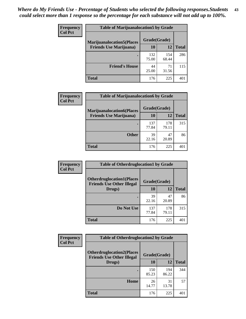| <b>Frequency</b> | <b>Table of Marijuanalocation5 by Grade</b> |              |              |              |
|------------------|---------------------------------------------|--------------|--------------|--------------|
| <b>Col Pct</b>   | <b>Marijuanalocation5</b> (Places           | Grade(Grade) |              |              |
|                  | <b>Friends Use Marijuana</b> )              | 10           | 12           | <b>Total</b> |
|                  |                                             | 132<br>75.00 | 154<br>68.44 | 286          |
|                  | <b>Friend's House</b>                       | 44<br>25.00  | 71<br>31.56  | 115          |
|                  | <b>Total</b>                                | 176          | 225          | 40 î         |

| <b>Frequency</b> | <b>Table of Marijuanalocation6 by Grade</b>                        |                    |              |              |
|------------------|--------------------------------------------------------------------|--------------------|--------------|--------------|
| <b>Col Pct</b>   | <b>Marijuanalocation6(Places</b><br><b>Friends Use Marijuana</b> ) | Grade(Grade)<br>10 | 12           | <b>Total</b> |
|                  |                                                                    | 137<br>77.84       | 178<br>79.11 | 315          |
|                  | <b>Other</b>                                                       | 39<br>22.16        | 47<br>20.89  | 86           |
|                  | <b>Total</b>                                                       | 176                | 225          | 401          |

| <b>Frequency</b> | <b>Table of Otherdruglocation1 by Grade</b>                          |              |              |              |
|------------------|----------------------------------------------------------------------|--------------|--------------|--------------|
| <b>Col Pct</b>   | <b>Otherdruglocation1(Places</b><br><b>Friends Use Other Illegal</b> | Grade(Grade) |              |              |
|                  | Drugs)                                                               | 10           | 12           | <b>Total</b> |
|                  |                                                                      | 39<br>22.16  | 47<br>20.89  | 86           |
|                  | Do Not Use                                                           | 137<br>77.84 | 178<br>79.11 | 315          |
|                  | <b>Total</b>                                                         | 176          | 225          | 401          |

| Frequency      | <b>Table of Otherdruglocation2 by Grade</b>                          |              |              |              |
|----------------|----------------------------------------------------------------------|--------------|--------------|--------------|
| <b>Col Pct</b> | <b>Otherdruglocation2(Places</b><br><b>Friends Use Other Illegal</b> | Grade(Grade) |              |              |
|                | Drugs)                                                               | 10           | 12           | <b>Total</b> |
|                |                                                                      | 150<br>85.23 | 194<br>86.22 | 344          |
|                | Home                                                                 | 26<br>14.77  | 31<br>13.78  | 57           |
|                | <b>Total</b>                                                         | 176          | 225          | 401          |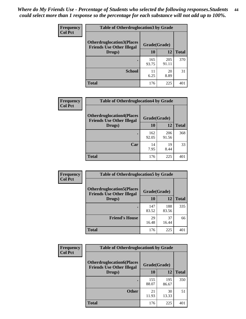| <b>Frequency</b> | <b>Table of Otherdruglocation3 by Grade</b>                          |              |              |              |
|------------------|----------------------------------------------------------------------|--------------|--------------|--------------|
| <b>Col Pct</b>   | <b>Otherdruglocation3(Places</b><br><b>Friends Use Other Illegal</b> | Grade(Grade) |              |              |
|                  | Drugs)                                                               | 10           | 12           | <b>Total</b> |
|                  |                                                                      | 165<br>93.75 | 205<br>91.11 | 370          |
|                  | <b>School</b>                                                        | 11<br>6.25   | 20<br>8.89   | 31           |
|                  | <b>Total</b>                                                         | 176          | 225          |              |

| Frequency      | <b>Table of Otherdruglocation4 by Grade</b>                          |              |              |              |
|----------------|----------------------------------------------------------------------|--------------|--------------|--------------|
| <b>Col Pct</b> | <b>Otherdruglocation4(Places</b><br><b>Friends Use Other Illegal</b> | Grade(Grade) |              |              |
|                | Drugs)                                                               | 10           | 12           | <b>Total</b> |
|                |                                                                      | 162<br>92.05 | 206<br>91.56 | 368          |
|                | Car                                                                  | 14<br>7.95   | 19<br>8.44   | 33           |
|                | <b>Total</b>                                                         | 176          | 225          | 40°          |

| Frequency      | <b>Table of Otherdruglocation5 by Grade</b>                          |              |              |              |
|----------------|----------------------------------------------------------------------|--------------|--------------|--------------|
| <b>Col Pct</b> | <b>Otherdruglocation5(Places</b><br><b>Friends Use Other Illegal</b> | Grade(Grade) |              |              |
|                | Drugs)                                                               | 10           | 12           | <b>Total</b> |
|                |                                                                      | 147<br>83.52 | 188<br>83.56 | 335          |
|                | <b>Friend's House</b>                                                | 29<br>16.48  | 37<br>16.44  | 66           |
|                | <b>Total</b>                                                         | 176          | 225          | 401          |

| <b>Frequency</b> | <b>Table of Otherdruglocation6 by Grade</b>                          |              |              |              |
|------------------|----------------------------------------------------------------------|--------------|--------------|--------------|
| <b>Col Pct</b>   | <b>Otherdruglocation6(Places</b><br><b>Friends Use Other Illegal</b> | Grade(Grade) |              |              |
|                  | Drugs)                                                               | <b>10</b>    | 12           | <b>Total</b> |
|                  |                                                                      | 155<br>88.07 | 195<br>86.67 | 350          |
|                  | <b>Other</b>                                                         | 21<br>11.93  | 30<br>13.33  | 51           |
|                  | <b>Total</b>                                                         | 176          | 225          | 401          |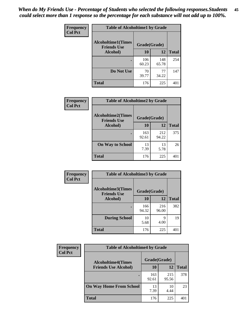| Frequency      | <b>Table of Alcoholtime1 by Grade</b>           |              |              |              |
|----------------|-------------------------------------------------|--------------|--------------|--------------|
| <b>Col Pct</b> | <b>Alcoholtime1(Times</b><br><b>Friends Use</b> | Grade(Grade) |              |              |
|                | Alcohol)                                        | 10           | 12           | <b>Total</b> |
|                |                                                 | 106<br>60.23 | 148<br>65.78 | 254          |
|                | Do Not Use                                      | 70<br>39.77  | 77<br>34.22  | 147          |
|                | <b>Total</b>                                    | 176          | 225          | 401          |

| Frequency<br><b>Col Pct</b> | <b>Table of Alcoholtime2 by Grade</b>           |              |              |              |
|-----------------------------|-------------------------------------------------|--------------|--------------|--------------|
|                             | <b>Alcoholtime2(Times</b><br><b>Friends Use</b> | Grade(Grade) |              |              |
|                             | Alcohol)                                        | 10           | 12           | <b>Total</b> |
|                             |                                                 | 163<br>92.61 | 212<br>94.22 | 375          |
|                             | <b>On Way to School</b>                         | 13<br>7.39   | 13<br>5.78   | 26           |
|                             | <b>Total</b>                                    | 176          | 225          | 401          |

| Frequency<br><b>Col Pct</b> | <b>Table of Alcoholtime3 by Grade</b>                           |              |              |              |
|-----------------------------|-----------------------------------------------------------------|--------------|--------------|--------------|
|                             | <b>Alcoholtime3(Times</b><br>Grade(Grade)<br><b>Friends Use</b> |              |              |              |
|                             | Alcohol)                                                        | 10           | 12           | <b>Total</b> |
|                             |                                                                 | 166<br>94.32 | 216<br>96.00 | 382          |
|                             | <b>During School</b>                                            | 10<br>5.68   | q<br>4.00    | 19           |
|                             | Total                                                           | 176          | 225          | 401          |

| <b>Frequency</b> | <b>Table of Alcoholtime4 by Grade</b> |              |              |              |
|------------------|---------------------------------------|--------------|--------------|--------------|
| <b>Col Pct</b>   | <b>Alcoholtime4(Times</b>             |              | Grade(Grade) |              |
|                  | <b>Friends Use Alcohol)</b>           | 10           | 12           | <b>Total</b> |
|                  |                                       | 163<br>92.61 | 215<br>95.56 | 378          |
|                  | <b>On Way Home From School</b>        | 13<br>7.39   | 10<br>4.44   | 23           |
|                  | <b>Total</b>                          | 176          | 225          | 401          |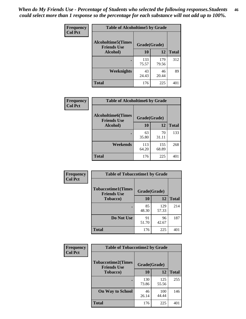*When do My Friends Use - Percentage of Students who selected the following responses.Students could select more than 1 response so the percentage for each substance will not add up to 100%.* **46**

| <b>Frequency</b> | <b>Table of Alcoholtime5 by Grade</b>           |              |              |              |
|------------------|-------------------------------------------------|--------------|--------------|--------------|
| <b>Col Pct</b>   | <b>Alcoholtime5(Times</b><br><b>Friends Use</b> | Grade(Grade) |              |              |
|                  | Alcohol)                                        | 10           | 12           | <b>Total</b> |
|                  |                                                 | 133<br>75.57 | 179<br>79.56 | 312          |
|                  | Weeknights                                      | 43<br>24.43  | 46<br>20.44  | 89           |
|                  | <b>Total</b>                                    | 176          | 225          | 401          |

| Frequency      | <b>Table of Alcoholtime6 by Grade</b>           |              |              |              |
|----------------|-------------------------------------------------|--------------|--------------|--------------|
| <b>Col Pct</b> | <b>Alcoholtime6(Times</b><br><b>Friends Use</b> | Grade(Grade) |              |              |
|                | Alcohol)                                        | 10           | 12           | <b>Total</b> |
|                |                                                 | 63<br>35.80  | 70<br>31.11  | 133          |
|                | Weekends                                        | 113<br>64.20 | 155<br>68.89 | 268          |
|                | <b>Total</b>                                    | 176          | 225          | 401          |

| Frequency<br><b>Col Pct</b> | <b>Table of Tobaccotime1 by Grade</b>           |             |              |              |
|-----------------------------|-------------------------------------------------|-------------|--------------|--------------|
|                             | <b>Tobaccotime1(Times</b><br><b>Friends Use</b> |             |              |              |
|                             | <b>Tobacco</b> )                                | 10          | 12           | <b>Total</b> |
|                             |                                                 | 85<br>48.30 | 129<br>57.33 | 214          |
|                             | Do Not Use                                      | 91<br>51.70 | 96<br>42.67  | 187          |
|                             | <b>Total</b>                                    | 176         | 225          | 401          |

| <b>Frequency</b> |                                                 | <b>Table of Tobaccotime2 by Grade</b> |              |              |  |
|------------------|-------------------------------------------------|---------------------------------------|--------------|--------------|--|
| <b>Col Pct</b>   | <b>Tobaccotime2(Times</b><br><b>Friends Use</b> | Grade(Grade)                          |              |              |  |
|                  | <b>Tobacco</b> )                                | 10                                    | 12           | <b>Total</b> |  |
|                  |                                                 | 130<br>73.86                          | 125<br>55.56 | 255          |  |
|                  | <b>On Way to School</b>                         | 46<br>26.14                           | 100<br>44.44 | 146          |  |
|                  | <b>Total</b>                                    | 176                                   | 225          | 401          |  |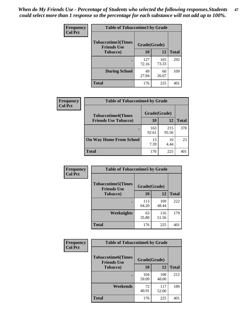*When do My Friends Use - Percentage of Students who selected the following responses.Students could select more than 1 response so the percentage for each substance will not add up to 100%.* **47**

| <b>Frequency</b> | <b>Table of Tobaccotime3 by Grade</b>           |              |              |              |  |
|------------------|-------------------------------------------------|--------------|--------------|--------------|--|
| <b>Col Pct</b>   | <b>Tobaccotime3(Times</b><br><b>Friends Use</b> | Grade(Grade) |              |              |  |
|                  | <b>Tobacco</b> )                                | 10           | 12           | <b>Total</b> |  |
|                  |                                                 | 127<br>72.16 | 165<br>73.33 | 292          |  |
|                  | <b>During School</b>                            | 49<br>27.84  | 60<br>26.67  | 109          |  |
|                  | <b>Total</b>                                    | 176          | 225          | 401          |  |

| Frequency<br><b>Col Pct</b> | <b>Table of Tobaccotime4 by Grade</b> |              |              |              |
|-----------------------------|---------------------------------------|--------------|--------------|--------------|
|                             | <b>Tobaccotime4(Times</b>             | Grade(Grade) |              |              |
|                             | <b>Friends Use Tobacco)</b>           | 10           | 12           | <b>Total</b> |
|                             |                                       | 163<br>92.61 | 215<br>95.56 | 378          |
|                             | <b>On Way Home From School</b>        | 13<br>7.39   | 10<br>4.44   | 23           |
|                             | Total                                 | 176          | 225          | 40°          |

| Frequency      | <b>Table of Tobaccotime5 by Grade</b>            |              |              |              |
|----------------|--------------------------------------------------|--------------|--------------|--------------|
| <b>Col Pct</b> | <b>Tobaccotime5</b> (Times<br><b>Friends Use</b> | Grade(Grade) |              |              |
|                | <b>Tobacco</b> )                                 | 10           | 12           | <b>Total</b> |
|                |                                                  | 113<br>64.20 | 109<br>48.44 | 222          |
|                | Weeknights                                       | 63<br>35.80  | 116<br>51.56 | 179          |
|                | <b>Total</b>                                     | 176          | 225          | 401          |

| Frequency<br><b>Col Pct</b> | <b>Table of Tobaccotime6 by Grade</b>           |              |              |              |  |
|-----------------------------|-------------------------------------------------|--------------|--------------|--------------|--|
|                             | <b>Tobaccotime6(Times</b><br><b>Friends Use</b> | Grade(Grade) |              |              |  |
|                             | <b>Tobacco</b> )                                | 10           | 12           | <b>Total</b> |  |
|                             | $\bullet$                                       | 104<br>59.09 | 108<br>48.00 | 212          |  |
|                             | Weekends                                        | 72<br>40.91  | 117<br>52.00 | 189          |  |
|                             | <b>Total</b>                                    | 176          | 225          | 401          |  |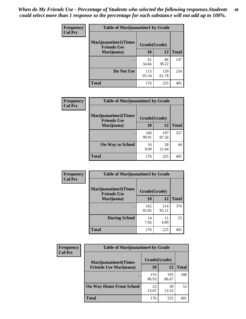| Frequency      | <b>Table of Marijuanatime1 by Grade</b>           |              |              |              |
|----------------|---------------------------------------------------|--------------|--------------|--------------|
| <b>Col Pct</b> | <b>Marijuanatime1(Times</b><br><b>Friends Use</b> | Grade(Grade) |              |              |
|                | Marijuana)                                        | 10           | 12           | <b>Total</b> |
|                |                                                   | 61<br>34.66  | 86<br>38.22  | 147          |
|                | Do Not Use                                        | 115<br>65.34 | 139<br>61.78 | 254          |
|                | <b>Total</b>                                      | 176          | 225          | 401          |

|                | <b>Table of Marijuanatime2 by Grade</b>           |              |              |              |
|----------------|---------------------------------------------------|--------------|--------------|--------------|
| Frequency      |                                                   |              |              |              |
| <b>Col Pct</b> | <b>Marijuanatime2(Times</b><br><b>Friends Use</b> | Grade(Grade) |              |              |
|                | Marijuana)                                        | 10           | 12           | <b>Total</b> |
|                |                                                   | 160<br>90.91 | 197<br>87.56 | 357          |
|                | <b>On Way to School</b>                           | 16<br>9.09   | 28<br>12.44  | 44           |
|                | <b>Total</b>                                      | 176          | 225          | 401          |

| Frequency<br><b>Col Pct</b> | <b>Table of Marijuanatime3 by Grade</b>                    |              |              |              |
|-----------------------------|------------------------------------------------------------|--------------|--------------|--------------|
|                             | Marijuanatime3(Times<br>Grade(Grade)<br><b>Friends Use</b> |              |              |              |
|                             | Marijuana)                                                 | 10           | 12           | <b>Total</b> |
|                             |                                                            | 162<br>92.05 | 214<br>95.11 | 376          |
|                             | <b>During School</b>                                       | 14<br>7.95   | 11<br>4.89   | 25           |
|                             | <b>Total</b>                                               | 176          | 225          | 401          |

| <b>Frequency</b> | <b>Table of Marijuanatime4 by Grade</b> |              |              |              |
|------------------|-----------------------------------------|--------------|--------------|--------------|
| <b>Col Pct</b>   | <b>Marijuanatime4(Times</b>             | Grade(Grade) |              |              |
|                  | <b>Friends Use Marijuana</b> )          | 10           | 12           | <b>Total</b> |
|                  |                                         | 153<br>86.93 | 195<br>86.67 | 348          |
|                  | <b>On Way Home From School</b>          | 23<br>13.07  | 30<br>13.33  | 53           |
|                  | <b>Total</b>                            | 176          | 225          | 40           |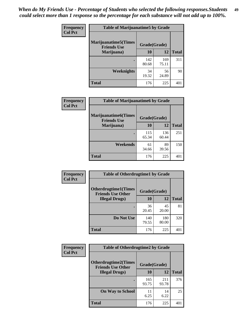| Frequency      | <b>Table of Marijuanatime5 by Grade</b>            |              |              |              |
|----------------|----------------------------------------------------|--------------|--------------|--------------|
| <b>Col Pct</b> | <b>Marijuanatime5</b> (Times<br><b>Friends Use</b> | Grade(Grade) |              |              |
|                | Marijuana)                                         | 10           | 12           | <b>Total</b> |
|                |                                                    | 142<br>80.68 | 169<br>75.11 | 311          |
|                | Weeknights                                         | 34<br>19.32  | 56<br>24.89  | 90           |
|                | <b>Total</b>                                       | 176          | 225          | 401          |

| Frequency      | <b>Table of Marijuanatime6 by Grade</b>    |              |              |              |
|----------------|--------------------------------------------|--------------|--------------|--------------|
| <b>Col Pct</b> | Marijuanatime6(Times<br><b>Friends Use</b> | Grade(Grade) |              |              |
|                | Marijuana)                                 | 10           | 12           | <b>Total</b> |
|                |                                            | 115<br>65.34 | 136<br>60.44 | 251          |
|                | Weekends                                   | 61<br>34.66  | 89<br>39.56  | 150          |
|                | <b>Total</b>                               | 176          | 225          | 401          |

| Frequency      | <b>Table of Otherdrugtime1 by Grade</b>                 |              |              |              |
|----------------|---------------------------------------------------------|--------------|--------------|--------------|
| <b>Col Pct</b> | <b>Otherdrugtime1(Times</b><br><b>Friends Use Other</b> | Grade(Grade) |              |              |
|                | <b>Illegal Drugs</b> )                                  | 10           | 12           | <b>Total</b> |
|                |                                                         | 36<br>20.45  | 45<br>20.00  | 81           |
|                | Do Not Use                                              | 140<br>79.55 | 180<br>80.00 | 320          |
|                | Total                                                   | 176          | 225          | 401          |

| Frequency<br><b>Col Pct</b> | <b>Table of Otherdrugtime2 by Grade</b>                 |              |              |              |  |  |  |
|-----------------------------|---------------------------------------------------------|--------------|--------------|--------------|--|--|--|
|                             | <b>Otherdrugtime2(Times</b><br><b>Friends Use Other</b> | Grade(Grade) |              |              |  |  |  |
|                             | <b>Illegal Drugs</b> )                                  | 10           | 12           | <b>Total</b> |  |  |  |
|                             |                                                         | 165<br>93.75 | 211<br>93.78 | 376          |  |  |  |
|                             | <b>On Way to School</b>                                 | 11<br>6.25   | 14<br>6.22   | 25           |  |  |  |
|                             | <b>Total</b>                                            | 176          | 225          | 401          |  |  |  |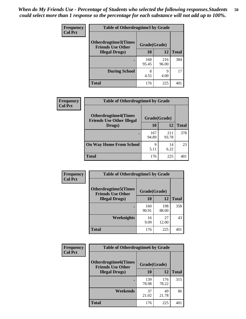| <b>Frequency</b><br><b>Col Pct</b> | <b>Table of Otherdrugtime3 by Grade</b>          |              |              |              |  |  |
|------------------------------------|--------------------------------------------------|--------------|--------------|--------------|--|--|
|                                    | Otherdrugtime3(Times<br><b>Friends Use Other</b> | Grade(Grade) |              |              |  |  |
|                                    | <b>Illegal Drugs</b> )                           | 10           | 12           | <b>Total</b> |  |  |
|                                    |                                                  | 168<br>95.45 | 216<br>96.00 | 384          |  |  |
|                                    | <b>During School</b>                             | 8<br>4.55    | q<br>4.00    | 17           |  |  |
|                                    | Total                                            | 176          | 225          | 401          |  |  |

| Frequency      | <b>Table of Otherdrugtime4 by Grade</b>                         |              |              |              |  |  |  |
|----------------|-----------------------------------------------------------------|--------------|--------------|--------------|--|--|--|
| <b>Col Pct</b> | <b>Otherdrugtime4(Times</b><br><b>Friends Use Other Illegal</b> | Grade(Grade) |              |              |  |  |  |
|                | Drugs)                                                          | 10           | 12           | <b>Total</b> |  |  |  |
|                | ٠                                                               | 167<br>94.89 | 211<br>93.78 | 378          |  |  |  |
|                | <b>On Way Home From School</b>                                  | 9<br>5.11    | 14<br>6.22   | 23           |  |  |  |
|                | <b>Total</b>                                                    | 176          | 225          | 40°          |  |  |  |

| Frequency      | <b>Table of Otherdrugtime5 by Grade</b>                  |              |              |              |  |  |
|----------------|----------------------------------------------------------|--------------|--------------|--------------|--|--|
| <b>Col Pct</b> | <b>Otherdrugtime5</b> (Times<br><b>Friends Use Other</b> | Grade(Grade) |              |              |  |  |
|                | <b>Illegal Drugs</b> )                                   | 10           | 12           | <b>Total</b> |  |  |
|                |                                                          | 160<br>90.91 | 198<br>88.00 | 358          |  |  |
|                | Weeknights                                               | 16<br>9.09   | 27<br>12.00  | 43           |  |  |
|                | <b>Total</b>                                             | 176          | 225          | 401          |  |  |

| Frequency      | <b>Table of Otherdrugtime6 by Grade</b>                 |              |              |              |  |  |
|----------------|---------------------------------------------------------|--------------|--------------|--------------|--|--|
| <b>Col Pct</b> | <b>Otherdrugtime6(Times</b><br><b>Friends Use Other</b> | Grade(Grade) |              |              |  |  |
|                | <b>Illegal Drugs</b> )                                  | 10           | 12           | <b>Total</b> |  |  |
|                |                                                         | 139<br>78.98 | 176<br>78.22 | 315          |  |  |
|                | Weekends                                                | 37<br>21.02  | 49<br>21.78  | 86           |  |  |
|                | Total                                                   | 176          | 225          | 401          |  |  |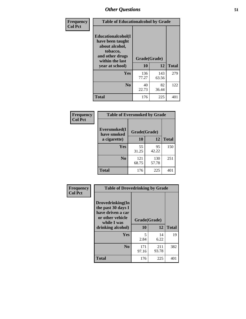| Frequency      | <b>Table of Educationalcohol by Grade</b>                                                                  |              |              |              |  |
|----------------|------------------------------------------------------------------------------------------------------------|--------------|--------------|--------------|--|
| <b>Col Pct</b> | Educationalcohol(I<br>have been taught<br>about alcohol,<br>tobacco,<br>and other drugs<br>within the last | Grade(Grade) |              |              |  |
|                | year at school)                                                                                            | 10           | 12           | <b>Total</b> |  |
|                | <b>Yes</b>                                                                                                 | 136<br>77.27 | 143<br>63.56 | 279          |  |
|                | N <sub>0</sub>                                                                                             | 40<br>22.73  | 82<br>36.44  | 122          |  |
|                | <b>Total</b>                                                                                               | 176          | 225          | 401          |  |

| Frequency      | <b>Table of Eversmoked by Grade</b> |              |              |              |  |  |  |
|----------------|-------------------------------------|--------------|--------------|--------------|--|--|--|
| <b>Col Pct</b> | Eversmoked(I<br>have smoked         | Grade(Grade) |              |              |  |  |  |
|                | a cigarette)                        | 10           | 12           | <b>Total</b> |  |  |  |
|                | <b>Yes</b>                          | 55<br>31.25  | 95<br>42.22  | 150          |  |  |  |
|                | N <sub>0</sub>                      | 121<br>68.75 | 130<br>57.78 | 251          |  |  |  |
|                | <b>Total</b>                        | 176          | 225          | 401          |  |  |  |

| Frequency      | <b>Table of Drovedrinking by Grade</b>                                                                              |                    |              |     |  |  |
|----------------|---------------------------------------------------------------------------------------------------------------------|--------------------|--------------|-----|--|--|
| <b>Col Pct</b> | Drovedrinking(In<br>the past 30 days I<br>have driven a car<br>or other vehicle<br>while I was<br>drinking alcohol) | Grade(Grade)<br>10 | <b>Total</b> |     |  |  |
|                | <b>Yes</b>                                                                                                          | 5<br>2.84          | 14<br>6.22   | 19  |  |  |
|                | N <sub>0</sub>                                                                                                      | 171<br>97.16       | 211<br>93.78 | 382 |  |  |
|                | <b>Total</b>                                                                                                        | 176                | 225          | 401 |  |  |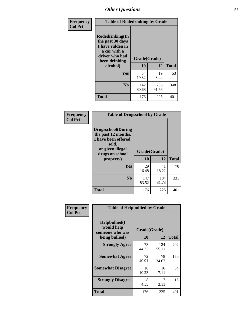| Frequency<br><b>Col Pct</b> | <b>Table of Rodedrinking by Grade</b>                                                                                  |                    |              |     |  |  |
|-----------------------------|------------------------------------------------------------------------------------------------------------------------|--------------------|--------------|-----|--|--|
|                             | Rodedrinking(In<br>the past 30 days<br>I have ridden in<br>a car with a<br>driver who had<br>been drinking<br>alcohol) | Grade(Grade)<br>10 | <b>Total</b> |     |  |  |
|                             | <b>Yes</b>                                                                                                             | 34<br>19.32        | 19<br>8.44   | 53  |  |  |
|                             | N <sub>0</sub>                                                                                                         | 142<br>80.68       | 206<br>91.56 | 348 |  |  |
|                             | <b>Total</b>                                                                                                           | 176                | 225          | 401 |  |  |

#### **Frequency Col Pct**

| <b>Table of Drugsschool by Grade</b>                                                                                      |              |              |              |  |  |  |  |
|---------------------------------------------------------------------------------------------------------------------------|--------------|--------------|--------------|--|--|--|--|
| <b>Drugsschool</b> (During<br>the past 12 months,<br>I have been offered,<br>sold,<br>or given illegal<br>drugs on school | Grade(Grade) |              |              |  |  |  |  |
| property)                                                                                                                 | 10           | 12           | <b>Total</b> |  |  |  |  |
| Yes                                                                                                                       | 29<br>16.48  | 41<br>18.22  | 70           |  |  |  |  |
| N <sub>0</sub>                                                                                                            | 147<br>83.52 | 184<br>81.78 | 331          |  |  |  |  |
| Total                                                                                                                     | 176          | 225          | 40           |  |  |  |  |

| Frequency      | <b>Table of Helpbullied by Grade</b>                             |                    |                    |     |  |  |  |
|----------------|------------------------------------------------------------------|--------------------|--------------------|-----|--|--|--|
| <b>Col Pct</b> | Helpbullied(I<br>would help<br>someone who was<br>being bullied) | Grade(Grade)<br>10 | <b>Total</b>       |     |  |  |  |
|                | <b>Strongly Agree</b>                                            | 78<br>44.32        | 12<br>124<br>55.11 | 202 |  |  |  |
|                | <b>Somewhat Agree</b>                                            | 72<br>40.91        | 78<br>34.67        | 150 |  |  |  |
|                | <b>Somewhat Disagree</b>                                         | 18<br>10.23        | 16<br>7.11         | 34  |  |  |  |
|                | <b>Strongly Disagree</b>                                         | 8<br>4.55          | 7<br>3.11          | 15  |  |  |  |
|                | <b>Total</b>                                                     | 176                | 225                | 401 |  |  |  |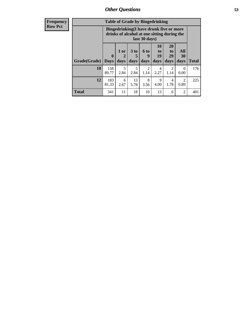| <b>Frequency</b> | <b>Table of Grade by Bingedrinking</b> |                                                                                                                |                                |                              |                          |                        |                               |                          |              |
|------------------|----------------------------------------|----------------------------------------------------------------------------------------------------------------|--------------------------------|------------------------------|--------------------------|------------------------|-------------------------------|--------------------------|--------------|
| <b>Row Pct</b>   |                                        | <b>Bingedrinking(I have drunk five or more</b><br>drinks of alcohol at one sitting during the<br>last 30 days) |                                |                              |                          |                        |                               |                          |              |
|                  | Grade(Grade)                           | $\mathbf{0}$<br><b>Days</b>                                                                                    | 1 or<br>$\overline{2}$<br>days | 3 <sub>to</sub><br>5<br>days | <b>6 to</b><br>9<br>days | 10<br>to<br>19<br>days | <b>20</b><br>to<br>29<br>days | All<br><b>30</b><br>days | <b>Total</b> |
|                  | 10                                     | 158<br>89.77                                                                                                   | 5<br>2.84                      | 5<br>2.84                    | $\mathfrak{D}$<br>1.14   | 4<br>2.27              | $\mathfrak{D}$<br>1.14        | $\Omega$<br>0.00         | 176          |
|                  | 12                                     | 183<br>81.33                                                                                                   | 6<br>2.67                      | 13<br>5.78                   | 8<br>3.56                | 9<br>4.00              | 4<br>1.78                     | 2<br>0.89                | 225          |
|                  | <b>Total</b>                           | 341                                                                                                            | 11                             | 18                           | 10                       | 13                     | 6                             | 2                        | 401          |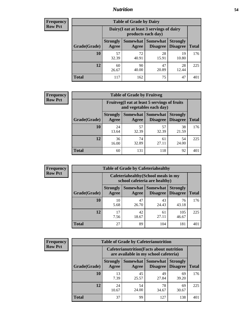### *Nutrition* **54**

| <b>Frequency</b><br>Row Pct |
|-----------------------------|
|                             |

| <b>Table of Grade by Dairy</b> |                          |                                                                                                        |             |             |     |  |  |  |
|--------------------------------|--------------------------|--------------------------------------------------------------------------------------------------------|-------------|-------------|-----|--|--|--|
|                                |                          | Dairy (I eat at least 3 servings of dairy<br>products each day)                                        |             |             |     |  |  |  |
| Grade(Grade)                   | <b>Strongly</b><br>Agree | Somewhat<br><b>Somewhat</b><br><b>Strongly</b><br><b>Disagree</b><br>Disagree<br><b>Total</b><br>Agree |             |             |     |  |  |  |
| 10                             | 57<br>32.39              | 72<br>40.91                                                                                            | 28<br>15.91 | 19<br>10.80 | 176 |  |  |  |
| 12                             | 60<br>26.67              | 90<br>40.00                                                                                            | 47<br>20.89 | 28<br>12.44 | 225 |  |  |  |
| <b>Total</b>                   | 117                      | 162                                                                                                    | 75          | 47          | 401 |  |  |  |

| <b>Frequency</b> |  |
|------------------|--|
| <b>Row Pct</b>   |  |

| <b>Table of Grade by Fruitveg</b> |                                                                          |                                                                                    |             |             |     |  |  |
|-----------------------------------|--------------------------------------------------------------------------|------------------------------------------------------------------------------------|-------------|-------------|-----|--|--|
|                                   | Fruitveg(I eat at least 5 servings of fruits<br>and vegetables each day) |                                                                                    |             |             |     |  |  |
| Grade(Grade)                      | <b>Strongly</b><br>Agree                                                 | <b>Somewhat   Somewhat</b><br><b>Strongly</b><br><b>Disagree</b> Disagree<br>Agree |             |             |     |  |  |
| 10                                | 24<br>13.64                                                              | 57<br>32.39                                                                        | 57<br>32.39 | 38<br>21.59 | 176 |  |  |
| 12                                | 36<br>16.00                                                              | 74<br>32.89                                                                        | 61<br>27.11 | 54<br>24.00 | 225 |  |  |
| <b>Total</b>                      | 60                                                                       | 131                                                                                | 118         | 92          | 401 |  |  |

| <b>Frequency</b> | <b>Table of Grade by Cafeteriahealthy</b> |                          |                                                                       |                                    |                                    |              |
|------------------|-------------------------------------------|--------------------------|-----------------------------------------------------------------------|------------------------------------|------------------------------------|--------------|
| <b>Row Pct</b>   |                                           |                          | Cafeteriahealthy (School meals in my<br>school cafeteria are healthy) |                                    |                                    |              |
|                  | Grade(Grade)                              | <b>Strongly</b><br>Agree | Somewhat  <br>Agree                                                   | <b>Somewhat</b><br><b>Disagree</b> | <b>Strongly</b><br><b>Disagree</b> | <b>Total</b> |
|                  | 10                                        | 10<br>5.68               | 47<br>26.70                                                           | 43<br>24.43                        | 76<br>43.18                        | 176          |
|                  | 12                                        | 17<br>7.56               | 42<br>18.67                                                           | 61<br>27.11                        | 105<br>46.67                       | 225          |
|                  | Total                                     | 27                       | 89                                                                    | 104                                | 181                                | 401          |

| <b>Frequency</b> |
|------------------|
| <b>Row Pct</b>   |

| <b>Table of Grade by Cafeterianutrition</b> |                                                                                                                           |                                                                                           |             |             |     |  |  |  |
|---------------------------------------------|---------------------------------------------------------------------------------------------------------------------------|-------------------------------------------------------------------------------------------|-------------|-------------|-----|--|--|--|
|                                             |                                                                                                                           | <b>Cafeterianutrition</b> (Facts about nutrition<br>are available in my school cafeteria) |             |             |     |  |  |  |
| Grade(Grade)                                | <b>Somewhat</b><br><b>Somewhat</b><br><b>Strongly</b><br><b>Strongly</b><br><b>Disagree</b><br>Agree<br>Disagree<br>Agree |                                                                                           |             |             |     |  |  |  |
| 10                                          | 13<br>7.39                                                                                                                | 45<br>25.57                                                                               | 49<br>27.84 | 69<br>39.20 | 176 |  |  |  |
| 12                                          | 24<br>10.67                                                                                                               | 54<br>24.00                                                                               | 78<br>34.67 | 69<br>30.67 | 225 |  |  |  |
| <b>Total</b>                                | 37                                                                                                                        | 99                                                                                        | 127         | 138         |     |  |  |  |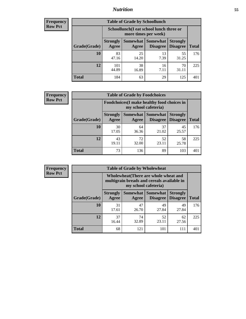### *Nutrition* **55**

| Frequency |
|-----------|
| Row Pct   |

| <b>Table of Grade by Schoollunch</b> |                                                                                                                                      |                                                                 |            |             |     |  |  |  |
|--------------------------------------|--------------------------------------------------------------------------------------------------------------------------------------|-----------------------------------------------------------------|------------|-------------|-----|--|--|--|
|                                      |                                                                                                                                      | Schoollunch(I eat school lunch three or<br>more times per week) |            |             |     |  |  |  |
| Grade(Grade)                         | Somewhat  <br><b>Somewhat</b><br><b>Strongly</b><br><b>Strongly</b><br><b>Disagree</b><br>Disagree<br>Agree<br><b>Total</b><br>Agree |                                                                 |            |             |     |  |  |  |
| 10                                   | 83<br>47.16                                                                                                                          | 25<br>14.20                                                     | 13<br>7.39 | 55<br>31.25 | 176 |  |  |  |
| 12                                   | 101<br>44.89                                                                                                                         | 38<br>16.89                                                     | 16<br>7.11 | 70<br>31.11 | 225 |  |  |  |
| <b>Total</b>                         | 184                                                                                                                                  | 63                                                              | 29         | 125         | 401 |  |  |  |

| <b>Frequency</b> |  |
|------------------|--|
| <b>Row Pct</b>   |  |

| y | <b>Table of Grade by Foodchoices</b> |                                                                     |                                                                                |             |             |     |  |  |
|---|--------------------------------------|---------------------------------------------------------------------|--------------------------------------------------------------------------------|-------------|-------------|-----|--|--|
|   |                                      | Foodchoices (I make healthy food choices in<br>my school cafeteria) |                                                                                |             |             |     |  |  |
|   | Grade(Grade)                         | <b>Strongly</b><br>Agree                                            | Somewhat  <br><b>Somewhat</b> Strongly<br><b>Disagree</b><br>Disagree<br>Agree |             |             |     |  |  |
|   | 10                                   | 30<br>17.05                                                         | 64<br>36.36                                                                    | 37<br>21.02 | 45<br>25.57 | 176 |  |  |
|   | 12                                   | 43<br>19.11                                                         | 72<br>32.00                                                                    | 52<br>23.11 | 58<br>25.78 | 225 |  |  |
|   | <b>Total</b>                         | 73                                                                  | 136                                                                            | 89          | 103         | 401 |  |  |

| <b>Frequency</b> | <b>Table of Grade by Wholewheat</b> |                                                                                                             |                     |                                    |                                    |              |  |  |  |
|------------------|-------------------------------------|-------------------------------------------------------------------------------------------------------------|---------------------|------------------------------------|------------------------------------|--------------|--|--|--|
| <b>Row Pct</b>   |                                     | Wholewheat (There are whole wheat and<br>multigrain breads and cereals available in<br>my school cafeteria) |                     |                                    |                                    |              |  |  |  |
|                  | Grade(Grade)                        | <b>Strongly</b><br>Agree                                                                                    | Somewhat  <br>Agree | <b>Somewhat</b><br><b>Disagree</b> | <b>Strongly</b><br><b>Disagree</b> | <b>Total</b> |  |  |  |
|                  | 10                                  | 31<br>17.61                                                                                                 | 47<br>26.70         | 49<br>27.84                        | 49<br>27.84                        | 176          |  |  |  |
|                  | 12                                  | 37<br>16.44                                                                                                 | 74<br>32.89         | 52<br>23.11                        | 62<br>27.56                        | 225          |  |  |  |
|                  | <b>Total</b>                        | 68                                                                                                          | 121                 | 101                                | 111                                | 401          |  |  |  |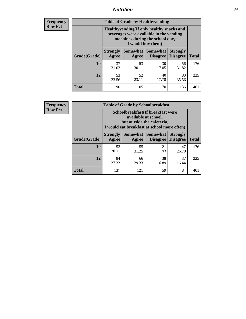### *Nutrition* **56**

**Frequency Row Pct**

| <b>Table of Grade by Healthyvending</b> |                                                                                                                                               |                     |                                    |                                    |              |
|-----------------------------------------|-----------------------------------------------------------------------------------------------------------------------------------------------|---------------------|------------------------------------|------------------------------------|--------------|
|                                         | Healthyvending (If only healthy snacks and<br>beverages were available in the vending<br>machines during the school day,<br>I would buy them) |                     |                                    |                                    |              |
| Grade(Grade)                            | <b>Strongly</b><br>Agree                                                                                                                      | Somewhat  <br>Agree | <b>Somewhat</b><br><b>Disagree</b> | <b>Strongly</b><br><b>Disagree</b> | <b>Total</b> |
| 10                                      | 37<br>21.02                                                                                                                                   | 53<br>30.11         | 30<br>17.05                        | 56<br>31.82                        | 176          |
| 12                                      | 53<br>23.56                                                                                                                                   | 52<br>23.11         | 40<br>17.78                        | 80<br>35.56                        | 225          |
| <b>Total</b>                            | 90                                                                                                                                            | 105                 | 70                                 | 136                                | 401          |

**Frequency Row Pct**

| <b>Table of Grade by Schoolbreakfast</b> |                                                                                                                                         |             |                                        |                                    |              |  |
|------------------------------------------|-----------------------------------------------------------------------------------------------------------------------------------------|-------------|----------------------------------------|------------------------------------|--------------|--|
|                                          | Schoolbreakfast (If breakfast were<br>available at school,<br>but outside the cafeteria,<br>I would eat breakfast at school more often) |             |                                        |                                    |              |  |
| Grade(Grade)                             | <b>Strongly</b><br>Agree                                                                                                                | Agree       | Somewhat   Somewhat<br><b>Disagree</b> | <b>Strongly</b><br><b>Disagree</b> | <b>Total</b> |  |
| 10                                       | 53<br>30.11                                                                                                                             | 55<br>31.25 | 21<br>11.93                            | 47<br>26.70                        | 176          |  |
| 12                                       | 84<br>37.33                                                                                                                             | 66<br>29.33 | 38<br>16.89                            | 37<br>16.44                        | 225          |  |
| <b>Total</b>                             | 137                                                                                                                                     | 121         | 59                                     | 84                                 | 401          |  |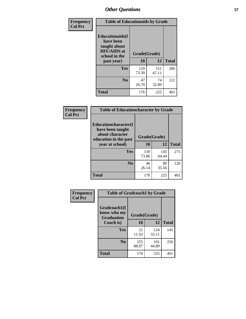| Frequency<br><b>Col Pct</b> | <b>Table of Educationaids by Grade</b>                                                                    |                    |              |              |
|-----------------------------|-----------------------------------------------------------------------------------------------------------|--------------------|--------------|--------------|
|                             | <b>Educationaids</b> (I<br>have been<br>taught about<br><b>HIV/AIDS</b> at<br>school in the<br>past year) | Grade(Grade)<br>10 | 12           | <b>Total</b> |
|                             | Yes                                                                                                       | 129<br>73.30       | 151<br>67.11 | 280          |
|                             | N <sub>0</sub>                                                                                            | 47<br>26.70        | 74<br>32.89  | 121          |
|                             | <b>Total</b>                                                                                              | 176                | 225          | 401          |

| <b>Frequency</b> |                                                                                      | <b>Table of Educationcharacter by Grade</b> |              |              |  |
|------------------|--------------------------------------------------------------------------------------|---------------------------------------------|--------------|--------------|--|
| <b>Col Pct</b>   | Educationcharacter(I<br>have been taught<br>about character<br>education in the past | Grade(Grade)                                |              |              |  |
|                  | year at school)                                                                      | 10                                          | 12           | <b>Total</b> |  |
|                  | <b>Yes</b>                                                                           | 130<br>73.86                                | 145<br>64.44 | 275          |  |
|                  | N <sub>0</sub>                                                                       | 46<br>26.14                                 | 80<br>35.56  | 126          |  |
|                  | <b>Total</b>                                                                         | 176                                         | 225          | 401          |  |

| Frequency      | <b>Table of Gradcoach1 by Grade</b>              |              |              |              |
|----------------|--------------------------------------------------|--------------|--------------|--------------|
| <b>Col Pct</b> | Gradcoach1(I<br>know who my<br><b>Graduation</b> | Grade(Grade) |              |              |
|                | Coach is)                                        | 10           | 12           | <b>Total</b> |
|                | Yes                                              | 21<br>11.93  | 124<br>55.11 | 145          |
|                | N <sub>0</sub>                                   | 155<br>88.07 | 101<br>44.89 | 256          |
|                | <b>Total</b>                                     | 176          | 225          | 401          |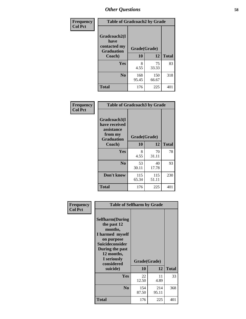| Frequency      | <b>Table of Gradcoach2 by Grade</b> |              |              |              |
|----------------|-------------------------------------|--------------|--------------|--------------|
| <b>Col Pct</b> | Gradcoach2(I<br>have                |              |              |              |
|                | contacted my<br><b>Graduation</b>   | Grade(Grade) |              |              |
|                | Coach)                              | 10           | 12           | <b>Total</b> |
|                | Yes                                 | 8<br>4.55    | 75<br>33.33  | 83           |
|                | N <sub>0</sub>                      | 168<br>95.45 | 150<br>66.67 | 318          |
|                | <b>Total</b>                        | 176          | 225          | 401          |

| Frequency<br><b>Col Pct</b> | <b>Table of Gradcoach3 by Grade</b>                                         |              |              |              |
|-----------------------------|-----------------------------------------------------------------------------|--------------|--------------|--------------|
|                             | Gradcoach3(I<br>have received<br>assistance<br>from my<br><b>Graduation</b> | Grade(Grade) |              |              |
|                             | Coach)                                                                      | 10           | 12           | <b>Total</b> |
|                             | Yes                                                                         | 8<br>4.55    | 70<br>31.11  | 78           |
|                             | N <sub>0</sub>                                                              | 53<br>30.11  | 40<br>17.78  | 93           |
|                             | Don't know                                                                  | 115<br>65.34 | 115<br>51.11 | 230          |
|                             | <b>Total</b>                                                                | 176          | 225          | 401          |

| Frequency      | <b>Table of Selfharm by Grade</b>                                                                                                                            |              |              |              |
|----------------|--------------------------------------------------------------------------------------------------------------------------------------------------------------|--------------|--------------|--------------|
| <b>Col Pct</b> | <b>Selfharm</b> (During<br>the past 12<br>months,<br>I harmed myself<br>on purpose<br><b>Suicideconsider</b><br>During the past<br>12 months,<br>I seriously |              |              |              |
|                | considered                                                                                                                                                   | Grade(Grade) |              |              |
|                | suicide)                                                                                                                                                     | 10           | 12           | <b>Total</b> |
|                | Yes                                                                                                                                                          | 22<br>12.50  | 11<br>4.89   | 33           |
|                | N <sub>0</sub>                                                                                                                                               | 154<br>87.50 | 214<br>95.11 | 368          |
|                | <b>Total</b>                                                                                                                                                 | 176          | 225          | 401          |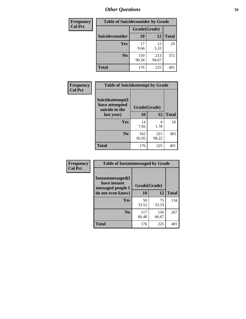| <b>Frequency</b> | <b>Table of Suicideconsider by Grade</b> |              |              |              |
|------------------|------------------------------------------|--------------|--------------|--------------|
| <b>Col Pct</b>   |                                          | Grade(Grade) |              |              |
|                  | <b>Suicideconsider</b>                   | <b>10</b>    | 12           | <b>Total</b> |
|                  | <b>Yes</b>                               | 17<br>9.66   | 12<br>5.33   | 29           |
|                  | N <sub>0</sub>                           | 159<br>90.34 | 213<br>94.67 | 372          |
|                  | <b>Total</b>                             | 176          | 225          | 401          |

| Frequency      | <b>Table of Suicideattempt by Grade</b>              |              |              |              |
|----------------|------------------------------------------------------|--------------|--------------|--------------|
| <b>Col Pct</b> | Suicideattempt(I<br>have attempted<br>suicide in the | Grade(Grade) |              |              |
|                | last year)                                           | 10           | 12           | <b>Total</b> |
|                | Yes                                                  | 14<br>7.95   | 4<br>1.78    | 18           |
|                | N <sub>0</sub>                                       | 162<br>92.05 | 221<br>98.22 | 383          |
|                | <b>Total</b>                                         | 176          | 225          | 401          |

| Frequency      | <b>Table of Instantmessaged by Grade</b>               |              |              |              |
|----------------|--------------------------------------------------------|--------------|--------------|--------------|
| <b>Col Pct</b> | Instantmessaged(I<br>have instant<br>messaged people I | Grade(Grade) |              |              |
|                | do not even know)                                      | 10           | 12           | <b>Total</b> |
|                | Yes                                                    | 59<br>33.52  | 75<br>33.33  | 134          |
|                | N <sub>0</sub>                                         | 117<br>66.48 | 150<br>66.67 | 267          |
|                | <b>Total</b>                                           | 176          | 225          | 401          |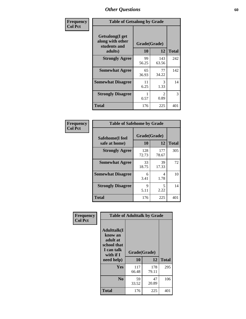| Frequency      | <b>Table of Getsalong by Grade</b>                          |              |                        |              |
|----------------|-------------------------------------------------------------|--------------|------------------------|--------------|
| <b>Col Pct</b> | <b>Getsalong</b> (I get<br>along with other<br>students and | Grade(Grade) |                        |              |
|                | adults)                                                     | 10           | 12                     | <b>Total</b> |
|                | <b>Strongly Agree</b>                                       | 99<br>56.25  | 143<br>63.56           | 242          |
|                | <b>Somewhat Agree</b>                                       | 65<br>36.93  | 77<br>34.22            | 142          |
|                | <b>Somewhat Disagree</b>                                    | 11<br>6.25   | 3<br>1.33              | 14           |
|                | <b>Strongly Disagree</b>                                    | 0.57         | $\mathfrak{D}$<br>0.89 | 3            |
|                | <b>Total</b>                                                | 176          | 225                    | 401          |

| Frequency      | <b>Table of Safehome by Grade</b> |                    |              |              |
|----------------|-----------------------------------|--------------------|--------------|--------------|
| <b>Col Pct</b> | Safehome(I feel<br>safe at home)  | Grade(Grade)<br>10 | 12           | <b>Total</b> |
|                | <b>Strongly Agree</b>             | 128<br>72.73       | 177<br>78.67 | 305          |
|                | <b>Somewhat Agree</b>             | 33<br>18.75        | 39<br>17.33  | 72           |
|                | <b>Somewhat Disagree</b>          | 6<br>3.41          | 4<br>1.78    | 10           |
|                | <b>Strongly Disagree</b>          | 9<br>5.11          | 5<br>2.22    | 14           |
|                | <b>Total</b>                      | 176                | 225          | 401          |

| Frequency      |                                                                                     | <b>Table of Adulttalk by Grade</b> |              |              |
|----------------|-------------------------------------------------------------------------------------|------------------------------------|--------------|--------------|
| <b>Col Pct</b> | <b>Adulttalk(I</b><br>know an<br>adult at<br>school that<br>I can talk<br>with if I | Grade(Grade)                       |              |              |
|                | need help)                                                                          | 10                                 | 12           | <b>Total</b> |
|                | <b>Yes</b>                                                                          | 117<br>66.48                       | 178<br>79.11 | 295          |
|                | N <sub>0</sub>                                                                      | 59<br>33.52                        | 47<br>20.89  | 106          |
|                | <b>Total</b>                                                                        | 176                                | 225          | 401          |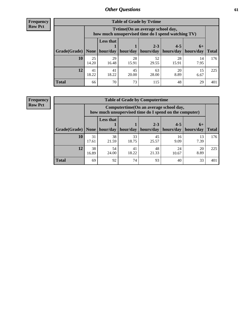**Frequency Row Pct**

| <b>Table of Grade by Tvtime</b> |             |                                                                                         |             |                      |                      |                     |              |  |  |
|---------------------------------|-------------|-----------------------------------------------------------------------------------------|-------------|----------------------|----------------------|---------------------|--------------|--|--|
|                                 |             | Tytime (On an average school day,<br>how much unsupervised time do I spend watching TV) |             |                      |                      |                     |              |  |  |
| $ $ Grade(Grade) $ $            | None        | <b>Less that</b><br>hour/day                                                            | hour/day    | $2 - 3$<br>hours/day | $4 - 5$<br>hours/day | $6+$<br>  hours/day | <b>Total</b> |  |  |
| <b>10</b>                       | 25<br>14.20 | 29<br>16.48                                                                             | 28<br>15.91 | 52<br>29.55          | 28<br>15.91          | 14<br>7.95          | 176          |  |  |
| 12                              | 41<br>18.22 | 41<br>18.22                                                                             | 45<br>20.00 | 63<br>28.00          | 20<br>8.89           | 15<br>6.67          | 225          |  |  |
| <b>Total</b>                    | 66          | 70                                                                                      | 73          | 115                  | 48                   | 29                  | 401          |  |  |

**Frequency Row Pct**

| <b>Table of Grade by Computertime</b> |             |                                                                                                   |             |                      |                      |                   |              |  |  |
|---------------------------------------|-------------|---------------------------------------------------------------------------------------------------|-------------|----------------------|----------------------|-------------------|--------------|--|--|
|                                       |             | Computertime (On an average school day,<br>how much unsupervised time do I spend on the computer) |             |                      |                      |                   |              |  |  |
| Grade(Grade)                          | None        | <b>Less that</b><br>hour/day                                                                      | hour/day    | $2 - 3$<br>hours/day | $4 - 5$<br>hours/day | $6+$<br>hours/day | <b>Total</b> |  |  |
| 10                                    | 31<br>17.61 | 38<br>21.59                                                                                       | 33<br>18.75 | 45<br>25.57          | 16<br>9.09           | 13<br>7.39        | 176          |  |  |
| 12                                    | 38<br>16.89 | 54<br>48<br>41<br>24<br>20<br>18.22<br>24.00<br>21.33<br>8.89<br>10.67                            |             |                      |                      |                   |              |  |  |
| <b>Total</b>                          | 69          | 92                                                                                                | 74          | 93                   | 40                   | 33                | 401          |  |  |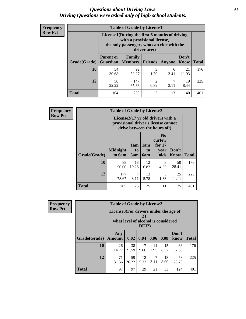#### *Questions about Driving Laws* **62** *Driving Questions were asked only of high school students.*

| <b>Frequency</b> |
|------------------|
| <b>Row Pct</b>   |

| <b>Table of Grade by License1</b> |                                                                |                                                                                                                                           |                |               |               |              |  |  |  |
|-----------------------------------|----------------------------------------------------------------|-------------------------------------------------------------------------------------------------------------------------------------------|----------------|---------------|---------------|--------------|--|--|--|
|                                   |                                                                | License1(During the first 6 months of driving<br>with a provisional license,<br>the only passengers who can ride with the<br>driver are:) |                |               |               |              |  |  |  |
| Grade(Grade)                      | <b>Parent or</b><br>Guardian                                   | Family<br>  Members                                                                                                                       | <b>Friends</b> | <b>Anyone</b> | Don't<br>Know | <b>Total</b> |  |  |  |
| 10                                | 54<br>30.68                                                    | 92<br>52.27                                                                                                                               | 3<br>1.70      | 6<br>3.41     | 21<br>11.93   | 176          |  |  |  |
| 12                                | 147<br>2<br>19<br>50<br>0.89<br>8.44<br>22.22<br>65.33<br>3.11 |                                                                                                                                           |                |               |               |              |  |  |  |
| Total                             | 104                                                            | 239                                                                                                                                       | 5              | 13            | 40            | 401          |  |  |  |

| <b>Frequency</b> | <b>Table of Grade by License2</b> |                                                                                                          |                  |                  |                                                      |                      |              |  |
|------------------|-----------------------------------|----------------------------------------------------------------------------------------------------------|------------------|------------------|------------------------------------------------------|----------------------|--------------|--|
| <b>Row Pct</b>   |                                   | License2(17 yr old drivers with a<br>provisional driver's license cannot<br>drive between the hours of:) |                  |                  |                                                      |                      |              |  |
|                  | Grade(Grade)                      | <b>Midnight</b><br>to 6am                                                                                | 1am<br>to<br>5am | 1am<br>to<br>6am | N <sub>0</sub><br>curfew<br>for $17$<br>year<br>olds | Don't<br><b>Know</b> | <b>Total</b> |  |
|                  | 10                                | 88<br>50.00                                                                                              | 18<br>10.23      | 12<br>6.82       | 8<br>4.55                                            | 50<br>28.41          | 176          |  |
|                  | 12                                | 177<br>78.67                                                                                             | 7<br>3.11        | 13<br>5.78       | 3<br>1.33                                            | 25<br>11.11          | 225          |  |
|                  | <b>Total</b>                      | 265                                                                                                      | 25               | 25               | 11                                                   | 75                   | 401          |  |

| Frequency      | <b>Table of Grade by License3</b> |                                       |                                     |              |            |            |               |              |
|----------------|-----------------------------------|---------------------------------------|-------------------------------------|--------------|------------|------------|---------------|--------------|
| <b>Row Pct</b> |                                   | License3(For drivers under the age of | what level of alcohol is considered | 21,<br>DUI?) |            |            |               |              |
|                | Grade(Grade)                      | Any<br><b>Amount</b>                  | 0.02                                | 0.04         | 0.06       | 0.08       | Don't<br>know | <b>Total</b> |
|                | 10                                | 26<br>14.77                           | 38<br>21.59                         | 17<br>9.66   | 14<br>7.95 | 15<br>8.52 | 66<br>37.50   | 176          |
|                | 12                                | 71<br>31.56                           | 59<br>26.22                         | 12<br>5.33   | 7<br>3.11  | 18<br>8.00 | 58<br>25.78   | 225          |
|                | <b>Total</b>                      | 97                                    | 97                                  | 29           | 21         | 33         | 124           | 401          |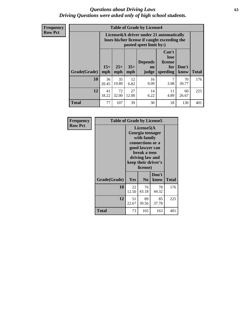#### *Questions about Driving Laws* **63** *Driving Questions were asked only of high school students.*

**Frequency Row Pct**

| <b>Table of Grade by License4</b> |              |                                                                                                                                               |             |            |            |             |     |  |
|-----------------------------------|--------------|-----------------------------------------------------------------------------------------------------------------------------------------------|-------------|------------|------------|-------------|-----|--|
|                                   |              | License4(A driver under 21 automatically<br>loses his/her license if caught exceeding the<br>posted speet limit by:)                          |             |            |            |             |     |  |
| Grade(Grade)                      | $15+$<br>mph | Can't<br>lose<br><b>Depends</b><br>license<br>$25+$<br>$35+$<br>Don't<br>for<br>on<br><b>Total</b><br>mph<br>speeding<br>know<br>mph<br>judge |             |            |            |             |     |  |
| 10                                | 36<br>20.45  | 35<br>19.89                                                                                                                                   | 12<br>6.82  | 16<br>9.09 | 7<br>3.98  | 70<br>39.77 | 176 |  |
| 12                                | 41<br>18.22  | 72<br>32.00                                                                                                                                   | 27<br>12.00 | 14<br>6.22 | 11<br>4.89 | 60<br>26.67 | 225 |  |
| <b>Total</b>                      | 77           | 107                                                                                                                                           | 39          | 30         | 18         | 130         | 401 |  |

| Frequency      | <b>Table of Grade by License5</b> |                                                                                                                                                             |                |               |              |  |
|----------------|-----------------------------------|-------------------------------------------------------------------------------------------------------------------------------------------------------------|----------------|---------------|--------------|--|
| <b>Row Pct</b> |                                   | License5(A)<br>Georgia teenager<br>with family<br>connections or a<br>good lawyer can<br>break a teen<br>driving law and<br>keep their driver's<br>license) |                |               |              |  |
|                | Grade(Grade)                      | <b>Yes</b>                                                                                                                                                  | N <sub>0</sub> | Don't<br>know | <b>Total</b> |  |
|                | 10                                | 22<br>12.50                                                                                                                                                 | 76<br>43.18    | 78<br>44.32   | 176          |  |
|                | 12                                | 51<br>22.67                                                                                                                                                 | 89<br>39.56    | 85<br>37.78   | 225          |  |
|                | Total                             | 73                                                                                                                                                          | 165            | 163           | 401          |  |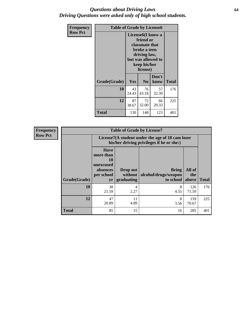#### *Questions about Driving Laws* **64** *Driving Questions were asked only of high school students.*

| <b>Frequency</b> | <b>Table of Grade by License6</b> |             |                                                                                                                                  |                    |              |  |
|------------------|-----------------------------------|-------------|----------------------------------------------------------------------------------------------------------------------------------|--------------------|--------------|--|
| <b>Row Pct</b>   |                                   |             | License <sub>6</sub> (I know a<br>friend or<br><b>classmate that</b><br>broke a teen<br>driving law,<br>keep his/her<br>license) | but was allowed to |              |  |
|                  | Grade(Grade)                      | Yes         | N <sub>0</sub>                                                                                                                   | Don't<br>know      | <b>Total</b> |  |
|                  | 10                                | 43<br>24.43 | 76<br>43.18                                                                                                                      | 57<br>32.39        | 176          |  |
|                  | 12                                | 87<br>38.67 | 72<br>32.00                                                                                                                      | 66<br>29.33        | 225          |  |
|                  | Total                             | 130         | 148                                                                                                                              | 123                | 401          |  |

| <b>Frequency</b> | <b>Table of Grade by License7</b> |                                                                             |                                     |                                                                                               |                        |              |  |  |
|------------------|-----------------------------------|-----------------------------------------------------------------------------|-------------------------------------|-----------------------------------------------------------------------------------------------|------------------------|--------------|--|--|
| <b>Row Pct</b>   |                                   |                                                                             |                                     | License7(A student under the age of 18 cam loser<br>his/her driving privileges if he or she:) |                        |              |  |  |
|                  | Grade(Grade)                      | <b>Have</b><br>more than<br>10<br>unexcused<br>absences<br>per school<br>yr | Drop out<br>without  <br>graduating | <b>Bring</b><br>alcohol/drugs/weapon<br>to school                                             | All of<br>the<br>above | <b>Total</b> |  |  |
|                  | 10                                | 38<br>21.59                                                                 | 4<br>2.27                           | 8<br>4.55                                                                                     | 126<br>71.59           | 176          |  |  |
|                  | 12                                | 47<br>20.89                                                                 | 11<br>4.89                          | 8<br>3.56                                                                                     | 159<br>70.67           | 225          |  |  |
|                  | <b>Total</b>                      | 85                                                                          | 15                                  | 16                                                                                            | 285                    | 401          |  |  |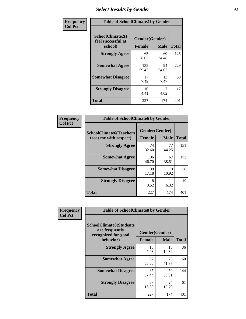# *Select Results by Gender* **65**

| Frequency      | <b>Table of SchoolClimate2 by Gender</b>          |                                 |             |              |  |
|----------------|---------------------------------------------------|---------------------------------|-------------|--------------|--|
| <b>Col Pct</b> | SchoolClimate2(I<br>feel successful at<br>school) | Gender(Gender)<br><b>Female</b> | <b>Male</b> | <b>Total</b> |  |
|                | <b>Strongly Agree</b>                             | 65<br>28.63                     | 60<br>34.48 | 125          |  |
|                | <b>Somewhat Agree</b>                             | 135<br>59.47                    | 94<br>54.02 | 229          |  |
|                | <b>Somewhat Disagree</b>                          | 17<br>7.49                      | 13<br>7.47  | 30           |  |
|                | <b>Strongly Disagree</b>                          | 10<br>4.41                      | 7<br>4.02   | 17           |  |
|                | <b>Total</b>                                      | 227                             | 174         | 401          |  |

| Frequency      | <b>Table of SchoolClimate6 by Gender</b>                 |               |                               |              |  |
|----------------|----------------------------------------------------------|---------------|-------------------------------|--------------|--|
| <b>Col Pct</b> | <b>SchoolClimate6(Teachers</b><br>treat me with respect) | <b>Female</b> | Gender(Gender)<br><b>Male</b> | <b>Total</b> |  |
|                | <b>Strongly Agree</b>                                    | 74<br>32.60   | 77<br>44.25                   | 151          |  |
|                | <b>Somewhat Agree</b>                                    | 106<br>46.70  | 67<br>38.51                   | 173          |  |
|                | <b>Somewhat Disagree</b>                                 | 39<br>17.18   | 19<br>10.92                   | 58           |  |
|                | <b>Strongly Disagree</b>                                 | 8<br>3.52     | 11<br>6.32                    | 19           |  |
|                | <b>Total</b>                                             | 227           | 174                           | 401          |  |

| Frequency      | <b>Table of SchoolClimate8 by Gender</b>                                             |               |                               |              |
|----------------|--------------------------------------------------------------------------------------|---------------|-------------------------------|--------------|
| <b>Col Pct</b> | <b>SchoolClimate8(Students</b><br>are frequently<br>recognized for good<br>behavior) | <b>Female</b> | Gender(Gender)<br><b>Male</b> | <b>Total</b> |
|                | <b>Strongly Agree</b>                                                                | 18            | 18                            | 36           |
|                |                                                                                      | 7.93          | 10.34                         |              |
|                | <b>Somewhat Agree</b>                                                                | 87<br>38.33   | 73<br>41.95                   | 160          |
|                | <b>Somewhat Disagree</b>                                                             | 85<br>37.44   | 59<br>33.91                   | 144          |
|                | <b>Strongly Disagree</b>                                                             | 37<br>16.30   | 24<br>13.79                   | 61           |
|                | Total                                                                                | 227           | 174                           | 401          |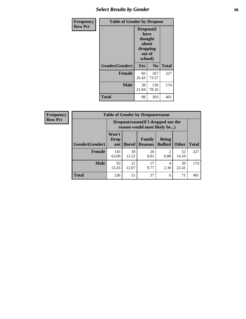# *Select Results by Gender* **66**

| Frequency      | <b>Table of Gender by Dropout</b> |                                                                        |                |              |
|----------------|-----------------------------------|------------------------------------------------------------------------|----------------|--------------|
| <b>Row Pct</b> |                                   | Dropout(I<br>have<br>thought<br>about<br>dropping<br>out of<br>school) |                |              |
|                | Gender(Gender)                    | Yes                                                                    | N <sub>0</sub> | <b>Total</b> |
|                | <b>Female</b>                     | 60<br>26.43                                                            | 167<br>73.57   | 227          |
|                | <b>Male</b>                       | 38<br>21.84                                                            | 136<br>78.16   | 174          |
|                | <b>Total</b>                      | 98                                                                     | 303            | 401          |

| <b>Frequency</b> | <b>Table of Gender by Dropoutreason</b> |                                                                    |              |                          |                                |              |              |
|------------------|-----------------------------------------|--------------------------------------------------------------------|--------------|--------------------------|--------------------------------|--------------|--------------|
| <b>Row Pct</b>   |                                         | Dropoutreason(If I dropped out the<br>reason would most likely be) |              |                          |                                |              |              |
|                  | <b>Gender(Gender)</b>                   | Won't<br><b>Drop</b><br>out                                        | <b>Bored</b> | Family<br><b>Reasons</b> | <b>Being</b><br><b>Bullied</b> | <b>Other</b> | <b>Total</b> |
|                  | <b>Female</b>                           | 143<br>63.00                                                       | 30<br>13.22  | 20<br>8.81               | $\mathfrak{D}$<br>0.88         | 32<br>14.10  | 227          |
|                  | <b>Male</b>                             | 93<br>53.45                                                        | 21<br>12.07  | 17<br>9.77               | 4<br>2.30                      | 39<br>22.41  | 174          |
|                  | <b>Total</b>                            | 236                                                                | 51           | 37                       | 6                              | 71           | 401          |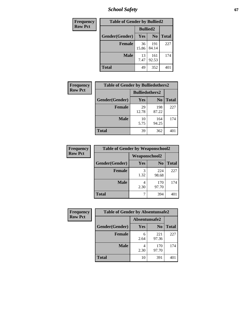*School Safety* **67**

| Frequency      | <b>Table of Gender by Bullied2</b> |                 |                |              |
|----------------|------------------------------------|-----------------|----------------|--------------|
| <b>Row Pct</b> |                                    | <b>Bullied2</b> |                |              |
|                | Gender(Gender)                     | Yes             | N <sub>0</sub> | <b>Total</b> |
|                | <b>Female</b>                      | 36<br>15.86     | 191<br>84.14   | 227          |
|                | <b>Male</b>                        | 13<br>7.47      | 161<br>92.53   | 174          |
|                | <b>Total</b>                       | 49              | 352            | 401          |

| Frequency      | <b>Table of Gender by Bulliedothers2</b> |                       |                |              |
|----------------|------------------------------------------|-----------------------|----------------|--------------|
| <b>Row Pct</b> |                                          | <b>Bulliedothers2</b> |                |              |
|                | Gender(Gender)                           | Yes                   | N <sub>0</sub> | <b>Total</b> |
|                | <b>Female</b>                            | 29<br>12.78           | 198<br>87.22   | 227          |
|                | Male                                     | 10<br>5.75            | 164<br>94.25   | 174          |
|                | <b>Total</b>                             | 39                    | 362            | 401          |

| Frequency      | <b>Table of Gender by Weaponschool2</b> |               |                |              |
|----------------|-----------------------------------------|---------------|----------------|--------------|
| <b>Row Pct</b> |                                         | Weaponschool2 |                |              |
|                | Gender(Gender)                          | Yes           | N <sub>0</sub> | <b>Total</b> |
|                | <b>Female</b>                           | 3<br>1.32     | 224<br>98.68   | 227          |
|                | <b>Male</b>                             | 2.30          | 170<br>97.70   | 174          |
|                | <b>Total</b>                            |               | 394            | 401          |

| Frequency      | <b>Table of Gender by Absentunsafe2</b> |               |                |              |  |
|----------------|-----------------------------------------|---------------|----------------|--------------|--|
| <b>Row Pct</b> |                                         | Absentunsafe2 |                |              |  |
|                | Gender(Gender)                          | Yes           | N <sub>0</sub> | <b>Total</b> |  |
|                | <b>Female</b>                           | 6<br>2.64     | 221<br>97.36   | 227          |  |
|                | <b>Male</b>                             | 2.30          | 170<br>97.70   | 174          |  |
|                | <b>Total</b>                            | 10            | 391            | 401          |  |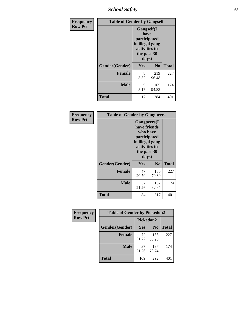*School Safety* **68**

| Frequency      | <b>Table of Gender by Gangself</b>                                                             |           |                |              |
|----------------|------------------------------------------------------------------------------------------------|-----------|----------------|--------------|
| <b>Row Pct</b> | Gangself(I<br>have<br>participated<br>in illegal gang<br>activities in<br>the past 30<br>days) |           |                |              |
|                | Gender(Gender)                                                                                 | Yes       | N <sub>0</sub> | <b>Total</b> |
|                | <b>Female</b>                                                                                  | 8<br>3.52 | 219<br>96.48   | 227          |
|                | <b>Male</b>                                                                                    | 9<br>5.17 | 165<br>94.83   | 174          |
|                | <b>Total</b>                                                                                   | 17        | 384            | 401          |

| Frequency      | <b>Table of Gender by Gangpeers</b> |                                                                                                                             |                |              |
|----------------|-------------------------------------|-----------------------------------------------------------------------------------------------------------------------------|----------------|--------------|
| <b>Row Pct</b> |                                     | <b>Gangpeers</b> (I<br>have friends<br>who have<br>participated<br>in illegal gang<br>activities in<br>the past 30<br>days) |                |              |
|                | Gender(Gender)                      | <b>Yes</b>                                                                                                                  | N <sub>0</sub> | <b>Total</b> |
|                | <b>Female</b>                       | 47<br>20.70                                                                                                                 | 180<br>79.30   | 227          |
|                | <b>Male</b>                         | 37<br>21.26                                                                                                                 | 137<br>78.74   | 174          |
|                | <b>Total</b>                        | 84                                                                                                                          | 317            | 401          |

| <b>Frequency</b> | <b>Table of Gender by Pickedon2</b> |             |                |              |
|------------------|-------------------------------------|-------------|----------------|--------------|
| <b>Row Pct</b>   |                                     | Pickedon2   |                |              |
|                  | Gender(Gender)                      | Yes         | N <sub>0</sub> | <b>Total</b> |
|                  | <b>Female</b>                       | 72<br>31.72 | 155<br>68.28   | 227          |
|                  | <b>Male</b>                         | 37<br>21.26 | 137<br>78.74   | 174          |
|                  | <b>Total</b>                        | 109         | 292            | 401          |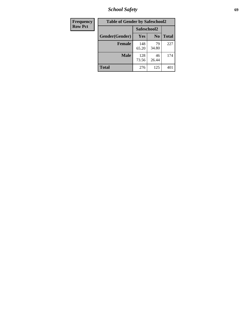*School Safety* **69**

| Frequency      | <b>Table of Gender by Safeschool2</b> |              |                |              |  |
|----------------|---------------------------------------|--------------|----------------|--------------|--|
| <b>Row Pct</b> |                                       | Safeschool2  |                |              |  |
|                | Gender(Gender)                        | <b>Yes</b>   | N <sub>0</sub> | <b>Total</b> |  |
|                | <b>Female</b>                         | 148<br>65.20 | 79<br>34.80    | 227          |  |
|                | <b>Male</b>                           | 128<br>73.56 | 46<br>26.44    | 174          |  |
|                | <b>Total</b>                          | 276          | 125            | 401          |  |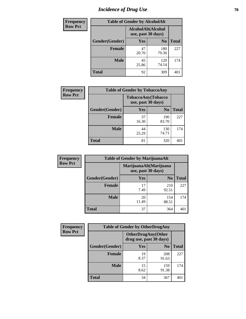# *Incidence of Drug Use* **70**

| <b>Frequency</b> |                | <b>Table of Gender by AlcoholAlt</b>     |                |              |
|------------------|----------------|------------------------------------------|----------------|--------------|
| <b>Row Pct</b>   |                | AlcoholAlt(Alcohol<br>use, past 30 days) |                |              |
|                  | Gender(Gender) | Yes                                      | N <sub>0</sub> | <b>Total</b> |
|                  | <b>Female</b>  | 47<br>20.70                              | 180<br>79.30   | 227          |
|                  | <b>Male</b>    | 45<br>25.86                              | 129<br>74.14   | 174          |
|                  | <b>Total</b>   | 92                                       | 309            | 401          |

| <b>Frequency</b> | <b>Table of Gender by TobaccoAny</b> |                                          |                |              |  |
|------------------|--------------------------------------|------------------------------------------|----------------|--------------|--|
| <b>Row Pct</b>   |                                      | TobaccoAny(Tobacco<br>use, past 30 days) |                |              |  |
|                  | Gender(Gender)                       | Yes                                      | N <sub>0</sub> | <b>Total</b> |  |
|                  | <b>Female</b>                        | 37<br>16.30                              | 190<br>83.70   | 227          |  |
|                  | <b>Male</b>                          | 44<br>25.29                              | 130<br>74.71   | 174          |  |
|                  | <b>Total</b>                         | 81                                       | 320            |              |  |

| <b>Frequency</b> | <b>Table of Gender by MarijuanaAlt</b> |             |                                              |              |
|------------------|----------------------------------------|-------------|----------------------------------------------|--------------|
| <b>Row Pct</b>   |                                        |             | MarijuanaAlt(Marijuana<br>use, past 30 days) |              |
|                  | Gender(Gender)                         | <b>Yes</b>  | N <sub>0</sub>                               | <b>Total</b> |
|                  | Female                                 | 17<br>7.49  | 210<br>92.51                                 | 227          |
|                  | <b>Male</b>                            | 20<br>11.49 | 154<br>88.51                                 | 174          |
|                  | <b>Total</b>                           | 37          | 364                                          | 401          |

| <b>Frequency</b> | <b>Table of Gender by OtherDrugAny</b> |                                                      |                |              |  |
|------------------|----------------------------------------|------------------------------------------------------|----------------|--------------|--|
| <b>Row Pct</b>   |                                        | <b>OtherDrugAny(Other</b><br>drug use, past 30 days) |                |              |  |
|                  | Gender(Gender)                         | <b>Yes</b>                                           | N <sub>0</sub> | <b>Total</b> |  |
|                  | <b>Female</b>                          | 19<br>8.37                                           | 208<br>91.63   | 227          |  |
|                  | <b>Male</b>                            | 15<br>8.62                                           | 159<br>91.38   | 174          |  |
|                  | <b>Total</b>                           | 34                                                   | 367            | 401          |  |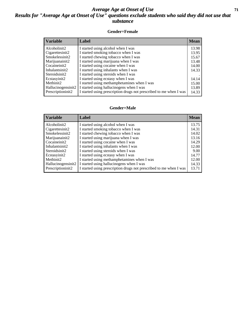#### *Average Age at Onset of Use* **71** *Results for "Average Age at Onset of Use" questions exclude students who said they did not use that substance*

#### **Gender=Female**

| <b>Variable</b>    | <b>Label</b>                                                       | <b>Mean</b> |
|--------------------|--------------------------------------------------------------------|-------------|
| Alcoholinit2       | I started using alcohol when I was                                 | 13.98       |
| Cigarettesinit2    | I started smoking tobacco when I was                               | 13.95       |
| Smokelessinit2     | I started chewing tobacco when I was                               | 15.67       |
| Marijuanainit2     | I started using marijuana when I was                               | 13.48       |
| Cocaineinit2       | I started using cocaine when I was                                 | 14.00       |
| Inhalantsinit2     | I started using inhalants when I was                               | 14.33       |
| Steroidsinit2      | I started using steroids when I was                                |             |
| Ecstasyinit2       | I started using ecstasy when I was                                 | 14.14       |
| Methinit2          | I started using methamphetamines when I was                        | 15.00       |
| Hallucinogensinit2 | I started using hallucinogens when I was                           | 13.89       |
| Prescription in t2 | I started using prescription drugs not prescribed to me when I was | 14.33       |

#### **Gender=Male**

| <b>Variable</b>                 | Label                                                              | <b>Mean</b> |
|---------------------------------|--------------------------------------------------------------------|-------------|
| Alcoholinit2                    | I started using alcohol when I was                                 | 13.75       |
| Cigarettesinit2                 | I started smoking tobacco when I was                               | 14.31       |
| Smokelessinit2                  | I started chewing tobacco when I was                               | 14.02       |
| Marijuanainit2                  | I started using marijuana when I was                               | 13.16       |
| Cocaineinit2                    | I started using cocaine when I was                                 | 14.29       |
| Inhalantsinit2                  | I started using inhalants when I was                               | 12.00       |
| Steroidsinit2                   | I started using steroids when I was                                | 9.00        |
| Ecstasyinit2                    | I started using ecstasy when I was                                 | 14.77       |
| Methinit2                       | I started using methamphetamines when I was                        | 12.00       |
| Hallucinogensinit2              | I started using hallucinogens when I was                           | 14.33       |
| Prescription in it <sub>2</sub> | I started using prescription drugs not prescribed to me when I was | 13.71       |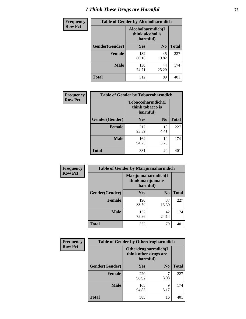# *I Think These Drugs are Harmful* **72**

| <b>Frequency</b> | <b>Table of Gender by Alcoholharmdich</b> |                                       |                |              |
|------------------|-------------------------------------------|---------------------------------------|----------------|--------------|
| <b>Row Pct</b>   |                                           | Alcoholharmdich(I<br>think alcohol is | harmful)       |              |
|                  | Gender(Gender)                            | Yes                                   | N <sub>0</sub> | <b>Total</b> |
|                  | Female                                    | 182<br>80.18                          | 45<br>19.82    | 227          |
|                  | <b>Male</b>                               | 130<br>74.71                          | 44<br>25.29    | 174          |
|                  | Total                                     | 312                                   | 89             | 401          |

| Frequency      | <b>Table of Gender by Tobaccoharmdich</b> |                  |                               |              |  |
|----------------|-------------------------------------------|------------------|-------------------------------|--------------|--|
| <b>Row Pct</b> |                                           | think tobacco is | Tobaccoharmdich(I<br>harmful) |              |  |
|                | Gender(Gender)                            | <b>Yes</b>       | N <sub>0</sub>                | <b>Total</b> |  |
|                | <b>Female</b>                             | 217<br>95.59     | 10<br>4.41                    | 227          |  |
|                | <b>Male</b>                               | 164<br>94.25     | 10<br>5.75                    | 174          |  |
|                | <b>Total</b>                              | 381              | 20                            | 401          |  |

| Frequency      | <b>Table of Gender by Marijuanaharmdich</b> |                                                       |                |              |  |
|----------------|---------------------------------------------|-------------------------------------------------------|----------------|--------------|--|
| <b>Row Pct</b> |                                             | Marijuanaharmdich(I<br>think marijuana is<br>harmful) |                |              |  |
|                | Gender(Gender)                              | <b>Yes</b>                                            | N <sub>0</sub> | <b>Total</b> |  |
|                | <b>Female</b>                               | 190<br>83.70                                          | 37<br>16.30    | 227          |  |
|                | <b>Male</b>                                 | 132<br>75.86                                          | 42<br>24.14    | 174          |  |
|                | <b>Total</b>                                | 322                                                   | 79             | 401          |  |

| Frequency      | <b>Table of Gender by Otherdrugharmdich</b> |                                                          |                |              |  |
|----------------|---------------------------------------------|----------------------------------------------------------|----------------|--------------|--|
| <b>Row Pct</b> |                                             | Otherdrugharmdich(I<br>think other drugs are<br>harmful) |                |              |  |
|                | Gender(Gender)                              | <b>Yes</b>                                               | N <sub>0</sub> | <b>Total</b> |  |
|                | <b>Female</b>                               | 220<br>96.92                                             | 3.08           | 227          |  |
|                | <b>Male</b>                                 | 165<br>94.83                                             | 9<br>5.17      | 174          |  |
|                | <b>Total</b>                                | 385                                                      | 16             | 401          |  |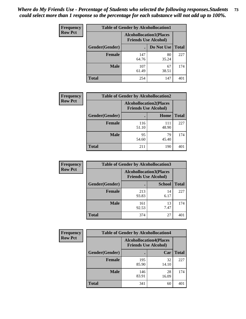| <b>Frequency</b> | <b>Table of Gender by Alcohollocation1</b> |                                                               |             |              |
|------------------|--------------------------------------------|---------------------------------------------------------------|-------------|--------------|
| <b>Row Pct</b>   |                                            | <b>Alcohollocation1(Places</b><br><b>Friends Use Alcohol)</b> |             |              |
|                  | Gender(Gender)                             |                                                               | Do Not Use  | <b>Total</b> |
|                  | <b>Female</b>                              | 147<br>64.76                                                  | 80<br>35.24 | 227          |
|                  | <b>Male</b>                                | 107<br>61.49                                                  | 67<br>38.51 | 174          |
|                  | <b>Total</b>                               | 254                                                           | 147         | 401          |

| <b>Frequency</b> | <b>Table of Gender by Alcohollocation2</b> |              |                                                               |              |
|------------------|--------------------------------------------|--------------|---------------------------------------------------------------|--------------|
| <b>Row Pct</b>   |                                            |              | <b>Alcohollocation2(Places</b><br><b>Friends Use Alcohol)</b> |              |
|                  | Gender(Gender)                             |              | Home                                                          | <b>Total</b> |
|                  | <b>Female</b>                              | 116<br>51.10 | 111<br>48.90                                                  | 227          |
|                  | <b>Male</b>                                | 95<br>54.60  | 79<br>45.40                                                   | 174          |
|                  | <b>Total</b>                               | 211          | 190                                                           | 40.          |

| Frequency      | <b>Table of Gender by Alcohollocation3</b> |              |                                                               |              |
|----------------|--------------------------------------------|--------------|---------------------------------------------------------------|--------------|
| <b>Row Pct</b> |                                            |              | <b>Alcohollocation3(Places</b><br><b>Friends Use Alcohol)</b> |              |
|                | Gender(Gender)                             |              | <b>School</b>                                                 | <b>Total</b> |
|                | <b>Female</b>                              | 213<br>93.83 | 14<br>6.17                                                    | 227          |
|                | <b>Male</b>                                | 161<br>92.53 | 13<br>7.47                                                    | 174          |
|                | <b>Total</b>                               | 374          | 27                                                            | 401          |

| Frequency      | <b>Table of Gender by Alcohollocation4</b> |                                                               |             |              |
|----------------|--------------------------------------------|---------------------------------------------------------------|-------------|--------------|
| <b>Row Pct</b> |                                            | <b>Alcohollocation4(Places</b><br><b>Friends Use Alcohol)</b> |             |              |
|                | <b>Gender</b> (Gender)                     |                                                               | Car         | <b>Total</b> |
|                | <b>Female</b>                              | 195<br>85.90                                                  | 32<br>14.10 | 227          |
|                | <b>Male</b>                                | 146<br>83.91                                                  | 28<br>16.09 | 174          |
|                | <b>Total</b>                               | 341                                                           | 60          | 401          |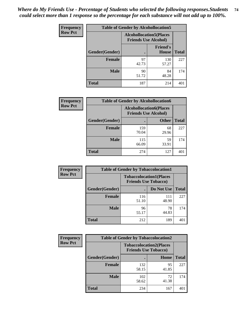| <b>Frequency</b> | <b>Table of Gender by Alcohollocation5</b> |                                                               |                                 |              |
|------------------|--------------------------------------------|---------------------------------------------------------------|---------------------------------|--------------|
| <b>Row Pct</b>   |                                            | <b>Alcohollocation5(Places</b><br><b>Friends Use Alcohol)</b> |                                 |              |
|                  | Gender(Gender)                             | $\bullet$                                                     | <b>Friend's</b><br><b>House</b> | <b>Total</b> |
|                  | <b>Female</b>                              | 97<br>42.73                                                   | 130<br>57.27                    | 227          |
|                  | <b>Male</b>                                | 90<br>51.72                                                   | 84<br>48.28                     | 174          |
|                  | <b>Total</b>                               | 187                                                           | 214                             | 401          |

| Frequency      |                        | <b>Table of Gender by Alcohollocation6</b>                    |              |              |
|----------------|------------------------|---------------------------------------------------------------|--------------|--------------|
| <b>Row Pct</b> |                        | <b>Alcohollocation6(Places</b><br><b>Friends Use Alcohol)</b> |              |              |
|                | <b>Gender</b> (Gender) |                                                               | <b>Other</b> | <b>Total</b> |
|                | <b>Female</b>          | 159<br>70.04                                                  | 68<br>29.96  | 227          |
|                | <b>Male</b>            | 115<br>66.09                                                  | 59<br>33.91  | 174          |
|                | <b>Total</b>           | 274                                                           | 127          | 40.          |

| Frequency      | <b>Table of Gender by Tobaccolocation1</b> |                                                               |              |              |  |
|----------------|--------------------------------------------|---------------------------------------------------------------|--------------|--------------|--|
| <b>Row Pct</b> |                                            | <b>Tobaccolocation1(Places</b><br><b>Friends Use Tobacco)</b> |              |              |  |
|                | Gender(Gender)                             |                                                               | Do Not Use   | <b>Total</b> |  |
|                | <b>Female</b>                              | 116<br>51.10                                                  | 111<br>48.90 | 227          |  |
|                | <b>Male</b>                                | 96<br>55.17                                                   | 78<br>44.83  | 174          |  |
|                | <b>Total</b>                               | 212                                                           | 189          | 401          |  |

| <b>Frequency</b> |                | <b>Table of Gender by Tobaccolocation2</b>                    |             |              |
|------------------|----------------|---------------------------------------------------------------|-------------|--------------|
| <b>Row Pct</b>   |                | <b>Tobaccolocation2(Places</b><br><b>Friends Use Tobacco)</b> |             |              |
|                  | Gender(Gender) |                                                               | Home        | <b>Total</b> |
|                  | Female         | 132<br>58.15                                                  | 95<br>41.85 | 227          |
|                  | <b>Male</b>    | 102<br>58.62                                                  | 72<br>41.38 | 174          |
|                  | <b>Total</b>   | 234                                                           | 167         | 401          |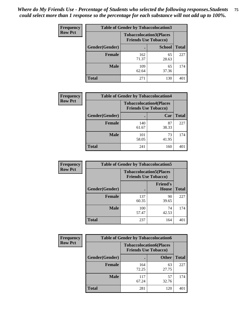| <b>Frequency</b> | <b>Table of Gender by Tobaccolocation3</b> |              |                                                               |              |
|------------------|--------------------------------------------|--------------|---------------------------------------------------------------|--------------|
| <b>Row Pct</b>   |                                            |              | <b>Tobaccolocation3(Places</b><br><b>Friends Use Tobacco)</b> |              |
|                  | Gender(Gender)                             |              | <b>School</b>                                                 | <b>Total</b> |
|                  | Female                                     | 162<br>71.37 | 65<br>28.63                                                   | 227          |
|                  | <b>Male</b>                                | 109<br>62.64 | 65<br>37.36                                                   | 174          |
|                  | <b>Total</b>                               | 271          | 130                                                           | 401          |

| <b>Frequency</b> | <b>Table of Gender by Tobaccolocation4</b> |              |                                                               |              |
|------------------|--------------------------------------------|--------------|---------------------------------------------------------------|--------------|
| <b>Row Pct</b>   |                                            |              | <b>Tobaccolocation4(Places</b><br><b>Friends Use Tobacco)</b> |              |
|                  | Gender(Gender)                             |              | Car                                                           | <b>Total</b> |
|                  | <b>Female</b>                              | 140<br>61.67 | 87<br>38.33                                                   | 227          |
|                  | <b>Male</b>                                | 101<br>58.05 | 73<br>41.95                                                   | 174          |
|                  | <b>Total</b>                               | 241          | 160                                                           | 40           |

| <b>Frequency</b> | <b>Table of Gender by Tobaccolocation5</b> |                                                               |                          |              |
|------------------|--------------------------------------------|---------------------------------------------------------------|--------------------------|--------------|
| <b>Row Pct</b>   |                                            | <b>Tobaccolocation5(Places</b><br><b>Friends Use Tobacco)</b> |                          |              |
|                  | Gender(Gender)                             |                                                               | <b>Friend's</b><br>House | <b>Total</b> |
|                  | <b>Female</b>                              | 137<br>60.35                                                  | 90<br>39.65              | 227          |
|                  | <b>Male</b>                                | 100<br>57.47                                                  | 74<br>42.53              | 174          |
|                  | <b>Total</b>                               | 237                                                           | 164                      | 401          |

| <b>Frequency</b> | <b>Table of Gender by Tobaccolocation6</b> |                                                               |              |              |
|------------------|--------------------------------------------|---------------------------------------------------------------|--------------|--------------|
| <b>Row Pct</b>   |                                            | <b>Tobaccolocation6(Places</b><br><b>Friends Use Tobacco)</b> |              |              |
|                  | Gender(Gender)                             |                                                               | <b>Other</b> | <b>Total</b> |
|                  | Female                                     | 164<br>72.25                                                  | 63<br>27.75  | 227          |
|                  | <b>Male</b>                                | 117<br>67.24                                                  | 57<br>32.76  | 174          |
|                  | <b>Total</b>                               | 281                                                           | 120          | 401          |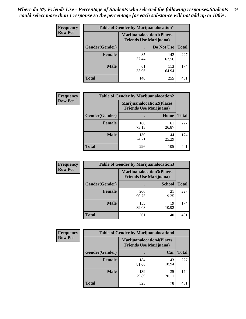| <b>Frequency</b> | <b>Table of Gender by Marijuanalocation1</b> |                                                                    |              |              |
|------------------|----------------------------------------------|--------------------------------------------------------------------|--------------|--------------|
| <b>Row Pct</b>   |                                              | <b>Marijuanalocation1(Places</b><br><b>Friends Use Marijuana</b> ) |              |              |
|                  | Gender(Gender)                               |                                                                    | Do Not Use   | <b>Total</b> |
|                  | <b>Female</b>                                | 85<br>37.44                                                        | 142<br>62.56 | 227          |
|                  | <b>Male</b>                                  | 61<br>35.06                                                        | 113<br>64.94 | 174          |
|                  | <b>Total</b>                                 | 146                                                                | 255          | 401          |

| <b>Frequency</b> | <b>Table of Gender by Marijuanalocation2</b> |                                                                    |             |              |  |
|------------------|----------------------------------------------|--------------------------------------------------------------------|-------------|--------------|--|
| <b>Row Pct</b>   |                                              | <b>Marijuanalocation2(Places</b><br><b>Friends Use Marijuana</b> ) |             |              |  |
|                  | Gender(Gender)                               |                                                                    | Home        | <b>Total</b> |  |
|                  | Female                                       | 166<br>73.13                                                       | 61<br>26.87 | 227          |  |
|                  | <b>Male</b>                                  | 130<br>74.71                                                       | 44<br>25.29 | 174          |  |
|                  | <b>Total</b>                                 | 296                                                                | 105         | 401          |  |

| Frequency      |                | <b>Table of Gender by Marijuanalocation3</b> |                                                                    |              |
|----------------|----------------|----------------------------------------------|--------------------------------------------------------------------|--------------|
| <b>Row Pct</b> |                |                                              | <b>Marijuanalocation3(Places</b><br><b>Friends Use Marijuana</b> ) |              |
|                | Gender(Gender) |                                              | <b>School</b>                                                      | <b>Total</b> |
|                | Female         | 206<br>90.75                                 | 21<br>9.25                                                         | 227          |
|                | <b>Male</b>    | 155<br>89.08                                 | 19<br>10.92                                                        | 174          |
|                | <b>Total</b>   | 361                                          | 40                                                                 | 401          |

| Frequency      | <b>Table of Gender by Marijuanalocation4</b> |                                |                                  |              |
|----------------|----------------------------------------------|--------------------------------|----------------------------------|--------------|
| <b>Row Pct</b> |                                              | <b>Friends Use Marijuana</b> ) | <b>Marijuanalocation4(Places</b> |              |
|                | <b>Gender</b> (Gender)                       |                                | Car                              | <b>Total</b> |
|                | <b>Female</b>                                | 184<br>81.06                   | 43<br>18.94                      | 227          |
|                | <b>Male</b>                                  | 139<br>79.89                   | 35<br>20.11                      | 174          |
|                | <b>Total</b>                                 | 323                            | 78                               |              |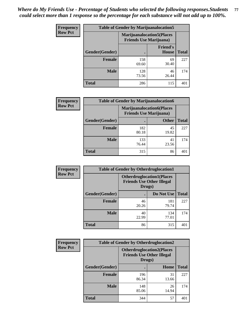| <b>Frequency</b> | <b>Table of Gender by Marijuanalocation5</b> |                                                                     |                                 |              |
|------------------|----------------------------------------------|---------------------------------------------------------------------|---------------------------------|--------------|
| <b>Row Pct</b>   |                                              | <b>Marijuanalocation5</b> (Places<br><b>Friends Use Marijuana</b> ) |                                 |              |
|                  | Gender(Gender)                               |                                                                     | <b>Friend's</b><br><b>House</b> | <b>Total</b> |
|                  | <b>Female</b>                                | 158<br>69.60                                                        | 69<br>30.40                     | 227          |
|                  | <b>Male</b>                                  | 128<br>73.56                                                        | 46<br>26.44                     | 174          |
|                  | <b>Total</b>                                 | 286                                                                 | 115                             | 401          |

| <b>Frequency</b> | <b>Table of Gender by Marijuanalocation6</b> |                                                                    |              |              |
|------------------|----------------------------------------------|--------------------------------------------------------------------|--------------|--------------|
| <b>Row Pct</b>   |                                              | <b>Marijuanalocation6(Places</b><br><b>Friends Use Marijuana</b> ) |              |              |
|                  | Gender(Gender)                               |                                                                    | <b>Other</b> | <b>Total</b> |
|                  | Female                                       | 182<br>80.18                                                       | 45<br>19.82  | 227          |
|                  | <b>Male</b>                                  | 133<br>76.44                                                       | 41<br>23.56  | 174          |
|                  | <b>Total</b>                                 | 315                                                                | 86           | 401          |

| <b>Frequency</b> | <b>Table of Gender by Otherdruglocation1</b> |                                                                                |              |              |
|------------------|----------------------------------------------|--------------------------------------------------------------------------------|--------------|--------------|
| <b>Row Pct</b>   |                                              | <b>Otherdruglocation1(Places</b><br><b>Friends Use Other Illegal</b><br>Drugs) |              |              |
|                  | Gender(Gender)                               |                                                                                | Do Not Use   | <b>Total</b> |
|                  | <b>Female</b>                                | 46<br>20.26                                                                    | 181<br>79.74 | 227          |
|                  | <b>Male</b>                                  | 40<br>22.99                                                                    | 134<br>77.01 | 174          |
|                  | <b>Total</b>                                 | 86                                                                             | 315          | 401          |

| Frequency      | <b>Table of Gender by Otherdruglocation2</b> |                                                                                |             |              |
|----------------|----------------------------------------------|--------------------------------------------------------------------------------|-------------|--------------|
| <b>Row Pct</b> |                                              | <b>Otherdruglocation2(Places</b><br><b>Friends Use Other Illegal</b><br>Drugs) |             |              |
|                | Gender(Gender)                               |                                                                                | Home        | <b>Total</b> |
|                | Female                                       | 196<br>86.34                                                                   | 31<br>13.66 | 227          |
|                | <b>Male</b>                                  | 148<br>85.06                                                                   | 26<br>14.94 | 174          |
|                | <b>Total</b>                                 | 344                                                                            | 57          | 401          |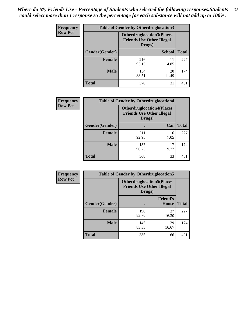| Frequency      | <b>Table of Gender by Otherdruglocation3</b> |                                                                                |               |              |
|----------------|----------------------------------------------|--------------------------------------------------------------------------------|---------------|--------------|
| <b>Row Pct</b> |                                              | <b>Otherdruglocation3(Places</b><br><b>Friends Use Other Illegal</b><br>Drugs) |               |              |
|                | Gender(Gender)                               |                                                                                | <b>School</b> | <b>Total</b> |
|                | <b>Female</b>                                | 216<br>95.15                                                                   | 11<br>4.85    | 227          |
|                | <b>Male</b>                                  | 154<br>88.51                                                                   | 20<br>11.49   | 174          |
|                | <b>Total</b>                                 | 370                                                                            | 31            | 401          |

| Frequency      | <b>Table of Gender by Otherdruglocation4</b> |                                                                                |            |              |
|----------------|----------------------------------------------|--------------------------------------------------------------------------------|------------|--------------|
| <b>Row Pct</b> |                                              | <b>Otherdruglocation4(Places</b><br><b>Friends Use Other Illegal</b><br>Drugs) |            |              |
|                | Gender(Gender)                               |                                                                                | Car        | <b>Total</b> |
|                | <b>Female</b>                                | 211<br>92.95                                                                   | 16<br>7.05 | 227          |
|                | <b>Male</b>                                  | 157<br>90.23                                                                   | 17<br>9.77 | 174          |
|                | <b>Total</b>                                 | 368                                                                            | 33         | 401          |

| Frequency      | <b>Table of Gender by Otherdruglocation5</b> |                                                                                |                                 |              |
|----------------|----------------------------------------------|--------------------------------------------------------------------------------|---------------------------------|--------------|
| <b>Row Pct</b> |                                              | <b>Otherdruglocation5(Places</b><br><b>Friends Use Other Illegal</b><br>Drugs) |                                 |              |
|                | Gender(Gender)                               |                                                                                | <b>Friend's</b><br><b>House</b> | <b>Total</b> |
|                | <b>Female</b>                                | 190<br>83.70                                                                   | 37<br>16.30                     | 227          |
|                | <b>Male</b>                                  | 145<br>83.33                                                                   | 29<br>16.67                     | 174          |
|                | <b>Total</b>                                 | 335                                                                            | 66                              | 401          |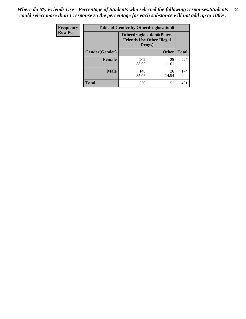| Frequency      | <b>Table of Gender by Otherdruglocation6</b> |                                            |                                  |              |
|----------------|----------------------------------------------|--------------------------------------------|----------------------------------|--------------|
| <b>Row Pct</b> |                                              | <b>Friends Use Other Illegal</b><br>Drugs) | <b>Otherdruglocation6(Places</b> |              |
|                | Gender(Gender)                               |                                            | <b>Other</b>                     | <b>Total</b> |
|                | <b>Female</b>                                | 202<br>88.99                               | 25<br>11.01                      | 227          |
|                | <b>Male</b>                                  | 148<br>85.06                               | 26<br>14.94                      | 174          |
|                | <b>Total</b>                                 | 350                                        | 51                               | 401          |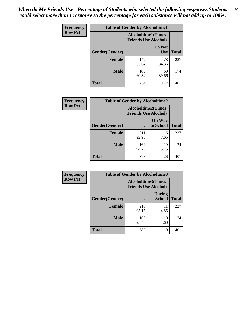| <b>Frequency</b> | <b>Table of Gender by Alcoholtime1</b> |                                                   |                      |              |
|------------------|----------------------------------------|---------------------------------------------------|----------------------|--------------|
| <b>Row Pct</b>   |                                        | Alcoholtime1(Times<br><b>Friends Use Alcohol)</b> |                      |              |
|                  | Gender(Gender)                         | $\bullet$                                         | Do Not<br><b>Use</b> | <b>Total</b> |
|                  | <b>Female</b>                          | 149<br>65.64                                      | 78<br>34.36          | 227          |
|                  | <b>Male</b>                            | 105<br>60.34                                      | 69<br>39.66          | 174          |
|                  | <b>Total</b>                           | 254                                               | 147                  | 401          |

| Frequency      | <b>Table of Gender by Alcoholtime2</b> |                                                          |                            |              |
|----------------|----------------------------------------|----------------------------------------------------------|----------------------------|--------------|
| <b>Row Pct</b> |                                        | <b>Alcoholtime2(Times</b><br><b>Friends Use Alcohol)</b> |                            |              |
|                | Gender(Gender)                         |                                                          | <b>On Way</b><br>to School | <b>Total</b> |
|                | <b>Female</b>                          | 211<br>92.95                                             | 16<br>7.05                 | 227          |
|                | <b>Male</b>                            | 164<br>94.25                                             | 10<br>5.75                 | 174          |
|                | <b>Total</b>                           | 375                                                      | 26                         | 401          |

| Frequency      | <b>Table of Gender by Alcoholtime3</b> |                                                          |                                |              |
|----------------|----------------------------------------|----------------------------------------------------------|--------------------------------|--------------|
| <b>Row Pct</b> |                                        | <b>Alcoholtime3(Times</b><br><b>Friends Use Alcohol)</b> |                                |              |
|                | Gender(Gender)                         |                                                          | <b>During</b><br><b>School</b> | <b>Total</b> |
|                | <b>Female</b>                          | 216<br>95.15                                             | 11<br>4.85                     | 227          |
|                | <b>Male</b>                            | 166<br>95.40                                             | 8<br>4.60                      | 174          |
|                | <b>Total</b>                           | 382                                                      | 19                             | 401          |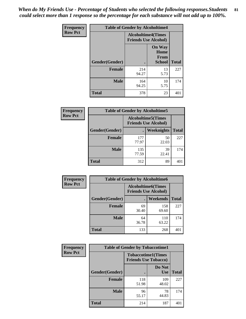*When do My Friends Use - Percentage of Students who selected the following responses.Students could select more than 1 response so the percentage for each substance will not add up to 100%.* **81**

| <b>Frequency</b> | <b>Table of Gender by Alcoholtime4</b> |                                                          |                                                |              |  |
|------------------|----------------------------------------|----------------------------------------------------------|------------------------------------------------|--------------|--|
| <b>Row Pct</b>   |                                        | <b>Alcoholtime4(Times</b><br><b>Friends Use Alcohol)</b> |                                                |              |  |
|                  | Gender(Gender)                         |                                                          | <b>On Way</b><br>Home<br>From<br><b>School</b> | <b>Total</b> |  |
|                  | <b>Female</b>                          | 214<br>94.27                                             | 13<br>5.73                                     | 227          |  |
|                  | <b>Male</b>                            | 164<br>94.25                                             | 10<br>5.75                                     | 174          |  |
|                  | <b>Total</b>                           | 378                                                      | 23                                             | 401          |  |

| <b>Frequency</b> | <b>Table of Gender by Alcoholtime5</b> |              |                                                           |              |  |
|------------------|----------------------------------------|--------------|-----------------------------------------------------------|--------------|--|
| <b>Row Pct</b>   |                                        |              | <b>Alcoholtime5</b> (Times<br><b>Friends Use Alcohol)</b> |              |  |
|                  | Gender(Gender)                         |              | Weeknights                                                | <b>Total</b> |  |
|                  | <b>Female</b>                          | 177<br>77.97 | 50<br>22.03                                               | 227          |  |
|                  | <b>Male</b>                            | 135<br>77.59 | 39<br>22.41                                               | 174          |  |
|                  | <b>Total</b>                           | 312          | 89                                                        | 401          |  |

| <b>Frequency</b> |                | <b>Table of Gender by Alcoholtime6</b> |                                                          |              |  |
|------------------|----------------|----------------------------------------|----------------------------------------------------------|--------------|--|
| <b>Row Pct</b>   |                |                                        | <b>Alcoholtime6(Times</b><br><b>Friends Use Alcohol)</b> |              |  |
|                  | Gender(Gender) |                                        | Weekends                                                 | <b>Total</b> |  |
|                  | Female         | 69<br>30.40                            | 158<br>69.60                                             | 227          |  |
|                  | <b>Male</b>    | 64<br>36.78                            | 110<br>63.22                                             | 174          |  |
|                  | <b>Total</b>   | 133                                    | 268                                                      | 401          |  |

| Frequency      | <b>Table of Gender by Tobaccotime1</b> |                                                          |                      |              |
|----------------|----------------------------------------|----------------------------------------------------------|----------------------|--------------|
| <b>Row Pct</b> |                                        | <b>Tobaccotime1(Times</b><br><b>Friends Use Tobacco)</b> |                      |              |
|                | Gender(Gender)                         |                                                          | Do Not<br><b>Use</b> | <b>Total</b> |
|                | <b>Female</b>                          | 118<br>51.98                                             | 109<br>48.02         | 227          |
|                | <b>Male</b>                            | 96<br>55.17                                              | 78<br>44.83          | 174          |
|                | <b>Total</b>                           | 214                                                      | 187                  | 401          |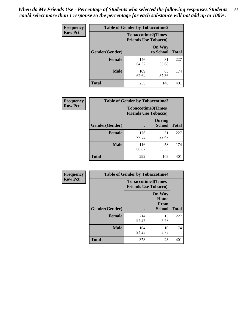*When do My Friends Use - Percentage of Students who selected the following responses.Students could select more than 1 response so the percentage for each substance will not add up to 100%.* **82**

| Frequency      | <b>Table of Gender by Tobaccotime2</b> |                                                          |                            |              |
|----------------|----------------------------------------|----------------------------------------------------------|----------------------------|--------------|
| <b>Row Pct</b> |                                        | <b>Tobaccotime2(Times</b><br><b>Friends Use Tobacco)</b> |                            |              |
|                | Gender(Gender)                         | $\bullet$                                                | <b>On Way</b><br>to School | <b>Total</b> |
|                | Female                                 | 146<br>64.32                                             | 81<br>35.68                | 227          |
|                | <b>Male</b>                            | 109<br>62.64                                             | 65<br>37.36                | 174          |
|                | Total                                  | 255                                                      | 146                        | 401          |

| Frequency      | <b>Table of Gender by Tobaccotime3</b> |                                                          |                                |              |
|----------------|----------------------------------------|----------------------------------------------------------|--------------------------------|--------------|
| <b>Row Pct</b> |                                        | <b>Tobaccotime3(Times</b><br><b>Friends Use Tobacco)</b> |                                |              |
|                | Gender(Gender)                         |                                                          | <b>During</b><br><b>School</b> | <b>Total</b> |
|                | Female                                 | 176<br>77.53                                             | 51<br>22.47                    | 227          |
|                | <b>Male</b>                            | 116<br>66.67                                             | 58<br>33.33                    | 174          |
|                | <b>Total</b>                           | 292                                                      | 109                            |              |

| <b>Frequency</b> | <b>Table of Gender by Tobaccotime4</b> |                                                          |                                                       |              |
|------------------|----------------------------------------|----------------------------------------------------------|-------------------------------------------------------|--------------|
| <b>Row Pct</b>   |                                        | <b>Tobaccotime4(Times</b><br><b>Friends Use Tobacco)</b> |                                                       |              |
|                  | Gender(Gender)                         |                                                          | <b>On Way</b><br>Home<br><b>From</b><br><b>School</b> | <b>Total</b> |
|                  | <b>Female</b>                          | 214<br>94.27                                             | 13<br>5.73                                            | 227          |
|                  | <b>Male</b>                            | 164<br>94.25                                             | 10<br>5.75                                            | 174          |
|                  | <b>Total</b>                           | 378                                                      | 23                                                    | 401          |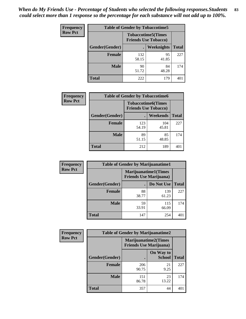| <b>Frequency</b> | <b>Table of Gender by Tobaccotime5</b> |              |                                                           |              |  |
|------------------|----------------------------------------|--------------|-----------------------------------------------------------|--------------|--|
| <b>Row Pct</b>   |                                        |              | <b>Tobaccotime5</b> (Times<br><b>Friends Use Tobacco)</b> |              |  |
|                  | Gender(Gender)                         |              | Weeknights                                                | <b>Total</b> |  |
|                  | <b>Female</b>                          | 132<br>58.15 | 95<br>41.85                                               | 227          |  |
|                  | <b>Male</b>                            | 90<br>51.72  | 84<br>48.28                                               | 174          |  |
|                  | <b>Total</b>                           | 222          | 179                                                       | 401          |  |

| Frequency      | <b>Table of Gender by Tobaccotime6</b> |                                                          |                 |              |
|----------------|----------------------------------------|----------------------------------------------------------|-----------------|--------------|
| <b>Row Pct</b> |                                        | <b>Tobaccotime6(Times</b><br><b>Friends Use Tobacco)</b> |                 |              |
|                | Gender(Gender)                         |                                                          | <b>Weekends</b> | <b>Total</b> |
|                | Female                                 | 123<br>54.19                                             | 104<br>45.81    | 227          |
|                | <b>Male</b>                            | 89<br>51.15                                              | 85<br>48.85     | 174          |
|                | <b>Total</b>                           | 212                                                      | 189             | 401          |

| <b>Frequency</b> | <b>Table of Gender by Marijuanatime1</b> |                                                               |              |              |  |
|------------------|------------------------------------------|---------------------------------------------------------------|--------------|--------------|--|
| <b>Row Pct</b>   |                                          | <b>Marijuanatime1(Times</b><br><b>Friends Use Marijuana</b> ) |              |              |  |
|                  | Gender(Gender)                           |                                                               | Do Not Use   | <b>Total</b> |  |
|                  | <b>Female</b>                            | 88<br>38.77                                                   | 139<br>61.23 | 227          |  |
|                  | <b>Male</b>                              | 59<br>33.91                                                   | 115<br>66.09 | 174          |  |
|                  | <b>Total</b>                             | 147                                                           | 254          | 401          |  |

| <b>Frequency</b> | <b>Table of Gender by Marijuanatime2</b> |                                                               |                            |              |
|------------------|------------------------------------------|---------------------------------------------------------------|----------------------------|--------------|
| <b>Row Pct</b>   |                                          | <b>Marijuanatime2(Times</b><br><b>Friends Use Marijuana</b> ) |                            |              |
|                  | Gender(Gender)                           |                                                               | On Way to<br><b>School</b> | <b>Total</b> |
|                  | <b>Female</b>                            | 206<br>90.75                                                  | 21<br>9.25                 | 227          |
|                  | <b>Male</b>                              | 151<br>86.78                                                  | 23<br>13.22                | 174          |
|                  | <b>Total</b>                             | 357                                                           | 44                         | 401          |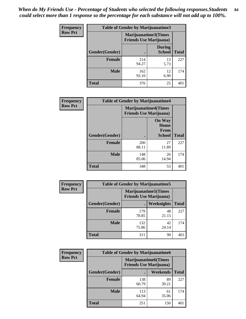*When do My Friends Use - Percentage of Students who selected the following responses.Students could select more than 1 response so the percentage for each substance will not add up to 100%.* **84**

| <b>Frequency</b> | Table of Gender by Marijuanatime3 |                                                        |                                |              |
|------------------|-----------------------------------|--------------------------------------------------------|--------------------------------|--------------|
| <b>Row Pct</b>   |                                   | Marijuanatime3(Times<br><b>Friends Use Marijuana</b> ) |                                |              |
|                  | Gender(Gender)                    |                                                        | <b>During</b><br><b>School</b> | <b>Total</b> |
|                  | <b>Female</b>                     | 214<br>94.27                                           | 13<br>5.73                     | 227          |
|                  | <b>Male</b>                       | 162<br>93.10                                           | 12<br>6.90                     | 174          |
|                  | <b>Total</b>                      | 376                                                    | 25                             | 401          |

| Frequency      | <b>Table of Gender by Marijuanatime4</b> |                                |                                                       |              |
|----------------|------------------------------------------|--------------------------------|-------------------------------------------------------|--------------|
| <b>Row Pct</b> |                                          | <b>Friends Use Marijuana</b> ) | <b>Marijuanatime4</b> (Times                          |              |
|                | <b>Gender</b> (Gender)                   |                                | <b>On Way</b><br>Home<br><b>From</b><br><b>School</b> | <b>Total</b> |
|                | <b>Female</b>                            | 200<br>88.11                   | 27<br>11.89                                           | 227          |
|                | <b>Male</b>                              | 148<br>85.06                   | 26<br>14.94                                           | 174          |
|                | <b>Total</b>                             | 348                            | 53                                                    | 401          |

| Frequency      | <b>Table of Gender by Marijuanatime5</b> |                                                                |             |              |  |
|----------------|------------------------------------------|----------------------------------------------------------------|-------------|--------------|--|
| <b>Row Pct</b> |                                          | <b>Marijuanatime5</b> (Times<br><b>Friends Use Marijuana</b> ) |             |              |  |
|                | Gender(Gender)                           |                                                                | Weeknights  | <b>Total</b> |  |
|                | <b>Female</b>                            | 179<br>78.85                                                   | 48<br>21.15 | 227          |  |
|                | <b>Male</b>                              | 132<br>75.86                                                   | 42<br>24.14 | 174          |  |
|                | <b>Total</b>                             | 311                                                            | 90          | 401          |  |

| <b>Frequency</b> | <b>Table of Gender by Marijuanatime6</b> |                                                               |             |              |
|------------------|------------------------------------------|---------------------------------------------------------------|-------------|--------------|
| <b>Row Pct</b>   |                                          | <b>Marijuanatime6(Times</b><br><b>Friends Use Marijuana</b> ) |             |              |
|                  | Gender(Gender)                           |                                                               | Weekends    | <b>Total</b> |
|                  | <b>Female</b>                            | 138<br>60.79                                                  | 89<br>39.21 | 227          |
|                  | <b>Male</b>                              | 113<br>64.94                                                  | 61<br>35.06 | 174          |
|                  | <b>Total</b>                             | 251                                                           | 150         | 401          |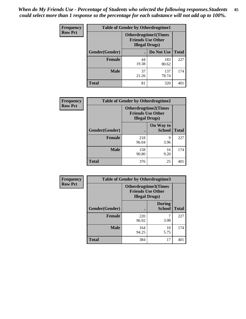*When do My Friends Use - Percentage of Students who selected the following responses.Students could select more than 1 response so the percentage for each substance will not add up to 100%.* **85**

| <b>Frequency</b> | <b>Table of Gender by Otherdrugtime1</b> |                        |                                                          |              |  |
|------------------|------------------------------------------|------------------------|----------------------------------------------------------|--------------|--|
| <b>Row Pct</b>   |                                          | <b>Illegal Drugs</b> ) | <b>Otherdrugtime1</b> (Times<br><b>Friends Use Other</b> |              |  |
|                  | Gender(Gender)                           |                        | Do Not Use                                               | <b>Total</b> |  |
|                  | <b>Female</b>                            | 44<br>19.38            | 183<br>80.62                                             | 227          |  |
|                  | <b>Male</b>                              | 37<br>21.26            | 137<br>78.74                                             | 174          |  |
|                  | <b>Total</b>                             | 81                     | 320                                                      | 401          |  |

| Frequency      | <b>Table of Gender by Otherdrugtime2</b> |                                                                                   |                            |              |
|----------------|------------------------------------------|-----------------------------------------------------------------------------------|----------------------------|--------------|
| <b>Row Pct</b> |                                          | <b>Otherdrugtime2(Times</b><br><b>Friends Use Other</b><br><b>Illegal Drugs</b> ) |                            |              |
|                | Gender(Gender)                           |                                                                                   | On Way to<br><b>School</b> | <b>Total</b> |
|                | <b>Female</b>                            | 218<br>96.04                                                                      | 9<br>3.96                  | 227          |
|                | <b>Male</b>                              | 158<br>90.80                                                                      | 16<br>9.20                 | 174          |
|                | <b>Total</b>                             | 376                                                                               | 25                         | 401          |

| Frequency      | <b>Table of Gender by Otherdrugtime3</b> |                        |                                                  |              |  |
|----------------|------------------------------------------|------------------------|--------------------------------------------------|--------------|--|
| <b>Row Pct</b> |                                          | <b>Illegal Drugs</b> ) | Otherdrugtime3(Times<br><b>Friends Use Other</b> |              |  |
|                | Gender(Gender)                           |                        | <b>During</b><br><b>School</b>                   | <b>Total</b> |  |
|                | <b>Female</b>                            | 220<br>96.92           | 7<br>3.08                                        | 227          |  |
|                | <b>Male</b>                              | 164<br>94.25           | 10<br>5.75                                       | 174          |  |
|                | <b>Total</b>                             | 384                    | 17                                               | 401          |  |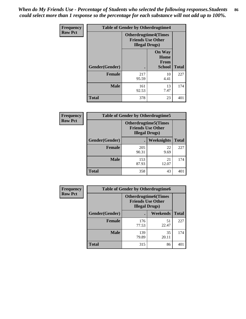*When do My Friends Use - Percentage of Students who selected the following responses.Students could select more than 1 response so the percentage for each substance will not add up to 100%.* **86**

| <b>Frequency</b> | <b>Table of Gender by Otherdrugtime4</b> |                                                    |                                                |              |
|------------------|------------------------------------------|----------------------------------------------------|------------------------------------------------|--------------|
| <b>Row Pct</b>   |                                          | <b>Friends Use Other</b><br><b>Illegal Drugs</b> ) | <b>Otherdrugtime4(Times</b>                    |              |
|                  | Gender(Gender)                           |                                                    | <b>On Way</b><br>Home<br><b>From</b><br>School | <b>Total</b> |
|                  | <b>Female</b>                            | 217<br>95.59                                       | 10<br>4.41                                     | 227          |
|                  | <b>Male</b>                              | 161<br>92.53                                       | 13<br>7.47                                     | 174          |
|                  | <b>Total</b>                             | 378                                                | 23                                             | 401          |

| Frequency      | <b>Table of Gender by Otherdrugtime5</b> |                                                                                    |             |              |
|----------------|------------------------------------------|------------------------------------------------------------------------------------|-------------|--------------|
| <b>Row Pct</b> |                                          | <b>Otherdrugtime5</b> (Times<br><b>Friends Use Other</b><br><b>Illegal Drugs</b> ) |             |              |
|                | Gender(Gender)                           |                                                                                    | Weeknights  | <b>Total</b> |
|                | <b>Female</b>                            | 205<br>90.31                                                                       | 22<br>9.69  | 227          |
|                | <b>Male</b>                              | 153<br>87.93                                                                       | 21<br>12.07 | 174          |
|                | <b>Total</b>                             | 358                                                                                | 43          | 401          |

| <b>Frequency</b> | <b>Table of Gender by Otherdrugtime6</b> |                                                                                   |             |              |  |
|------------------|------------------------------------------|-----------------------------------------------------------------------------------|-------------|--------------|--|
| <b>Row Pct</b>   |                                          | <b>Otherdrugtime6(Times</b><br><b>Friends Use Other</b><br><b>Illegal Drugs</b> ) |             |              |  |
|                  | Gender(Gender)                           |                                                                                   | Weekends    | <b>Total</b> |  |
|                  | <b>Female</b>                            | 176<br>77.53                                                                      | 51<br>22.47 | 227          |  |
|                  | <b>Male</b>                              | 139<br>79.89                                                                      | 35<br>20.11 | 174          |  |
|                  | <b>Total</b>                             | 315                                                                               | 86          | 401          |  |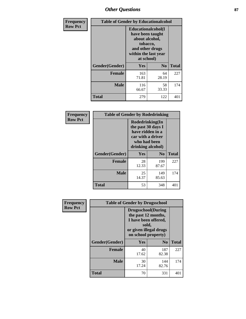# *Other Questions* **87**

| <b>Frequency</b> | <b>Table of Gender by Educationalcohol</b> |                                                                                                                                       |                |              |  |
|------------------|--------------------------------------------|---------------------------------------------------------------------------------------------------------------------------------------|----------------|--------------|--|
| <b>Row Pct</b>   |                                            | <b>Educationalcohol</b> (I<br>have been taught<br>about alcohol,<br>tobacco,<br>and other drugs<br>within the last year<br>at school) |                |              |  |
|                  | Gender(Gender)                             | <b>Yes</b>                                                                                                                            | N <sub>0</sub> | <b>Total</b> |  |
|                  | <b>Female</b>                              | 163<br>71.81                                                                                                                          | 64<br>28.19    | 227          |  |
|                  | <b>Male</b>                                | 116<br>66.67                                                                                                                          | 58<br>33.33    | 174          |  |
|                  | <b>Total</b>                               | 279                                                                                                                                   | 122            | 401          |  |

| Frequency      | <b>Table of Gender by Rodedrinking</b> |                                                                                                                     |                |              |  |
|----------------|----------------------------------------|---------------------------------------------------------------------------------------------------------------------|----------------|--------------|--|
| <b>Row Pct</b> |                                        | Rodedrinking(In<br>the past 30 days I<br>have ridden in a<br>car with a driver<br>who had been<br>drinking alcohol) |                |              |  |
|                | Gender(Gender)                         | Yes                                                                                                                 | N <sub>0</sub> | <b>Total</b> |  |
|                | <b>Female</b>                          | 28<br>12.33                                                                                                         | 199<br>87.67   | 227          |  |
|                | <b>Male</b>                            | 25<br>14.37                                                                                                         | 149<br>85.63   | 174          |  |
|                | <b>Total</b>                           | 53                                                                                                                  | 348            | 401          |  |

| Frequency      | <b>Table of Gender by Drugsschool</b> |                                                                                                                                     |                |              |  |
|----------------|---------------------------------------|-------------------------------------------------------------------------------------------------------------------------------------|----------------|--------------|--|
| <b>Row Pct</b> |                                       | <b>Drugsschool</b> (During<br>the past 12 months,<br>I have been offered,<br>sold,<br>or given illegal drugs<br>on school property) |                |              |  |
|                | Gender(Gender)                        | Yes                                                                                                                                 | N <sub>0</sub> | <b>Total</b> |  |
|                | <b>Female</b>                         | 40<br>17.62                                                                                                                         | 187<br>82.38   | 227          |  |
|                | <b>Male</b>                           | 30<br>17.24                                                                                                                         | 144<br>82.76   | 174          |  |
|                | <b>Total</b>                          | 70                                                                                                                                  | 331            | 401          |  |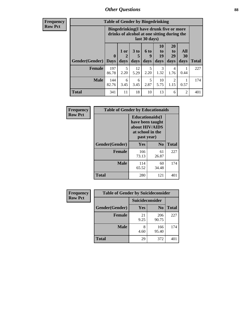# *Other Questions* **88**

**Frequency Row Pct**

| <b>Table of Gender by Bingedrinking</b> |                                                                                                                |                   |                   |                   |                        |                               |                          |              |
|-----------------------------------------|----------------------------------------------------------------------------------------------------------------|-------------------|-------------------|-------------------|------------------------|-------------------------------|--------------------------|--------------|
|                                         | <b>Bingedrinking(I have drunk five or more</b><br>drinks of alcohol at one sitting during the<br>last 30 days) |                   |                   |                   |                        |                               |                          |              |
| <b>Gender</b> (Gender)   Days           | $\mathbf 0$                                                                                                    | 1 or<br>2<br>days | 3 to<br>5<br>days | 6 to<br>q<br>days | 10<br>to<br>19<br>days | <b>20</b><br>to<br>29<br>days | All<br><b>30</b><br>days |              |
|                                         |                                                                                                                |                   |                   |                   |                        |                               |                          | <b>Total</b> |
| <b>Female</b>                           | 197<br>86.78                                                                                                   | 5<br>2.20         | 12<br>5.29        | 5<br>2.20         | 3<br>1.32              | 4<br>1.76                     | 0.44                     | 227          |
| <b>Male</b>                             | 144<br>82.76                                                                                                   | 6<br>3.45         | 6<br>3.45         | 5<br>2.87         | 10<br>5.75             | 2<br>1.15                     | 0.57                     | 174          |

| Frequency      | <b>Table of Gender by Educationaids</b> |                                                                                                 |             |              |
|----------------|-----------------------------------------|-------------------------------------------------------------------------------------------------|-------------|--------------|
| <b>Row Pct</b> |                                         | <b>Educationaids</b> (I<br>have been taught<br>about HIV/AIDS<br>at school in the<br>past year) |             |              |
|                | Gender(Gender)                          | Yes                                                                                             | $\bf N_0$   | <b>Total</b> |
|                | <b>Female</b>                           | 166<br>73.13                                                                                    | 61<br>26.87 | 227          |
|                | <b>Male</b>                             | 114<br>65.52                                                                                    | 60<br>34.48 | 174          |
|                | <b>Total</b>                            | 280                                                                                             | 121         | 401          |

| <b>Frequency</b> | <b>Table of Gender by Suicideconsider</b> |                 |                |              |  |
|------------------|-------------------------------------------|-----------------|----------------|--------------|--|
| <b>Row Pct</b>   |                                           | Suicideconsider |                |              |  |
|                  | Gender(Gender)                            | Yes             | N <sub>0</sub> | <b>Total</b> |  |
|                  | <b>Female</b>                             | 21<br>9.25      | 206<br>90.75   | 227          |  |
|                  | <b>Male</b>                               | 8<br>4.60       | 166<br>95.40   | 174          |  |
|                  | Total                                     | 29              | 372            | 401          |  |